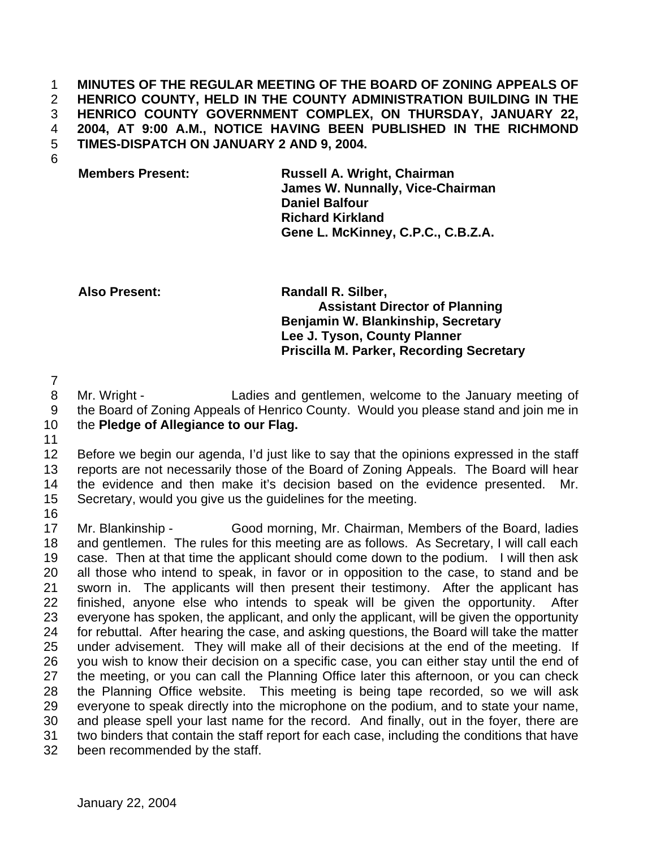## **MINUTES OF THE REGULAR MEETING OF THE BOARD OF ZONING APPEALS OF HENRICO COUNTY, HELD IN THE COUNTY ADMINISTRATION BUILDING IN THE HENRICO COUNTY GOVERNMENT COMPLEX, ON THURSDAY, JANUARY 22, 2004, AT 9:00 A.M., NOTICE HAVING BEEN PUBLISHED IN THE RICHMOND TIMES-DISPATCH ON JANUARY 2 AND 9, 2004.**

## **Members Present: Russell A. Wright, Chairman James W. Nunnally, Vice-Chairman Daniel Balfour Richard Kirkland Gene L. McKinney, C.P.C., C.B.Z.A.**

**Also Present: Randall R. Silber, Assistant Director of Planning Benjamin W. Blankinship, Secretary Lee J. Tyson, County Planner Priscilla M. Parker, Recording Secretary**

 Mr. Wright - Ladies and gentlemen, welcome to the January meeting of the Board of Zoning Appeals of Henrico County. Would you please stand and join me in the **Pledge of Allegiance to our Flag.**

 Before we begin our agenda, I'd just like to say that the opinions expressed in the staff reports are not necessarily those of the Board of Zoning Appeals. The Board will hear the evidence and then make it's decision based on the evidence presented. Mr. Secretary, would you give us the guidelines for the meeting.

 Mr. Blankinship - Good morning, Mr. Chairman, Members of the Board, ladies and gentlemen. The rules for this meeting are as follows. As Secretary, I will call each case. Then at that time the applicant should come down to the podium. I will then ask all those who intend to speak, in favor or in opposition to the case, to stand and be sworn in. The applicants will then present their testimony. After the applicant has finished, anyone else who intends to speak will be given the opportunity. After everyone has spoken, the applicant, and only the applicant, will be given the opportunity for rebuttal. After hearing the case, and asking questions, the Board will take the matter under advisement. They will make all of their decisions at the end of the meeting. If you wish to know their decision on a specific case, you can either stay until the end of the meeting, or you can call the Planning Office later this afternoon, or you can check the Planning Office website. This meeting is being tape recorded, so we will ask everyone to speak directly into the microphone on the podium, and to state your name, and please spell your last name for the record. And finally, out in the foyer, there are two binders that contain the staff report for each case, including the conditions that have been recommended by the staff.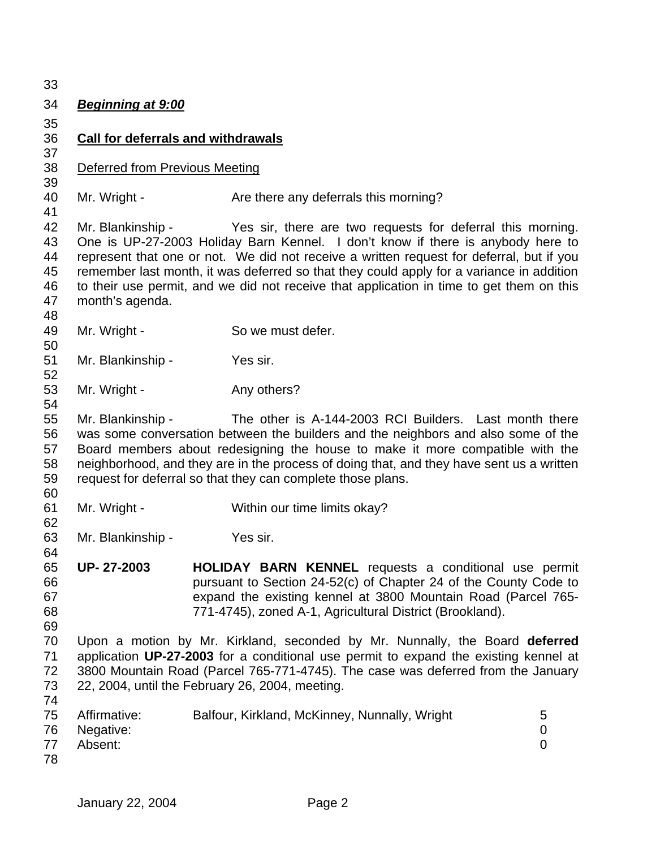*Beginning at 9:00* **Call for deferrals and withdrawals** Deferred from Previous Meeting 40 Mr. Wright - Are there any deferrals this morning? Mr. Blankinship - Yes sir, there are two requests for deferral this morning. One is UP-27-2003 Holiday Barn Kennel. I don't know if there is anybody here to represent that one or not. We did not receive a written request for deferral, but if you remember last month, it was deferred so that they could apply for a variance in addition to their use permit, and we did not receive that application in time to get them on this month's agenda. 49 Mr. Wright - So we must defer. Mr. Blankinship - Yes sir. 53 Mr. Wright - Any others? Mr. Blankinship - The other is A-144-2003 RCI Builders. Last month there was some conversation between the builders and the neighbors and also some of the Board members about redesigning the house to make it more compatible with the neighborhood, and they are in the process of doing that, and they have sent us a written request for deferral so that they can complete those plans. Mr. Wright - Within our time limits okay? Mr. Blankinship - Yes sir. **UP- 27-2003 HOLIDAY BARN KENNEL** requests a conditional use permit pursuant to Section 24-52(c) of Chapter 24 of the County Code to expand the existing kennel at 3800 Mountain Road (Parcel 765- 771-4745), zoned A-1, Agricultural District (Brookland). Upon a motion by Mr. Kirkland, seconded by Mr. Nunnally, the Board **deferred** application **UP-27-2003** for a conditional use permit to expand the existing kennel at 3800 Mountain Road (Parcel 765-771-4745). The case was deferred from the January 22, 2004, until the February 26, 2004, meeting. 75 Affirmative: Balfour, Kirkland, McKinney, Nunnally, Wright 5 Negative: 0 Absent: 0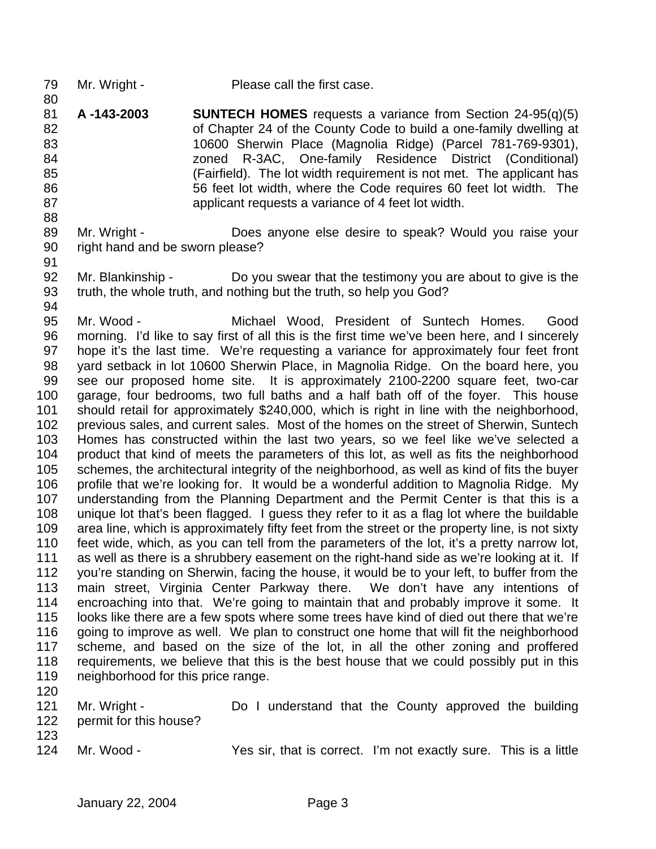- 79 Mr. Wright Please call the first case.
- **A -143-2003 SUNTECH HOMES** requests a variance from Section 24-95(q)(5) of Chapter 24 of the County Code to build a one-family dwelling at 10600 Sherwin Place (Magnolia Ridge) (Parcel 781-769-9301), zoned R-3AC, One-family Residence District (Conditional) (Fairfield). The lot width requirement is not met. The applicant has 56 feet lot width, where the Code requires 60 feet lot width. The applicant requests a variance of 4 feet lot width.
- Mr. Wright Does anyone else desire to speak? Would you raise your right hand and be sworn please?
- 

 Mr. Blankinship - Do you swear that the testimony you are about to give is the truth, the whole truth, and nothing but the truth, so help you God?

 Mr. Wood - Michael Wood, President of Suntech Homes. Good morning. I'd like to say first of all this is the first time we've been here, and I sincerely hope it's the last time. We're requesting a variance for approximately four feet front yard setback in lot 10600 Sherwin Place, in Magnolia Ridge. On the board here, you see our proposed home site. It is approximately 2100-2200 square feet, two-car garage, four bedrooms, two full baths and a half bath off of the foyer. This house should retail for approximately \$240,000, which is right in line with the neighborhood, previous sales, and current sales. Most of the homes on the street of Sherwin, Suntech Homes has constructed within the last two years, so we feel like we've selected a product that kind of meets the parameters of this lot, as well as fits the neighborhood schemes, the architectural integrity of the neighborhood, as well as kind of fits the buyer profile that we're looking for. It would be a wonderful addition to Magnolia Ridge. My understanding from the Planning Department and the Permit Center is that this is a unique lot that's been flagged. I guess they refer to it as a flag lot where the buildable area line, which is approximately fifty feet from the street or the property line, is not sixty feet wide, which, as you can tell from the parameters of the lot, it's a pretty narrow lot, as well as there is a shrubbery easement on the right-hand side as we're looking at it. If you're standing on Sherwin, facing the house, it would be to your left, to buffer from the main street, Virginia Center Parkway there. We don't have any intentions of encroaching into that. We're going to maintain that and probably improve it some. It looks like there are a few spots where some trees have kind of died out there that we're going to improve as well. We plan to construct one home that will fit the neighborhood scheme, and based on the size of the lot, in all the other zoning and proffered requirements, we believe that this is the best house that we could possibly put in this neighborhood for this price range.

- 
- 121 Mr. Wright Do I understand that the County approved the building permit for this house?
- 

Mr. Wood - Yes sir, that is correct. I'm not exactly sure. This is a little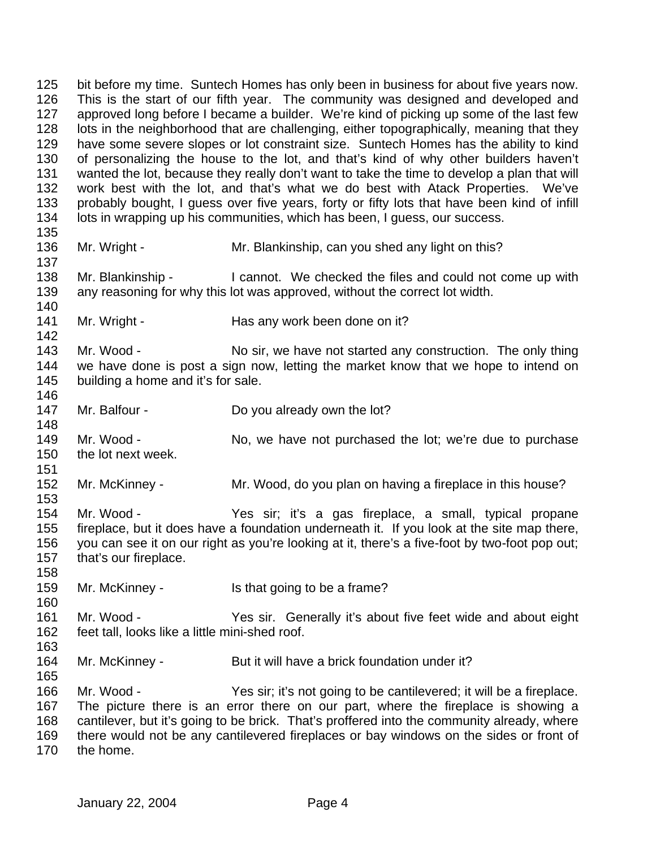bit before my time. Suntech Homes has only been in business for about five years now. This is the start of our fifth year. The community was designed and developed and approved long before I became a builder. We're kind of picking up some of the last few lots in the neighborhood that are challenging, either topographically, meaning that they have some severe slopes or lot constraint size. Suntech Homes has the ability to kind of personalizing the house to the lot, and that's kind of why other builders haven't wanted the lot, because they really don't want to take the time to develop a plan that will work best with the lot, and that's what we do best with Atack Properties. We've probably bought, I guess over five years, forty or fifty lots that have been kind of infill lots in wrapping up his communities, which has been, I guess, our success. 136 Mr. Wright - Mr. Blankinship, can you shed any light on this? Mr. Blankinship - I cannot. We checked the files and could not come up with any reasoning for why this lot was approved, without the correct lot width. 141 Mr. Wright - Has any work been done on it? 143 Mr. Wood - No sir, we have not started any construction. The only thing we have done is post a sign now, letting the market know that we hope to intend on 145 building a home and it's for sale. 147 Mr. Balfour - Do you already own the lot? 149 Mr. Wood - No, we have not purchased the lot; we're due to purchase the lot next week. Mr. McKinney - Mr. Wood, do you plan on having a fireplace in this house? Mr. Wood - Yes sir; it's a gas fireplace, a small, typical propane fireplace, but it does have a foundation underneath it. If you look at the site map there, you can see it on our right as you're looking at it, there's a five-foot by two-foot pop out; that's our fireplace. Mr. McKinney - Is that going to be a frame? Mr. Wood - Yes sir. Generally it's about five feet wide and about eight feet tall, looks like a little mini-shed roof. Mr. McKinney - But it will have a brick foundation under it? Mr. Wood - Yes sir; it's not going to be cantilevered; it will be a fireplace. The picture there is an error there on our part, where the fireplace is showing a cantilever, but it's going to be brick. That's proffered into the community already, where there would not be any cantilevered fireplaces or bay windows on the sides or front of the home.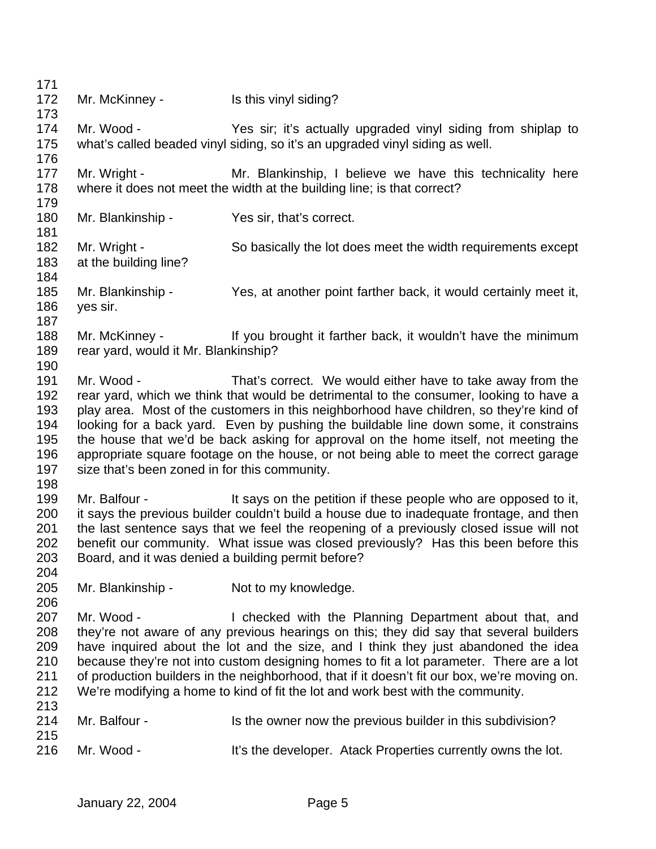172 Mr. McKinney - Is this vinyl siding? Mr. Wood - Yes sir; it's actually upgraded vinyl siding from shiplap to what's called beaded vinyl siding, so it's an upgraded vinyl siding as well. 177 Mr. Wright - Mr. Blankinship, I believe we have this technicality here where it does not meet the width at the building line; is that correct? Mr. Blankinship - Yes sir, that's correct. 182 Mr. Wright - So basically the lot does meet the width requirements except at the building line? Mr. Blankinship - Yes, at another point farther back, it would certainly meet it, yes sir. 188 Mr. McKinney - If you brought it farther back, it wouldn't have the minimum rear yard, would it Mr. Blankinship? Mr. Wood - That's correct. We would either have to take away from the rear yard, which we think that would be detrimental to the consumer, looking to have a play area. Most of the customers in this neighborhood have children, so they're kind of looking for a back yard. Even by pushing the buildable line down some, it constrains the house that we'd be back asking for approval on the home itself, not meeting the appropriate square footage on the house, or not being able to meet the correct garage size that's been zoned in for this community. 199 Mr. Balfour - It says on the petition if these people who are opposed to it, it says the previous builder couldn't build a house due to inadequate frontage, and then the last sentence says that we feel the reopening of a previously closed issue will not benefit our community. What issue was closed previously? Has this been before this Board, and it was denied a building permit before? 205 Mr. Blankinship - Not to my knowledge. 207 Mr. Wood - I checked with the Planning Department about that, and they're not aware of any previous hearings on this; they did say that several builders have inquired about the lot and the size, and I think they just abandoned the idea because they're not into custom designing homes to fit a lot parameter. There are a lot of production builders in the neighborhood, that if it doesn't fit our box, we're moving on. We're modifying a home to kind of fit the lot and work best with the community. 214 Mr. Balfour - Is the owner now the previous builder in this subdivision? 216 Mr. Wood - It's the developer. Atack Properties currently owns the lot.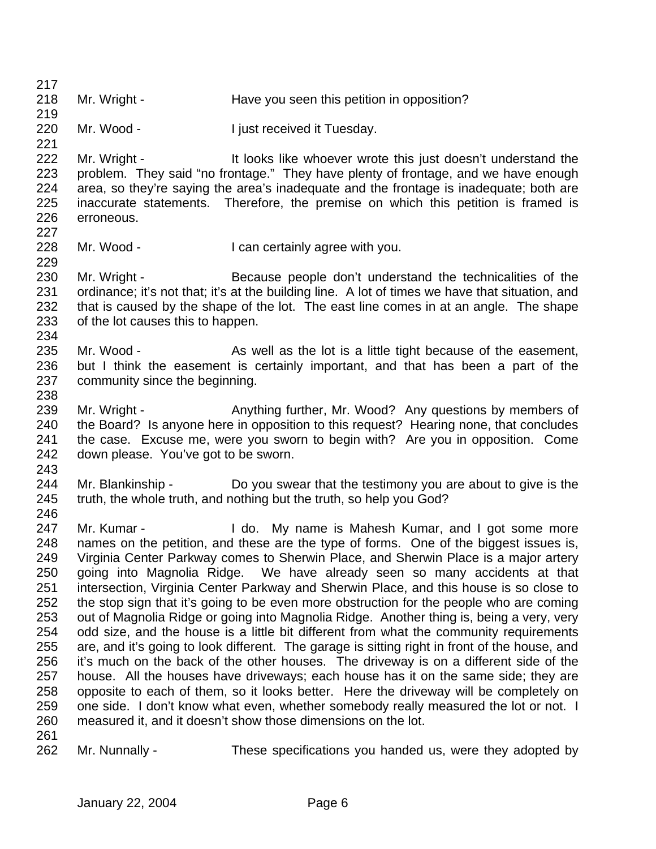- 218 Mr. Wright - Have you seen this petition in opposition?
- Mr. Wood I just received it Tuesday.

222 Mr. Wright - It looks like whoever wrote this just doesn't understand the problem. They said "no frontage." They have plenty of frontage, and we have enough area, so they're saying the area's inadequate and the frontage is inadequate; both are inaccurate statements. Therefore, the premise on which this petition is framed is erroneous.

- Mr. Wood I can certainly agree with you.
- 230 Mr. Wright Because people don't understand the technicalities of the ordinance; it's not that; it's at the building line. A lot of times we have that situation, and that is caused by the shape of the lot. The east line comes in at an angle. The shape of the lot causes this to happen.
- 235 Mr. Wood As well as the lot is a little tight because of the easement, but I think the easement is certainly important, and that has been a part of the community since the beginning.
- 239 Mr. Wright Anything further, Mr. Wood? Any questions by members of the Board? Is anyone here in opposition to this request? Hearing none, that concludes the case. Excuse me, were you sworn to begin with? Are you in opposition. Come down please. You've got to be sworn.
- 

- Mr. Blankinship Do you swear that the testimony you are about to give is the truth, the whole truth, and nothing but the truth, so help you God?
- 247 Mr. Kumar I do. My name is Mahesh Kumar, and I got some more names on the petition, and these are the type of forms. One of the biggest issues is, Virginia Center Parkway comes to Sherwin Place, and Sherwin Place is a major artery going into Magnolia Ridge. We have already seen so many accidents at that intersection, Virginia Center Parkway and Sherwin Place, and this house is so close to the stop sign that it's going to be even more obstruction for the people who are coming out of Magnolia Ridge or going into Magnolia Ridge. Another thing is, being a very, very odd size, and the house is a little bit different from what the community requirements are, and it's going to look different. The garage is sitting right in front of the house, and it's much on the back of the other houses. The driveway is on a different side of the house. All the houses have driveways; each house has it on the same side; they are opposite to each of them, so it looks better. Here the driveway will be completely on one side. I don't know what even, whether somebody really measured the lot or not. I measured it, and it doesn't show those dimensions on the lot.
- 

Mr. Nunnally - These specifications you handed us, were they adopted by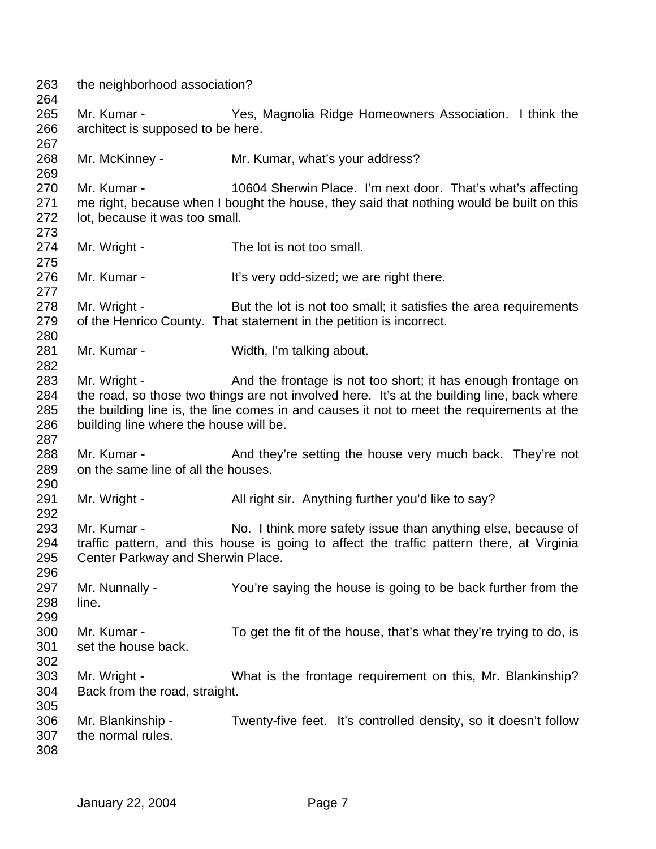the neighborhood association? Mr. Kumar - Yes, Magnolia Ridge Homeowners Association. I think the architect is supposed to be here. Mr. McKinney - Mr. Kumar, what's your address? Mr. Kumar - 10604 Sherwin Place. I'm next door. That's what's affecting me right, because when I bought the house, they said that nothing would be built on this lot, because it was too small. 274 Mr. Wright - The lot is not too small. 276 Mr. Kumar - It's very odd-sized; we are right there. 278 Mr. Wright - But the lot is not too small; it satisfies the area requirements 279 of the Henrico County. That statement in the petition is incorrect. Mr. Kumar - Width, I'm talking about. Mr. Wright - And the frontage is not too short; it has enough frontage on the road, so those two things are not involved here. It's at the building line, back where the building line is, the line comes in and causes it not to meet the requirements at the building line where the house will be. 288 Mr. Kumar - And they're setting the house very much back. They're not on the same line of all the houses. 291 Mr. Wright - All right sir. Anything further you'd like to say? 293 Mr. Kumar - No. I think more safety issue than anything else, because of traffic pattern, and this house is going to affect the traffic pattern there, at Virginia Center Parkway and Sherwin Place. Mr. Nunnally - You're saying the house is going to be back further from the line. Mr. Kumar - To get the fit of the house, that's what they're trying to do, is set the house back. Mr. Wright - What is the frontage requirement on this, Mr. Blankinship? Back from the road, straight. Mr. Blankinship - Twenty-five feet. It's controlled density, so it doesn't follow the normal rules.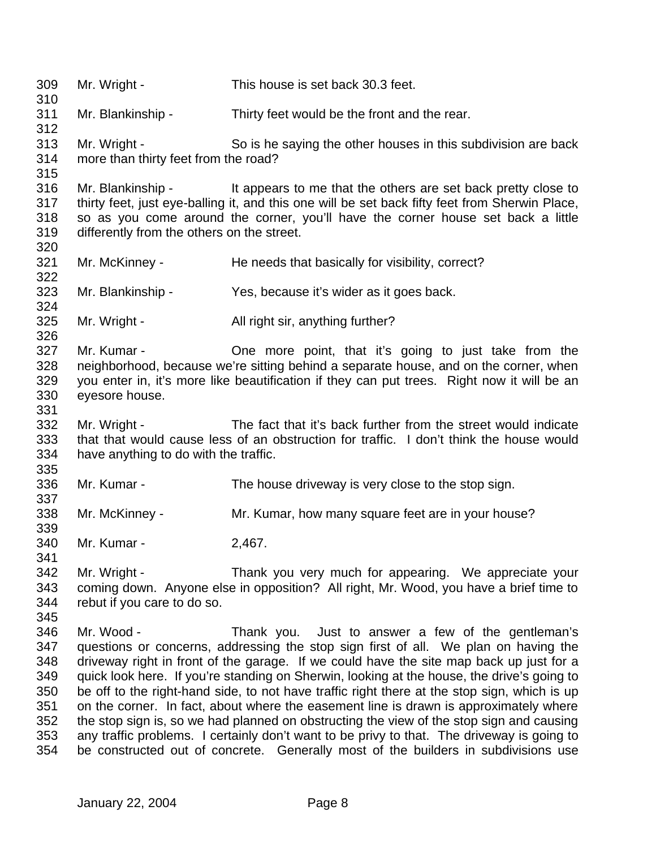Mr. Wright - This house is set back 30.3 feet. Mr. Blankinship - Thirty feet would be the front and the rear. Mr. Wright - So is he saying the other houses in this subdivision are back more than thirty feet from the road? Mr. Blankinship - It appears to me that the others are set back pretty close to thirty feet, just eye-balling it, and this one will be set back fifty feet from Sherwin Place, so as you come around the corner, you'll have the corner house set back a little differently from the others on the street. 321 Mr. McKinney - He needs that basically for visibility, correct? Mr. Blankinship - Yes, because it's wider as it goes back. 325 Mr. Wright - All right sir, anything further? Mr. Kumar - One more point, that it's going to just take from the neighborhood, because we're sitting behind a separate house, and on the corner, when you enter in, it's more like beautification if they can put trees. Right now it will be an eyesore house. Mr. Wright - The fact that it's back further from the street would indicate that that would cause less of an obstruction for traffic. I don't think the house would have anything to do with the traffic. Mr. Kumar - The house driveway is very close to the stop sign. Mr. McKinney - Mr. Kumar, how many square feet are in your house? Mr. Kumar - 2,467. Mr. Wright - Thank you very much for appearing. We appreciate your coming down. Anyone else in opposition? All right, Mr. Wood, you have a brief time to rebut if you care to do so. Mr. Wood - Thank you. Just to answer a few of the gentleman's questions or concerns, addressing the stop sign first of all. We plan on having the driveway right in front of the garage. If we could have the site map back up just for a quick look here. If you're standing on Sherwin, looking at the house, the drive's going to be off to the right-hand side, to not have traffic right there at the stop sign, which is up on the corner. In fact, about where the easement line is drawn is approximately where the stop sign is, so we had planned on obstructing the view of the stop sign and causing any traffic problems. I certainly don't want to be privy to that. The driveway is going to be constructed out of concrete. Generally most of the builders in subdivisions use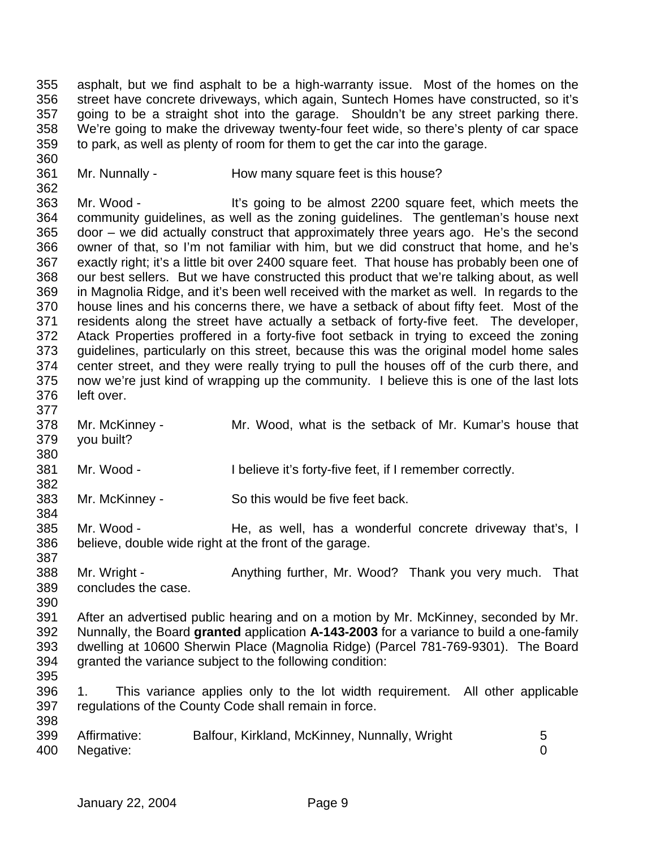asphalt, but we find asphalt to be a high-warranty issue. Most of the homes on the street have concrete driveways, which again, Suntech Homes have constructed, so it's going to be a straight shot into the garage. Shouldn't be any street parking there. We're going to make the driveway twenty-four feet wide, so there's plenty of car space to park, as well as plenty of room for them to get the car into the garage. 

Mr. Nunnally - How many square feet is this house?

 Mr. Wood - It's going to be almost 2200 square feet, which meets the community guidelines, as well as the zoning guidelines. The gentleman's house next door – we did actually construct that approximately three years ago. He's the second owner of that, so I'm not familiar with him, but we did construct that home, and he's exactly right; it's a little bit over 2400 square feet. That house has probably been one of our best sellers. But we have constructed this product that we're talking about, as well in Magnolia Ridge, and it's been well received with the market as well. In regards to the house lines and his concerns there, we have a setback of about fifty feet. Most of the residents along the street have actually a setback of forty-five feet. The developer, Atack Properties proffered in a forty-five foot setback in trying to exceed the zoning guidelines, particularly on this street, because this was the original model home sales center street, and they were really trying to pull the houses off of the curb there, and now we're just kind of wrapping up the community. I believe this is one of the last lots left over. 

- Mr. McKinney Mr. Wood, what is the setback of Mr. Kumar's house that you built?
- Mr. Wood I believe it's forty-five feet, if I remember correctly.
- Mr. McKinney So this would be five feet back.
- Mr. Wood He, as well, has a wonderful concrete driveway that's, I believe, double wide right at the front of the garage.
- 388 Mr. Wright Anything further, Mr. Wood? Thank you very much. That concludes the case.
- 

 After an advertised public hearing and on a motion by Mr. McKinney, seconded by Mr. Nunnally, the Board **granted** application **A-143-2003** for a variance to build a one-family dwelling at 10600 Sherwin Place (Magnolia Ridge) (Parcel 781-769-9301). The Board granted the variance subject to the following condition:

- 1. This variance applies only to the lot width requirement. All other applicable regulations of the County Code shall remain in force.
- Affirmative: Balfour, Kirkland, McKinney, Nunnally, Wright 5 Negative: 0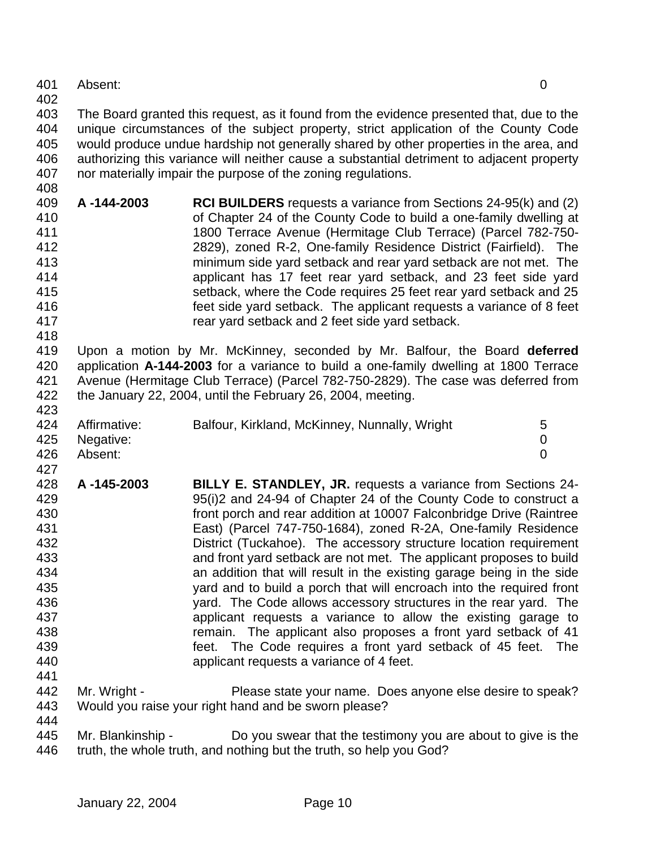- Absent: 0
- 

 The Board granted this request, as it found from the evidence presented that, due to the unique circumstances of the subject property, strict application of the County Code would produce undue hardship not generally shared by other properties in the area, and authorizing this variance will neither cause a substantial detriment to adjacent property nor materially impair the purpose of the zoning regulations.

- **A -144-2003 RCI BUILDERS** requests a variance from Sections 24-95(k) and (2) of Chapter 24 of the County Code to build a one-family dwelling at 1800 Terrace Avenue (Hermitage Club Terrace) (Parcel 782-750- 2829), zoned R-2, One-family Residence District (Fairfield). The minimum side yard setback and rear yard setback are not met. The applicant has 17 feet rear yard setback, and 23 feet side yard setback, where the Code requires 25 feet rear yard setback and 25 feet side yard setback. The applicant requests a variance of 8 feet rear yard setback and 2 feet side yard setback.
- Upon a motion by Mr. McKinney, seconded by Mr. Balfour, the Board **deferred** application **A-144-2003** for a variance to build a one-family dwelling at 1800 Terrace Avenue (Hermitage Club Terrace) (Parcel 782-750-2829). The case was deferred from the January 22, 2004, until the February 26, 2004, meeting.

| 424 | Affirmative:  | Balfour, Kirkland, McKinney, Nunnally, Wright | $5^{\circ}$ |
|-----|---------------|-----------------------------------------------|-------------|
|     | 425 Negative: |                                               |             |
| 426 | Absent:       |                                               |             |

- **A -145-2003 BILLY E. STANDLEY, JR.** requests a variance from Sections 24- 95(i)2 and 24-94 of Chapter 24 of the County Code to construct a front porch and rear addition at 10007 Falconbridge Drive (Raintree East) (Parcel 747-750-1684), zoned R-2A, One-family Residence District (Tuckahoe). The accessory structure location requirement and front yard setback are not met. The applicant proposes to build an addition that will result in the existing garage being in the side yard and to build a porch that will encroach into the required front yard. The Code allows accessory structures in the rear yard. The applicant requests a variance to allow the existing garage to remain. The applicant also proposes a front yard setback of 41 feet. The Code requires a front yard setback of 45 feet. The applicant requests a variance of 4 feet.
- Mr. Wright Please state your name. Does anyone else desire to speak? Would you raise your right hand and be sworn please?
- Mr. Blankinship Do you swear that the testimony you are about to give is the 446 truth, the whole truth, and nothing but the truth, so help you God?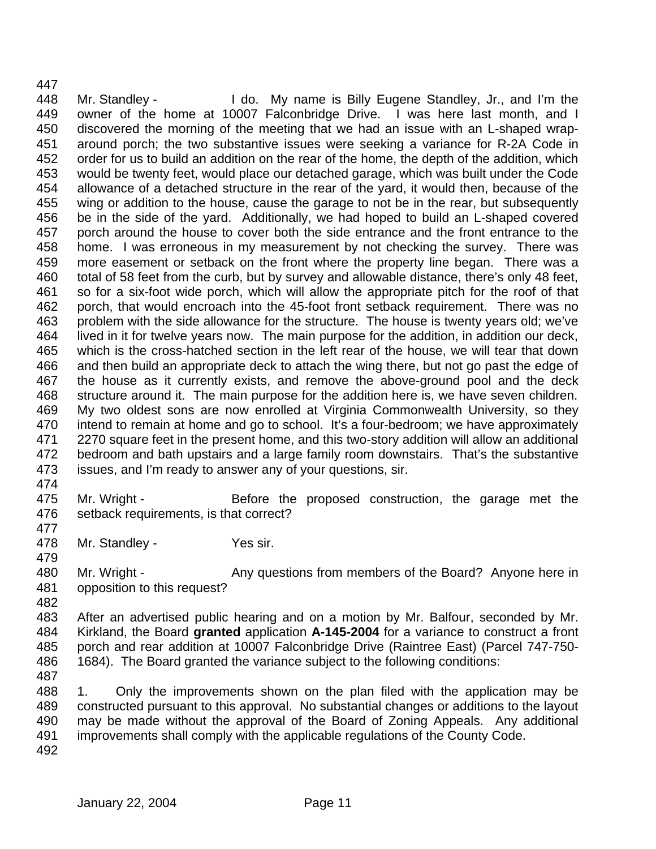Mr. Standley - I do. My name is Billy Eugene Standley, Jr., and I'm the owner of the home at 10007 Falconbridge Drive. I was here last month, and I discovered the morning of the meeting that we had an issue with an L-shaped wrap- around porch; the two substantive issues were seeking a variance for R-2A Code in order for us to build an addition on the rear of the home, the depth of the addition, which would be twenty feet, would place our detached garage, which was built under the Code allowance of a detached structure in the rear of the yard, it would then, because of the wing or addition to the house, cause the garage to not be in the rear, but subsequently be in the side of the yard. Additionally, we had hoped to build an L-shaped covered porch around the house to cover both the side entrance and the front entrance to the home. I was erroneous in my measurement by not checking the survey. There was more easement or setback on the front where the property line began. There was a total of 58 feet from the curb, but by survey and allowable distance, there's only 48 feet, so for a six-foot wide porch, which will allow the appropriate pitch for the roof of that porch, that would encroach into the 45-foot front setback requirement. There was no problem with the side allowance for the structure. The house is twenty years old; we've lived in it for twelve years now. The main purpose for the addition, in addition our deck, which is the cross-hatched section in the left rear of the house, we will tear that down and then build an appropriate deck to attach the wing there, but not go past the edge of the house as it currently exists, and remove the above-ground pool and the deck structure around it. The main purpose for the addition here is, we have seven children. My two oldest sons are now enrolled at Virginia Commonwealth University, so they intend to remain at home and go to school. It's a four-bedroom; we have approximately 2270 square feet in the present home, and this two-story addition will allow an additional bedroom and bath upstairs and a large family room downstairs. That's the substantive issues, and I'm ready to answer any of your questions, sir.

475 Mr. Wright - Before the proposed construction, the garage met the setback requirements, is that correct?

Mr. Standley - Yes sir.

 480 Mr. Wright - Any questions from members of the Board? Anyone here in opposition to this request?

 After an advertised public hearing and on a motion by Mr. Balfour, seconded by Mr. Kirkland, the Board **granted** application **A-145-2004** for a variance to construct a front porch and rear addition at 10007 Falconbridge Drive (Raintree East) (Parcel 747-750- 1684). The Board granted the variance subject to the following conditions:

 1. Only the improvements shown on the plan filed with the application may be constructed pursuant to this approval. No substantial changes or additions to the layout may be made without the approval of the Board of Zoning Appeals. Any additional improvements shall comply with the applicable regulations of the County Code.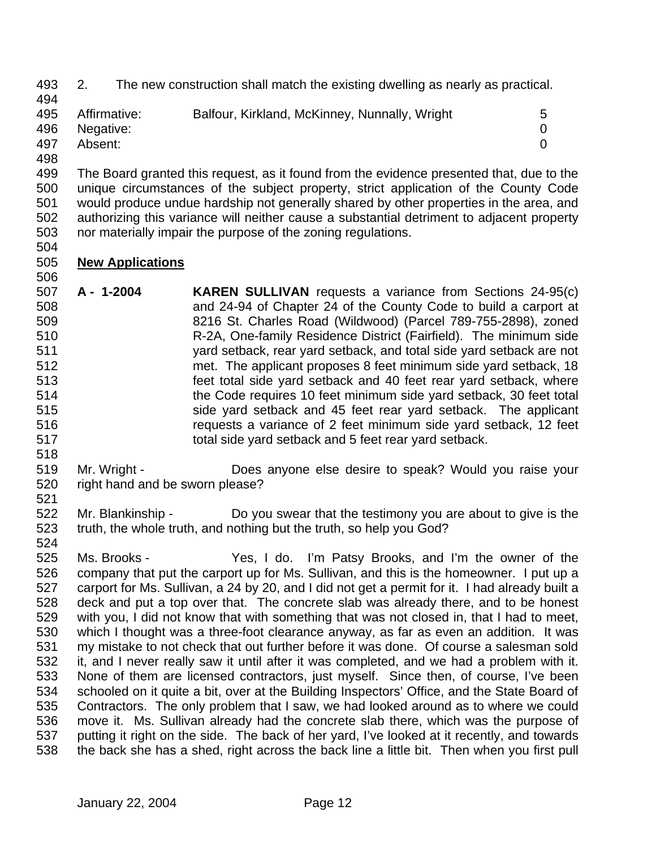- 2. The new construction shall match the existing dwelling as nearly as practical.
- 495 Affirmative: Balfour, Kirkland, McKinney, Nunnally, Wright 5 Negative: 0 Absent: 0
- 

 The Board granted this request, as it found from the evidence presented that, due to the unique circumstances of the subject property, strict application of the County Code would produce undue hardship not generally shared by other properties in the area, and authorizing this variance will neither cause a substantial detriment to adjacent property nor materially impair the purpose of the zoning regulations. 

## **New Applications**

- **A 1-2004 KAREN SULLIVAN** requests a variance from Sections 24-95(c) and 24-94 of Chapter 24 of the County Code to build a carport at 8216 St. Charles Road (Wildwood) (Parcel 789-755-2898), zoned R-2A, One-family Residence District (Fairfield). The minimum side yard setback, rear yard setback, and total side yard setback are not met. The applicant proposes 8 feet minimum side yard setback, 18 feet total side yard setback and 40 feet rear yard setback, where the Code requires 10 feet minimum side yard setback, 30 feet total side yard setback and 45 feet rear yard setback. The applicant requests a variance of 2 feet minimum side yard setback, 12 feet total side yard setback and 5 feet rear yard setback.
- Mr. Wright - Does anyone else desire to speak? Would you raise your right hand and be sworn please?
- Mr. Blankinship Do you swear that the testimony you are about to give is the truth, the whole truth, and nothing but the truth, so help you God?
- Ms. Brooks Yes, I do. I'm Patsy Brooks, and I'm the owner of the company that put the carport up for Ms. Sullivan, and this is the homeowner. I put up a carport for Ms. Sullivan, a 24 by 20, and I did not get a permit for it. I had already built a deck and put a top over that. The concrete slab was already there, and to be honest with you, I did not know that with something that was not closed in, that I had to meet, which I thought was a three-foot clearance anyway, as far as even an addition. It was my mistake to not check that out further before it was done. Of course a salesman sold it, and I never really saw it until after it was completed, and we had a problem with it. None of them are licensed contractors, just myself. Since then, of course, I've been schooled on it quite a bit, over at the Building Inspectors' Office, and the State Board of Contractors. The only problem that I saw, we had looked around as to where we could move it. Ms. Sullivan already had the concrete slab there, which was the purpose of putting it right on the side. The back of her yard, I've looked at it recently, and towards the back she has a shed, right across the back line a little bit. Then when you first pull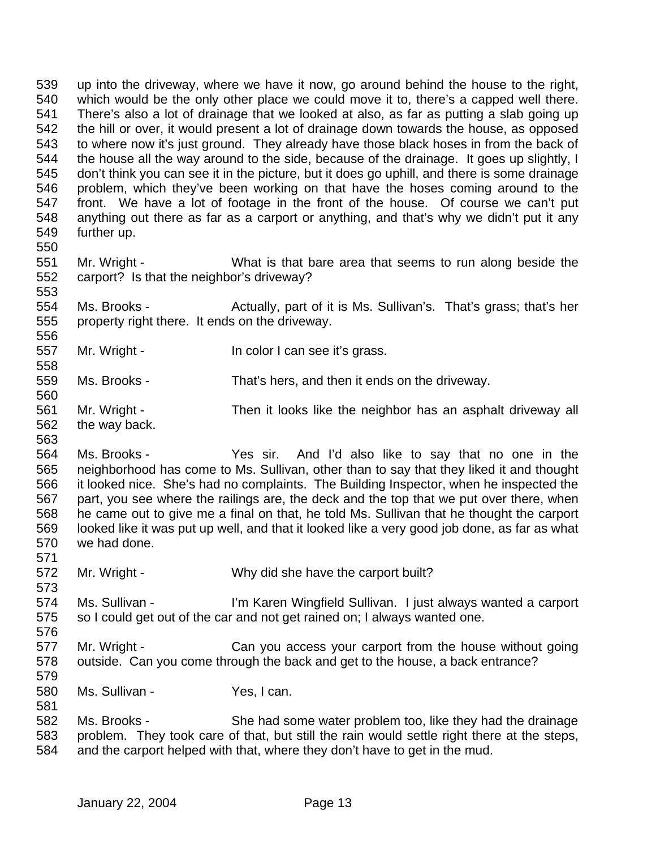up into the driveway, where we have it now, go around behind the house to the right, which would be the only other place we could move it to, there's a capped well there. There's also a lot of drainage that we looked at also, as far as putting a slab going up the hill or over, it would present a lot of drainage down towards the house, as opposed to where now it's just ground. They already have those black hoses in from the back of 544 the house all the way around to the side, because of the drainage. It goes up slightly, I don't think you can see it in the picture, but it does go uphill, and there is some drainage problem, which they've been working on that have the hoses coming around to the front. We have a lot of footage in the front of the house. Of course we can't put anything out there as far as a carport or anything, and that's why we didn't put it any further up. Mr. Wright - What is that bare area that seems to run along beside the carport? Is that the neighbor's driveway? Ms. Brooks - Actually, part of it is Ms. Sullivan's. That's grass; that's her property right there. It ends on the driveway. 557 Mr. Wright - In color I can see it's grass. Ms. Brooks - That's hers, and then it ends on the driveway. Mr. Wright - Then it looks like the neighbor has an asphalt driveway all the way back. Ms. Brooks - Yes sir. And I'd also like to say that no one in the neighborhood has come to Ms. Sullivan, other than to say that they liked it and thought it looked nice. She's had no complaints. The Building Inspector, when he inspected the part, you see where the railings are, the deck and the top that we put over there, when he came out to give me a final on that, he told Ms. Sullivan that he thought the carport looked like it was put up well, and that it looked like a very good job done, as far as what we had done. Mr. Wright - Why did she have the carport built? Ms. Sullivan - I'm Karen Wingfield Sullivan. I just always wanted a carport so I could get out of the car and not get rained on; I always wanted one. Mr. Wright - Can you access your carport from the house without going outside. Can you come through the back and get to the house, a back entrance? Ms. Sullivan - Yes, I can. Ms. Brooks - She had some water problem too, like they had the drainage problem. They took care of that, but still the rain would settle right there at the steps, and the carport helped with that, where they don't have to get in the mud.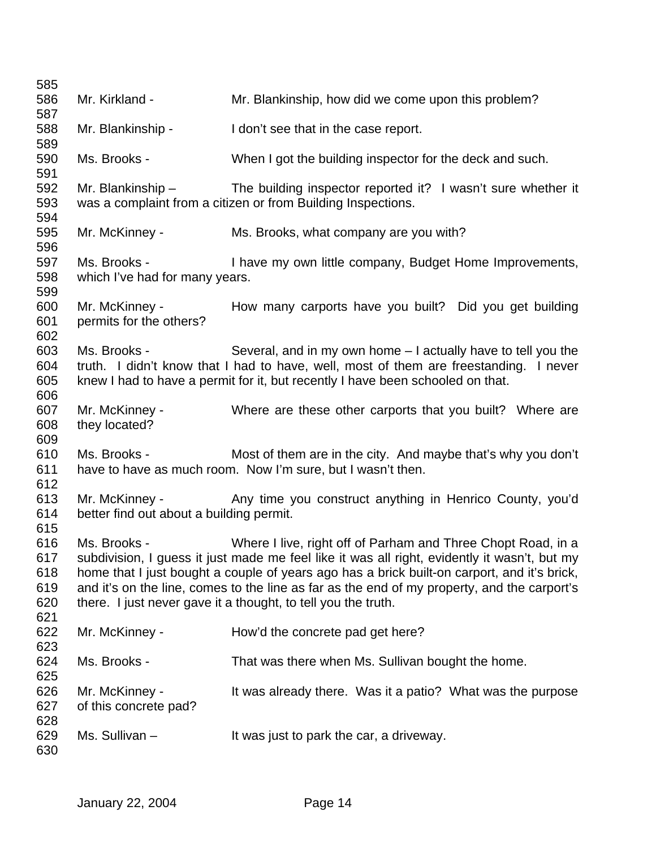| 585                             |                                                                                                                                                 |                                                                                                                                                                                                                                                                                                                                                                                                                             |
|---------------------------------|-------------------------------------------------------------------------------------------------------------------------------------------------|-----------------------------------------------------------------------------------------------------------------------------------------------------------------------------------------------------------------------------------------------------------------------------------------------------------------------------------------------------------------------------------------------------------------------------|
| 586                             | Mr. Kirkland -                                                                                                                                  | Mr. Blankinship, how did we come upon this problem?                                                                                                                                                                                                                                                                                                                                                                         |
| 587                             |                                                                                                                                                 |                                                                                                                                                                                                                                                                                                                                                                                                                             |
| 588<br>589                      | Mr. Blankinship -                                                                                                                               | I don't see that in the case report.                                                                                                                                                                                                                                                                                                                                                                                        |
| 590<br>591                      | Ms. Brooks -                                                                                                                                    | When I got the building inspector for the deck and such.                                                                                                                                                                                                                                                                                                                                                                    |
| 592<br>593<br>594               |                                                                                                                                                 | Mr. Blankinship $-$ The building inspector reported it? I wasn't sure whether it<br>was a complaint from a citizen or from Building Inspections.                                                                                                                                                                                                                                                                            |
| 595<br>596                      | Mr. McKinney -                                                                                                                                  | Ms. Brooks, what company are you with?                                                                                                                                                                                                                                                                                                                                                                                      |
| 597<br>598                      | Ms. Brooks - The Management of the Management of the Management of the Management of the Management of the Ma<br>which I've had for many years. | I have my own little company, Budget Home Improvements,                                                                                                                                                                                                                                                                                                                                                                     |
| 599                             |                                                                                                                                                 |                                                                                                                                                                                                                                                                                                                                                                                                                             |
| 600<br>601<br>602               | Mr. McKinney -<br>permits for the others?                                                                                                       | How many carports have you built? Did you get building                                                                                                                                                                                                                                                                                                                                                                      |
| 603<br>604<br>605               | Ms. Brooks -                                                                                                                                    | Several, and in my own home – I actually have to tell you the<br>truth. I didn't know that I had to have, well, most of them are freestanding. I never<br>knew I had to have a permit for it, but recently I have been schooled on that.                                                                                                                                                                                    |
| 606                             |                                                                                                                                                 |                                                                                                                                                                                                                                                                                                                                                                                                                             |
| 607<br>608<br>609               | Mr. McKinney -<br>they located?                                                                                                                 | Where are these other carports that you built? Where are                                                                                                                                                                                                                                                                                                                                                                    |
| 610<br>611<br>612               | Ms. Brooks -                                                                                                                                    | Most of them are in the city. And maybe that's why you don't<br>have to have as much room. Now I'm sure, but I wasn't then.                                                                                                                                                                                                                                                                                                 |
| 613<br>614<br>615               | better find out about a building permit.                                                                                                        | Mr. McKinney - Any time you construct anything in Henrico County, you'd                                                                                                                                                                                                                                                                                                                                                     |
| 616<br>617<br>618<br>619<br>620 | Ms. Brooks -                                                                                                                                    | Where I live, right off of Parham and Three Chopt Road, in a<br>subdivision, I guess it just made me feel like it was all right, evidently it wasn't, but my<br>home that I just bought a couple of years ago has a brick built-on carport, and it's brick,<br>and it's on the line, comes to the line as far as the end of my property, and the carport's<br>there. I just never gave it a thought, to tell you the truth. |
| 621<br>622<br>623               | Mr. McKinney -                                                                                                                                  | How'd the concrete pad get here?                                                                                                                                                                                                                                                                                                                                                                                            |
| 624<br>625                      | Ms. Brooks -                                                                                                                                    | That was there when Ms. Sullivan bought the home.                                                                                                                                                                                                                                                                                                                                                                           |
| 626<br>627<br>628               | Mr. McKinney -<br>of this concrete pad?                                                                                                         | It was already there. Was it a patio? What was the purpose                                                                                                                                                                                                                                                                                                                                                                  |
| 629<br>630                      | Ms. Sullivan-                                                                                                                                   | It was just to park the car, a driveway.                                                                                                                                                                                                                                                                                                                                                                                    |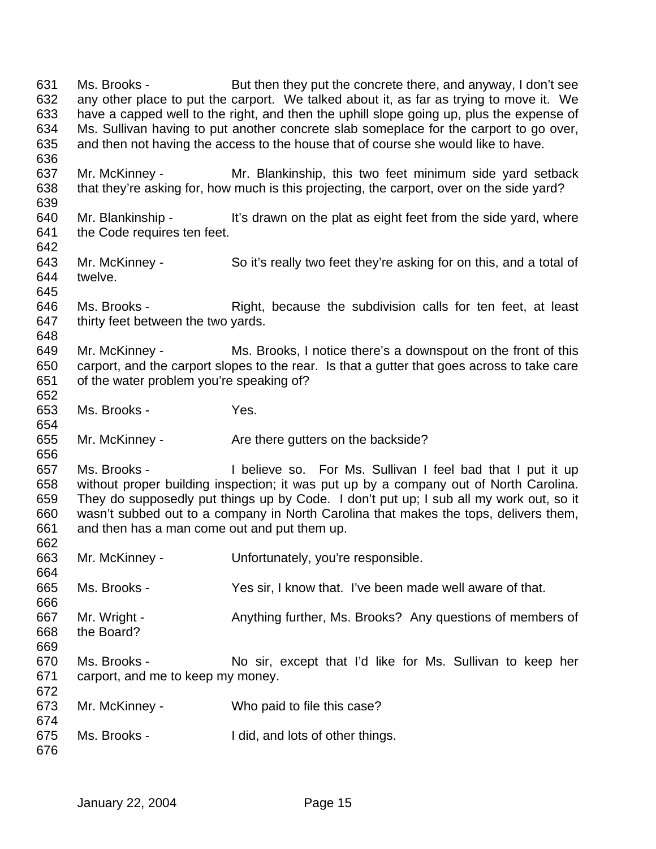Ms. Brooks - But then they put the concrete there, and anyway, I don't see any other place to put the carport. We talked about it, as far as trying to move it. We have a capped well to the right, and then the uphill slope going up, plus the expense of Ms. Sullivan having to put another concrete slab someplace for the carport to go over, and then not having the access to the house that of course she would like to have. Mr. McKinney - Mr. Blankinship, this two feet minimum side yard setback that they're asking for, how much is this projecting, the carport, over on the side yard? 640 Mr. Blankinship - It's drawn on the plat as eight feet from the side yard, where the Code requires ten feet. Mr. McKinney - So it's really two feet they're asking for on this, and a total of twelve. 646 Ms. Brooks - Right, because the subdivision calls for ten feet, at least thirty feet between the two yards. Mr. McKinney - Ms. Brooks, I notice there's a downspout on the front of this carport, and the carport slopes to the rear. Is that a gutter that goes across to take care of the water problem you're speaking of? Ms. Brooks - Yes. 655 Mr. McKinney - Are there gutters on the backside? Ms. Brooks - I believe so. For Ms. Sullivan I feel bad that I put it up without proper building inspection; it was put up by a company out of North Carolina. They do supposedly put things up by Code. I don't put up; I sub all my work out, so it wasn't subbed out to a company in North Carolina that makes the tops, delivers them, and then has a man come out and put them up. Mr. McKinney - Unfortunately, you're responsible. Ms. Brooks - Yes sir, I know that. I've been made well aware of that. Mr. Wright - Anything further, Ms. Brooks? Any questions of members of the Board? Ms. Brooks - No sir, except that I'd like for Ms. Sullivan to keep her carport, and me to keep my money. Mr. McKinney - Who paid to file this case? Ms. Brooks - I did, and lots of other things.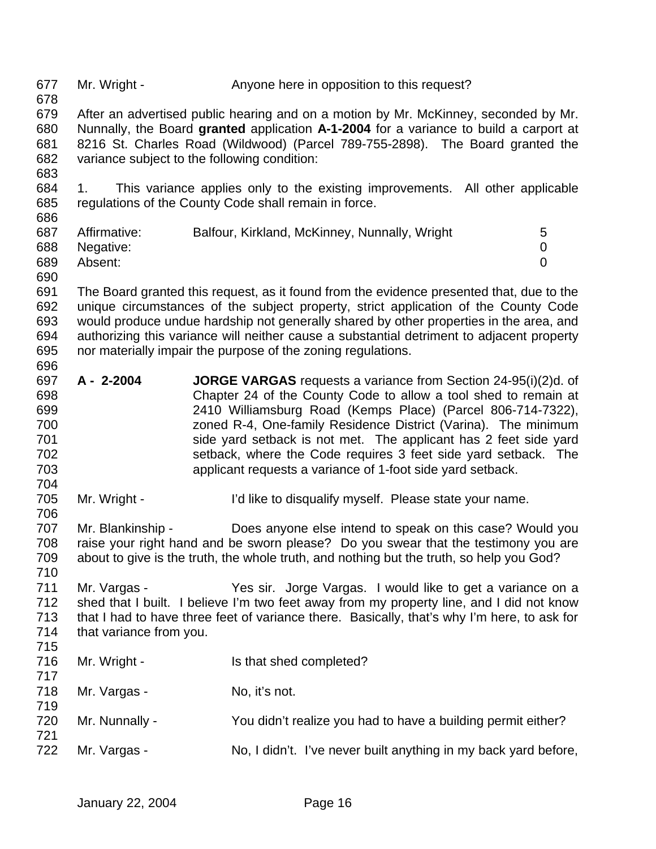| 677<br>678                                           | Mr. Wright -                            | Anyone here in opposition to this request?                                                                                                                                                                                                                                                                                                                                                                                                                                    |
|------------------------------------------------------|-----------------------------------------|-------------------------------------------------------------------------------------------------------------------------------------------------------------------------------------------------------------------------------------------------------------------------------------------------------------------------------------------------------------------------------------------------------------------------------------------------------------------------------|
| 679<br>680<br>681<br>682<br>683                      |                                         | After an advertised public hearing and on a motion by Mr. McKinney, seconded by Mr.<br>Nunnally, the Board granted application A-1-2004 for a variance to build a carport at<br>8216 St. Charles Road (Wildwood) (Parcel 789-755-2898). The Board granted the<br>variance subject to the following condition:                                                                                                                                                                 |
| 684<br>685<br>686                                    | 1.                                      | This variance applies only to the existing improvements. All other applicable<br>regulations of the County Code shall remain in force.                                                                                                                                                                                                                                                                                                                                        |
| 687<br>688<br>689<br>690                             | Affirmative:<br>Negative:<br>Absent:    | Balfour, Kirkland, McKinney, Nunnally, Wright<br>5<br>0<br>$\overline{0}$                                                                                                                                                                                                                                                                                                                                                                                                     |
| 691<br>692<br>693<br>694<br>695<br>696               |                                         | The Board granted this request, as it found from the evidence presented that, due to the<br>unique circumstances of the subject property, strict application of the County Code<br>would produce undue hardship not generally shared by other properties in the area, and<br>authorizing this variance will neither cause a substantial detriment to adjacent property<br>nor materially impair the purpose of the zoning regulations.                                        |
| 697<br>698<br>699<br>700<br>701<br>702<br>703<br>704 | A - 2-2004                              | <b>JORGE VARGAS</b> requests a variance from Section 24-95(i)(2)d. of<br>Chapter 24 of the County Code to allow a tool shed to remain at<br>2410 Williamsburg Road (Kemps Place) (Parcel 806-714-7322),<br>zoned R-4, One-family Residence District (Varina). The minimum<br>side yard setback is not met. The applicant has 2 feet side yard<br>setback, where the Code requires 3 feet side yard setback. The<br>applicant requests a variance of 1-foot side yard setback. |
| 705<br>706                                           | Mr. Wright -                            | I'd like to disqualify myself. Please state your name.                                                                                                                                                                                                                                                                                                                                                                                                                        |
| 707<br>708<br>709<br>710                             | Mr. Blankinship -                       | Does anyone else intend to speak on this case? Would you<br>raise your right hand and be sworn please? Do you swear that the testimony you are<br>about to give is the truth, the whole truth, and nothing but the truth, so help you God?                                                                                                                                                                                                                                    |
| 711<br>712<br>713<br>714<br>715                      | Mr. Vargas -<br>that variance from you. | Yes sir. Jorge Vargas. I would like to get a variance on a<br>shed that I built. I believe I'm two feet away from my property line, and I did not know<br>that I had to have three feet of variance there. Basically, that's why I'm here, to ask for                                                                                                                                                                                                                         |
| 716<br>717                                           | Mr. Wright -                            | Is that shed completed?                                                                                                                                                                                                                                                                                                                                                                                                                                                       |
| 718<br>719                                           | Mr. Vargas -                            | No, it's not.                                                                                                                                                                                                                                                                                                                                                                                                                                                                 |
| 720<br>721                                           | Mr. Nunnally -                          | You didn't realize you had to have a building permit either?                                                                                                                                                                                                                                                                                                                                                                                                                  |
| 722                                                  | Mr. Vargas -                            | No, I didn't. I've never built anything in my back yard before,                                                                                                                                                                                                                                                                                                                                                                                                               |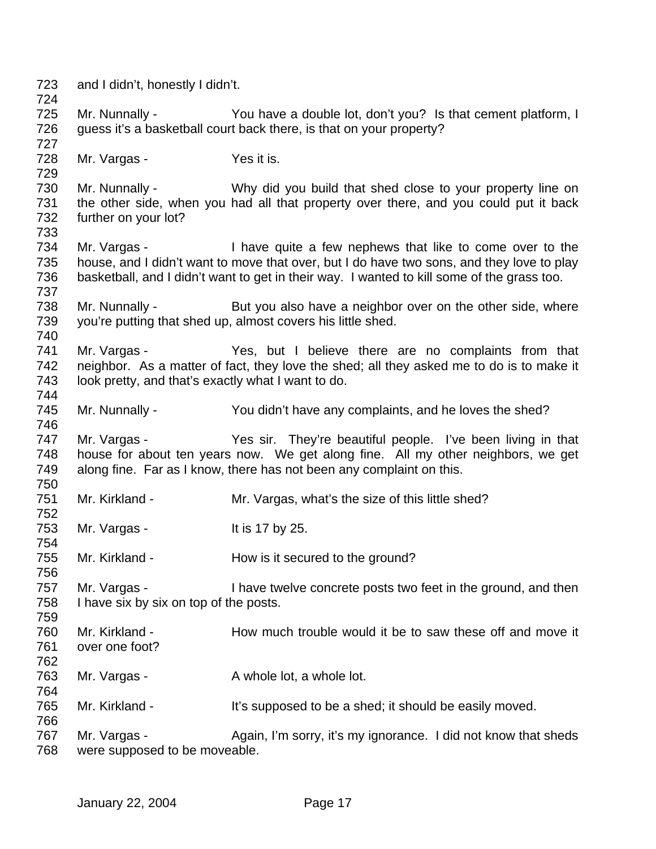| 723<br>724        | and I didn't, honestly I didn't.                       |                                                                                                                                                                                                                                                                  |
|-------------------|--------------------------------------------------------|------------------------------------------------------------------------------------------------------------------------------------------------------------------------------------------------------------------------------------------------------------------|
| 725<br>726        | Mr. Nunnally -                                         | You have a double lot, don't you? Is that cement platform, I<br>guess it's a basketball court back there, is that on your property?                                                                                                                              |
| 727               |                                                        |                                                                                                                                                                                                                                                                  |
| 728<br>729        | Mr. Vargas -                                           | Yes it is.                                                                                                                                                                                                                                                       |
| 730<br>731        | Mr. Nunnally -                                         | Why did you build that shed close to your property line on<br>the other side, when you had all that property over there, and you could put it back                                                                                                               |
| 732<br>733        | further on your lot?                                   |                                                                                                                                                                                                                                                                  |
| 734<br>735<br>736 |                                                        | Mr. Vargas - I have quite a few nephews that like to come over to the<br>house, and I didn't want to move that over, but I do have two sons, and they love to play<br>basketball, and I didn't want to get in their way. I wanted to kill some of the grass too. |
| 737               |                                                        |                                                                                                                                                                                                                                                                  |
| 738<br>739        |                                                        | Mr. Nunnally - But you also have a neighbor over on the other side, where<br>you're putting that shed up, almost covers his little shed.                                                                                                                         |
| 740<br>741<br>742 | Mr. Vargas -                                           | Yes, but I believe there are no complaints from that                                                                                                                                                                                                             |
| 743<br>744        | look pretty, and that's exactly what I want to do.     | neighbor. As a matter of fact, they love the shed; all they asked me to do is to make it                                                                                                                                                                         |
| 745<br>746        | Mr. Nunnally -                                         | You didn't have any complaints, and he loves the shed?                                                                                                                                                                                                           |
| 747<br>748<br>749 | Mr. Vargas -                                           | Yes sir. They're beautiful people. I've been living in that<br>house for about ten years now. We get along fine. All my other neighbors, we get<br>along fine. Far as I know, there has not been any complaint on this.                                          |
| 750<br>751<br>752 | Mr. Kirkland -                                         | Mr. Vargas, what's the size of this little shed?                                                                                                                                                                                                                 |
| 753<br>754        | Mr. Vargas -                                           | It is 17 by 25.                                                                                                                                                                                                                                                  |
| 755<br>756        | Mr. Kirkland -                                         | How is it secured to the ground?                                                                                                                                                                                                                                 |
| 757<br>758        | Mr. Vargas -<br>I have six by six on top of the posts. | I have twelve concrete posts two feet in the ground, and then                                                                                                                                                                                                    |
| 759               |                                                        |                                                                                                                                                                                                                                                                  |
| 760<br>761        | Mr. Kirkland -<br>over one foot?                       | How much trouble would it be to saw these off and move it                                                                                                                                                                                                        |
| 762<br>763        | Mr. Vargas -                                           | A whole lot, a whole lot.                                                                                                                                                                                                                                        |
| 764<br>765<br>766 | Mr. Kirkland -                                         | It's supposed to be a shed; it should be easily moved.                                                                                                                                                                                                           |
| 767<br>768        | Mr. Vargas -<br>were supposed to be moveable.          | Again, I'm sorry, it's my ignorance. I did not know that sheds                                                                                                                                                                                                   |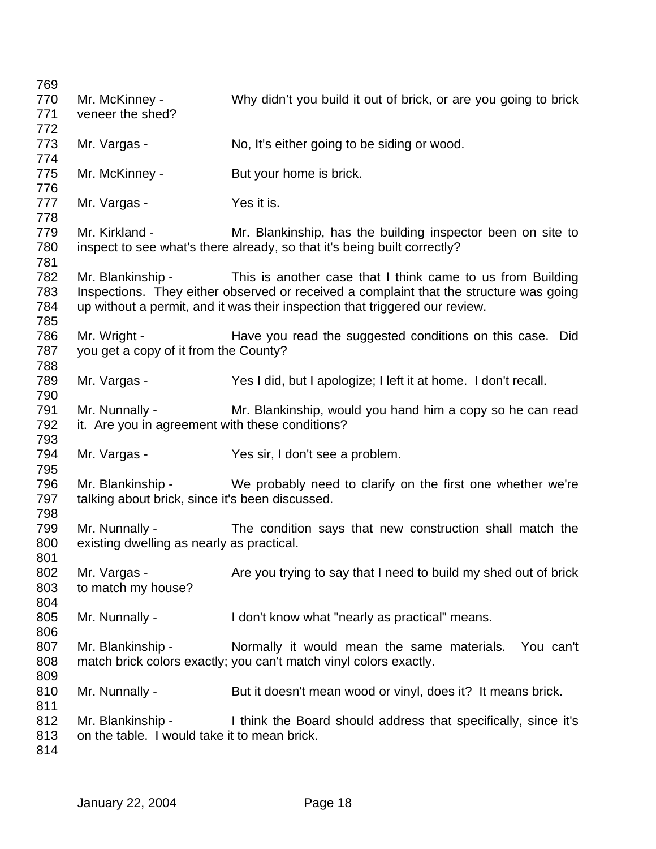| 769 |                                                 |                                                                                        |
|-----|-------------------------------------------------|----------------------------------------------------------------------------------------|
| 770 | Mr. McKinney -                                  | Why didn't you build it out of brick, or are you going to brick                        |
| 771 | veneer the shed?                                |                                                                                        |
| 772 |                                                 |                                                                                        |
| 773 | Mr. Vargas -                                    | No, It's either going to be siding or wood.                                            |
| 774 |                                                 |                                                                                        |
| 775 | Mr. McKinney -                                  | But your home is brick.                                                                |
| 776 |                                                 |                                                                                        |
| 777 | Mr. Vargas -                                    | Yes it is.                                                                             |
| 778 |                                                 |                                                                                        |
| 779 | Mr. Kirkland -                                  | Mr. Blankinship, has the building inspector been on site to                            |
| 780 |                                                 | inspect to see what's there already, so that it's being built correctly?               |
| 781 |                                                 |                                                                                        |
| 782 |                                                 | Mr. Blankinship - This is another case that I think came to us from Building           |
| 783 |                                                 | Inspections. They either observed or received a complaint that the structure was going |
| 784 |                                                 | up without a permit, and it was their inspection that triggered our review.            |
| 785 |                                                 |                                                                                        |
| 786 | Mr. Wright -                                    | Have you read the suggested conditions on this case. Did                               |
| 787 | you get a copy of it from the County?           |                                                                                        |
| 788 |                                                 |                                                                                        |
|     |                                                 |                                                                                        |
| 789 | Mr. Vargas -                                    | Yes I did, but I apologize; I left it at home. I don't recall.                         |
| 790 |                                                 |                                                                                        |
| 791 | Mr. Nunnally -                                  | Mr. Blankinship, would you hand him a copy so he can read                              |
| 792 | it. Are you in agreement with these conditions? |                                                                                        |
| 793 |                                                 |                                                                                        |
| 794 | Mr. Vargas -                                    | Yes sir, I don't see a problem.                                                        |
| 795 |                                                 |                                                                                        |
| 796 | Mr. Blankinship -                               | We probably need to clarify on the first one whether we're                             |
| 797 | talking about brick, since it's been discussed. |                                                                                        |
| 798 |                                                 |                                                                                        |
| 799 | Mr. Nunnally -                                  | The condition says that new construction shall match the                               |
| 800 | existing dwelling as nearly as practical.       |                                                                                        |
| 801 |                                                 |                                                                                        |
| 802 | Mr. Vargas -                                    | Are you trying to say that I need to build my shed out of brick                        |
| 803 | to match my house?                              |                                                                                        |
| 804 |                                                 |                                                                                        |
| 805 | Mr. Nunnally -                                  | I don't know what "nearly as practical" means.                                         |
| 806 |                                                 |                                                                                        |
| 807 | Mr. Blankinship -                               | Normally it would mean the same materials. You can't                                   |
| 808 |                                                 | match brick colors exactly; you can't match vinyl colors exactly.                      |
| 809 |                                                 |                                                                                        |
| 810 | Mr. Nunnally -                                  | But it doesn't mean wood or vinyl, does it? It means brick.                            |
| 811 |                                                 |                                                                                        |
| 812 | Mr. Blankinship -                               | I think the Board should address that specifically, since it's                         |
| 813 | on the table. I would take it to mean brick.    |                                                                                        |
| 814 |                                                 |                                                                                        |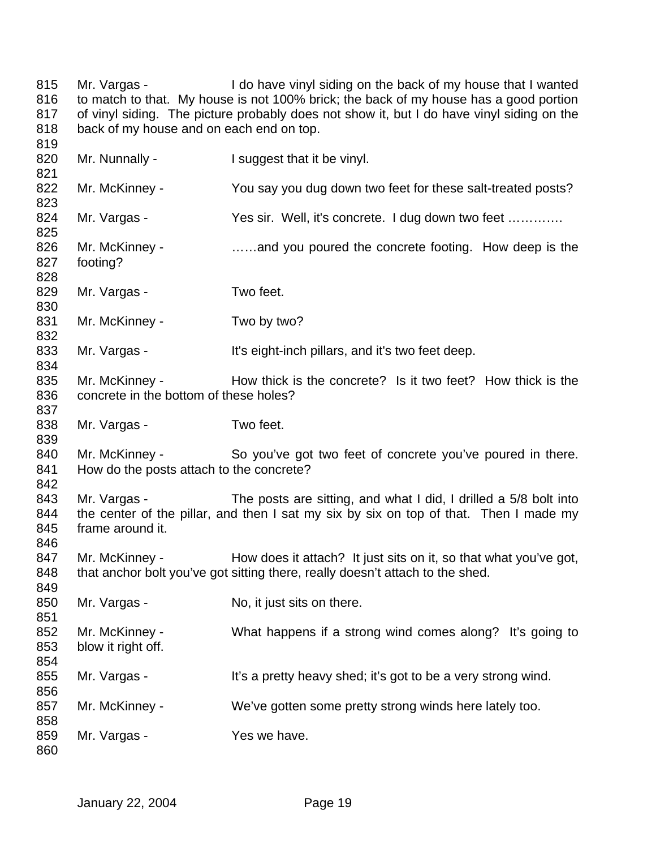815 Mr. Vargas - I do have vinyl siding on the back of my house that I wanted 816 to match to that. My house is not 100% brick; the back of my house has a good portion 817 of vinyl siding. The picture probably does not show it, but I do have vinyl siding on the 818 back of my house and on each end on top. 819

820 Mr. Nunnally - I suggest that it be vinyl. 821 822 Mr. McKinney - You say you dug down two feet for these salt-treated posts? 823 824 Mr. Vargas - Yes sir. Well, it's concrete. I dug down two feet ............. 825 826 Mr. McKinney - ......and you poured the concrete footing. How deep is the 827 footing? 828 829 Mr. Vargas - Two feet. 830 831 Mr. McKinney - Two by two? 832 833 Mr. Vargas - It's eight-inch pillars, and it's two feet deep. 834 835 Mr. McKinney - How thick is the concrete? Is it two feet? How thick is the 836 concrete in the bottom of these holes? 837 838 Mr. Vargas - Two feet. 839 840 Mr. McKinney - So you've got two feet of concrete you've poured in there. 841 How do the posts attach to the concrete? 842 843 Mr. Vargas - The posts are sitting, and what I did, I drilled a 5/8 bolt into 844 the center of the pillar, and then I sat my six by six on top of that. Then I made my 845 frame around it. 846 847 Mr. McKinney - How does it attach? It just sits on it, so that what you've got, 848 that anchor bolt you've got sitting there, really doesn't attach to the shed. 849 850 Mr. Vargas - No, it just sits on there. 851 852 Mr. McKinney - What happens if a strong wind comes along? It's going to 853 blow it right off. 854 855 Mr. Vargas - It's a pretty heavy shed; it's got to be a very strong wind. 856 857 Mr. McKinney - We've gotten some pretty strong winds here lately too. 858 859 Mr. Vargas - Yes we have. 860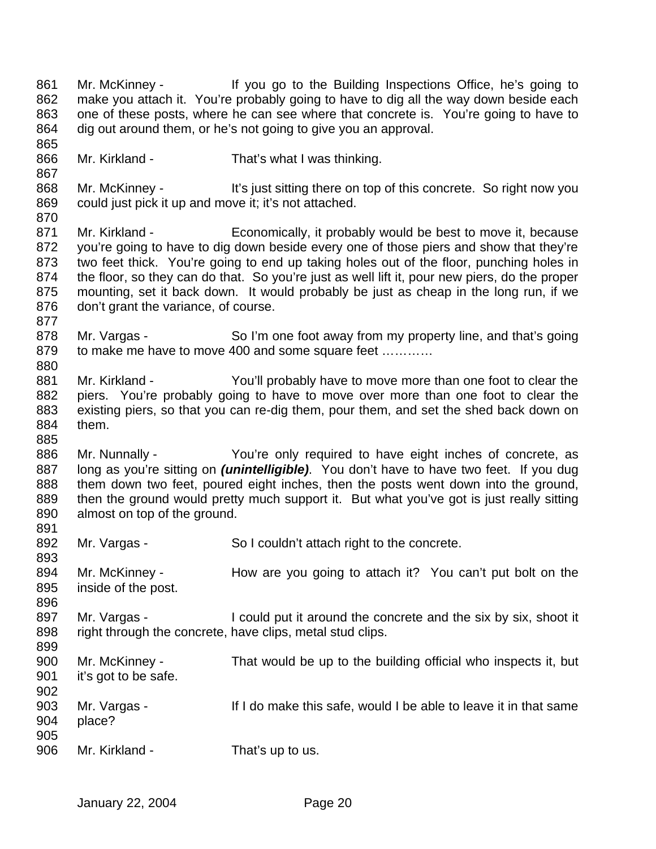Mr. McKinney - If you go to the Building Inspections Office, he's going to make you attach it. You're probably going to have to dig all the way down beside each one of these posts, where he can see where that concrete is. You're going to have to dig out around them, or he's not going to give you an approval. Mr. Kirkland - That's what I was thinking. 868 Mr. McKinney - It's just sitting there on top of this concrete. So right now you could just pick it up and move it; it's not attached. 871 Mr. Kirkland - Economically, it probably would be best to move it, because you're going to have to dig down beside every one of those piers and show that they're two feet thick. You're going to end up taking holes out of the floor, punching holes in the floor, so they can do that. So you're just as well lift it, pour new piers, do the proper mounting, set it back down. It would probably be just as cheap in the long run, if we don't grant the variance, of course. 878 Mr. Vargas - So I'm one foot away from my property line, and that's going 879 to make me have to move 400 and some square feet ............ Mr. Kirkland - You'll probably have to move more than one foot to clear the piers. You're probably going to have to move over more than one foot to clear the existing piers, so that you can re-dig them, pour them, and set the shed back down on them. Mr. Nunnally - You're only required to have eight inches of concrete, as long as you're sitting on *(unintelligible)*. You don't have to have two feet. If you dug them down two feet, poured eight inches, then the posts went down into the ground, 889 then the ground would pretty much support it. But what you've got is just really sitting almost on top of the ground. 892 Mr. Vargas - So I couldn't attach right to the concrete. Mr. McKinney - How are you going to attach it? You can't put bolt on the inside of the post. 897 Mr. Vargas - I could put it around the concrete and the six by six, shoot it 898 right through the concrete, have clips, metal stud clips. Mr. McKinney - That would be up to the building official who inspects it, but it's got to be safe. Mr. Vargas - If I do make this safe, would I be able to leave it in that same place? 906 Mr. Kirkland - That's up to us.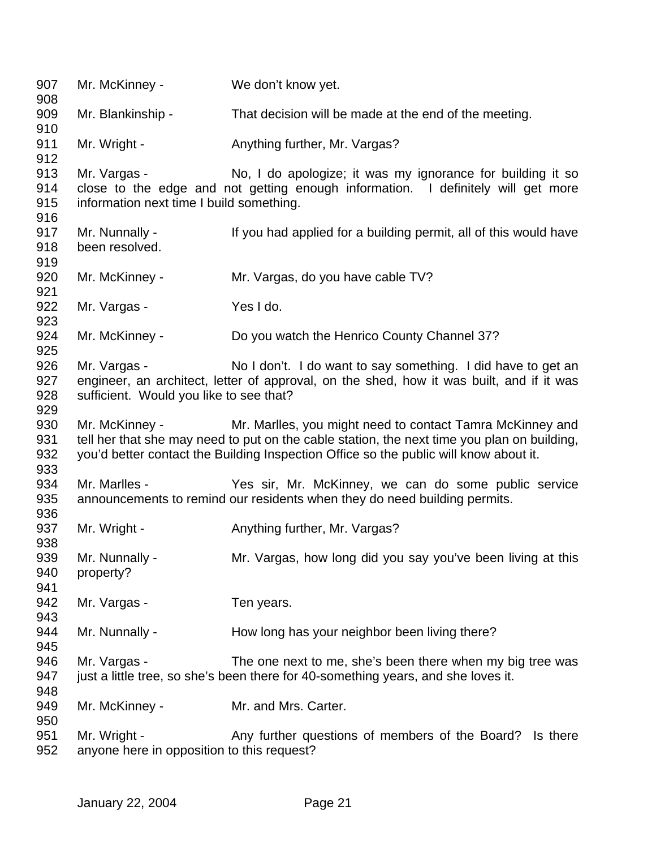| 907<br>908                      | Mr. McKinney -                                             | We don't know yet.                                                                                                                                                                                                                                |
|---------------------------------|------------------------------------------------------------|---------------------------------------------------------------------------------------------------------------------------------------------------------------------------------------------------------------------------------------------------|
| 909<br>910                      | Mr. Blankinship -                                          | That decision will be made at the end of the meeting.                                                                                                                                                                                             |
| 911<br>912                      | Mr. Wright -                                               | Anything further, Mr. Vargas?                                                                                                                                                                                                                     |
| 913<br>914<br>915<br>916        | Mr. Vargas -<br>information next time I build something.   | No, I do apologize; it was my ignorance for building it so<br>close to the edge and not getting enough information. I definitely will get more                                                                                                    |
| 917<br>918<br>919               | Mr. Nunnally -<br>been resolved.                           | If you had applied for a building permit, all of this would have                                                                                                                                                                                  |
| 920<br>921                      | Mr. McKinney -                                             | Mr. Vargas, do you have cable TV?                                                                                                                                                                                                                 |
| 922<br>923                      | Mr. Vargas -                                               | Yes I do.                                                                                                                                                                                                                                         |
| 924<br>925                      | Mr. McKinney -                                             | Do you watch the Henrico County Channel 37?                                                                                                                                                                                                       |
| 926<br>927<br>928               | Mr. Vargas -<br>sufficient. Would you like to see that?    | No I don't. I do want to say something. I did have to get an<br>engineer, an architect, letter of approval, on the shed, how it was built, and if it was                                                                                          |
| 929<br>930<br>931<br>932<br>933 | Mr. McKinney -                                             | Mr. Marlles, you might need to contact Tamra McKinney and<br>tell her that she may need to put on the cable station, the next time you plan on building,<br>you'd better contact the Building Inspection Office so the public will know about it. |
| 934<br>935<br>936               | Mr. Marlles -                                              | Yes sir, Mr. McKinney, we can do some public service<br>announcements to remind our residents when they do need building permits.                                                                                                                 |
| 937<br>938                      | Mr. Wright -                                               | Anything further, Mr. Vargas?                                                                                                                                                                                                                     |
| 939<br>940<br>941               | Mr. Nunnally -<br>property?                                | Mr. Vargas, how long did you say you've been living at this                                                                                                                                                                                       |
| 942<br>943                      | Mr. Vargas -                                               | Ten years.                                                                                                                                                                                                                                        |
| 944<br>945                      | Mr. Nunnally -                                             | How long has your neighbor been living there?                                                                                                                                                                                                     |
| 946<br>947<br>948               | Mr. Vargas -                                               | The one next to me, she's been there when my big tree was<br>just a little tree, so she's been there for 40-something years, and she loves it.                                                                                                    |
| 949<br>950                      | Mr. McKinney -                                             | Mr. and Mrs. Carter.                                                                                                                                                                                                                              |
| 951<br>952                      | Mr. Wright -<br>anyone here in opposition to this request? | Any further questions of members of the Board? Is there                                                                                                                                                                                           |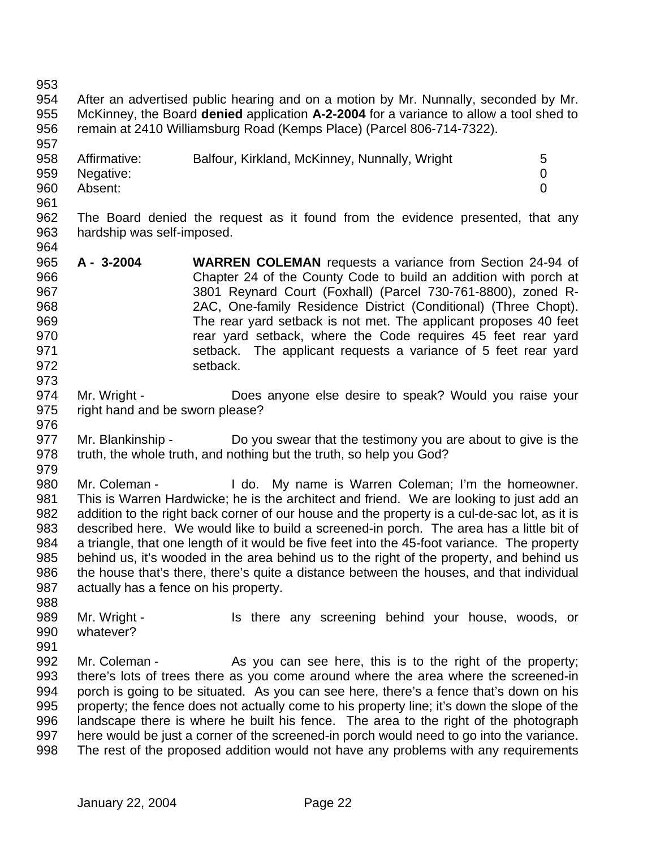After an advertised public hearing and on a motion by Mr. Nunnally, seconded by Mr. McKinney, the Board **denied** application **A-2-2004** for a variance to allow a tool shed to 

 remain at 2410 Williamsburg Road (Kemps Place) (Parcel 806-714-7322). 958 Affirmative: Balfour, Kirkland, McKinney, Nunnally, Wright 5 Negative: 0

- Absent: 0
- 

 The Board denied the request as it found from the evidence presented, that any hardship was self-imposed. 

- **A 3-2004 WARREN COLEMAN** requests a variance from Section 24-94 of Chapter 24 of the County Code to build an addition with porch at 3801 Reynard Court (Foxhall) (Parcel 730-761-8800), zoned R- 2AC, One-family Residence District (Conditional) (Three Chopt). The rear yard setback is not met. The applicant proposes 40 feet **rear yard setback, where the Code requires 45 feet rear yard**  setback. The applicant requests a variance of 5 feet rear yard 972 setback.
- Mr. Wright Does anyone else desire to speak? Would you raise your right hand and be sworn please?
- Mr. Blankinship Do you swear that the testimony you are about to give is the truth, the whole truth, and nothing but the truth, so help you God?
- 

980 Mr. Coleman - I do. My name is Warren Coleman; I'm the homeowner. This is Warren Hardwicke; he is the architect and friend. We are looking to just add an addition to the right back corner of our house and the property is a cul-de-sac lot, as it is described here. We would like to build a screened-in porch. The area has a little bit of a triangle, that one length of it would be five feet into the 45-foot variance. The property behind us, it's wooded in the area behind us to the right of the property, and behind us the house that's there, there's quite a distance between the houses, and that individual actually has a fence on his property.

- 989 Mr. Wright Is there any screening behind your house, woods, or whatever?
- 

992 Mr. Coleman - As you can see here, this is to the right of the property; there's lots of trees there as you come around where the area where the screened-in porch is going to be situated. As you can see here, there's a fence that's down on his property; the fence does not actually come to his property line; it's down the slope of the landscape there is where he built his fence. The area to the right of the photograph here would be just a corner of the screened-in porch would need to go into the variance. The rest of the proposed addition would not have any problems with any requirements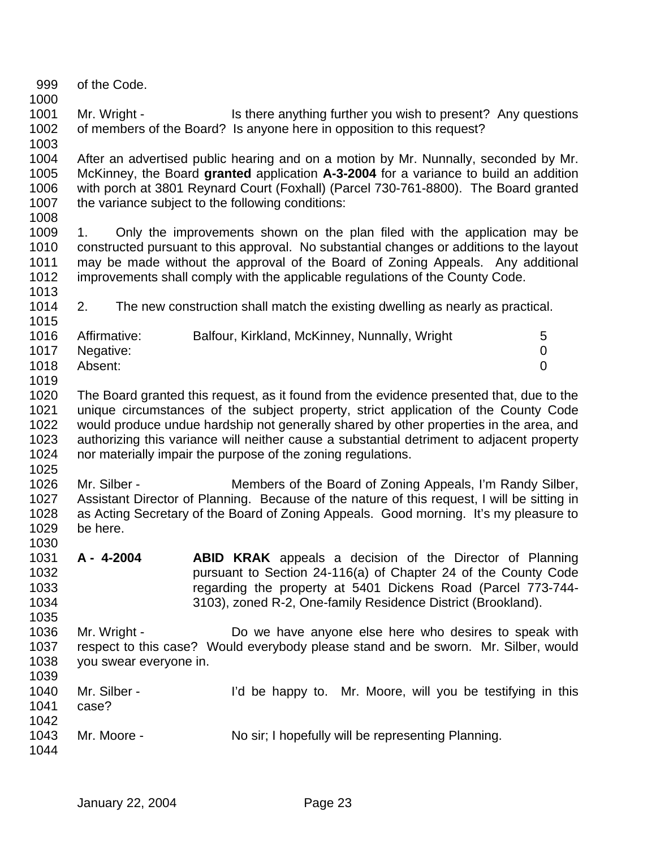- of the Code.
- 1001 Mr. Wright Is there anything further you wish to present? Any questions of members of the Board? Is anyone here in opposition to this request?
- After an advertised public hearing and on a motion by Mr. Nunnally, seconded by Mr. McKinney, the Board **granted** application **A-3-2004** for a variance to build an addition with porch at 3801 Reynard Court (Foxhall) (Parcel 730-761-8800). The Board granted the variance subject to the following conditions:
- 

- 1. Only the improvements shown on the plan filed with the application may be constructed pursuant to this approval. No substantial changes or additions to the layout may be made without the approval of the Board of Zoning Appeals. Any additional improvements shall comply with the applicable regulations of the County Code.
- 2. The new construction shall match the existing dwelling as nearly as practical.

| 1016 | Affirmative: | Balfour, Kirkland, McKinney, Nunnally, Wright | 5 |
|------|--------------|-----------------------------------------------|---|
| 1017 | Negative:    |                                               |   |
| 1018 | Absent:      |                                               |   |
| 1019 |              |                                               |   |

- The Board granted this request, as it found from the evidence presented that, due to the unique circumstances of the subject property, strict application of the County Code would produce undue hardship not generally shared by other properties in the area, and authorizing this variance will neither cause a substantial detriment to adjacent property nor materially impair the purpose of the zoning regulations.
- 

- 1026 Mr. Silber Members of the Board of Zoning Appeals, I'm Randy Silber, Assistant Director of Planning. Because of the nature of this request, I will be sitting in as Acting Secretary of the Board of Zoning Appeals. Good morning. It's my pleasure to be here.
- **A 4-2004 ABID KRAK** appeals a decision of the Director of Planning pursuant to Section 24-116(a) of Chapter 24 of the County Code regarding the property at 5401 Dickens Road (Parcel 773-744- 3103), zoned R-2, One-family Residence District (Brookland).
- Mr. Wright Do we have anyone else here who desires to speak with respect to this case? Would everybody please stand and be sworn. Mr. Silber, would you swear everyone in.

| .<br>1040<br>1041 | Mr. Silber -<br>case? | I'd be happy to. Mr. Moore, will you be testifying in this |
|-------------------|-----------------------|------------------------------------------------------------|
| 1042              |                       |                                                            |
| 1043              | Mr. Moore -           | No sir; I hopefully will be representing Planning.         |
| 1044              |                       |                                                            |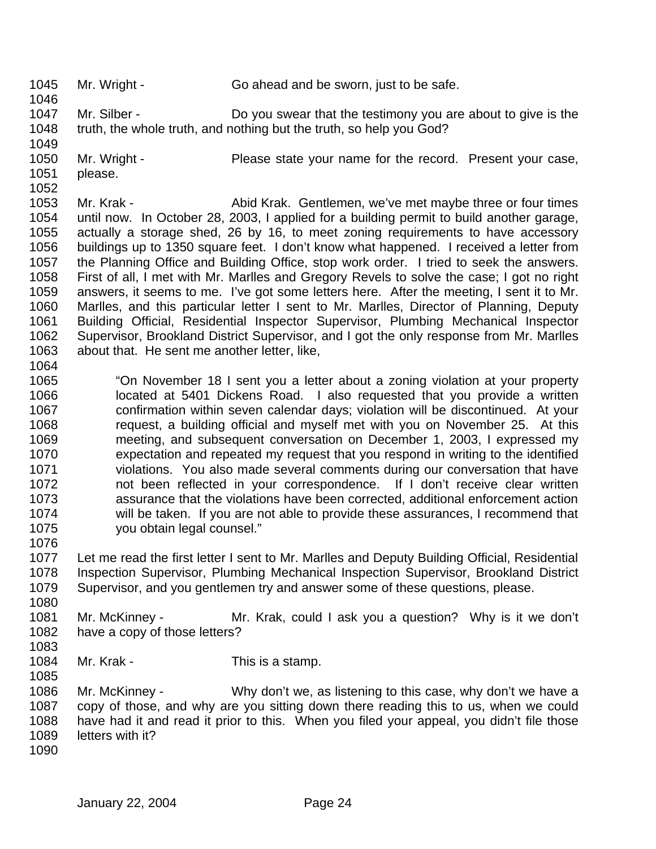Mr. Wright - Go ahead and be sworn, just to be safe. Mr. Silber - Do you swear that the testimony you are about to give is the truth, the whole truth, and nothing but the truth, so help you God? 1050 Mr. Wright - Please state your name for the record. Present your case, please. Mr. Krak - Abid Krak. Gentlemen, we've met maybe three or four times until now. In October 28, 2003, I applied for a building permit to build another garage, actually a storage shed, 26 by 16, to meet zoning requirements to have accessory buildings up to 1350 square feet. I don't know what happened. I received a letter from the Planning Office and Building Office, stop work order. I tried to seek the answers. First of all, I met with Mr. Marlles and Gregory Revels to solve the case; I got no right answers, it seems to me. I've got some letters here. After the meeting, I sent it to Mr. Marlles, and this particular letter I sent to Mr. Marlles, Director of Planning, Deputy Building Official, Residential Inspector Supervisor, Plumbing Mechanical Inspector Supervisor, Brookland District Supervisor, and I got the only response from Mr. Marlles about that. He sent me another letter, like, "On November 18 I sent you a letter about a zoning violation at your property located at 5401 Dickens Road. I also requested that you provide a written confirmation within seven calendar days; violation will be discontinued. At your request, a building official and myself met with you on November 25. At this meeting, and subsequent conversation on December 1, 2003, I expressed my expectation and repeated my request that you respond in writing to the identified violations. You also made several comments during our conversation that have not been reflected in your correspondence. If I don't receive clear written assurance that the violations have been corrected, additional enforcement action will be taken. If you are not able to provide these assurances, I recommend that you obtain legal counsel." Let me read the first letter I sent to Mr. Marlles and Deputy Building Official, Residential Inspection Supervisor, Plumbing Mechanical Inspection Supervisor, Brookland District Supervisor, and you gentlemen try and answer some of these questions, please. Mr. McKinney - Mr. Krak, could I ask you a question? Why is it we don't have a copy of those letters? 1084 Mr. Krak - This is a stamp. Mr. McKinney - Why don't we, as listening to this case, why don't we have a copy of those, and why are you sitting down there reading this to us, when we could have had it and read it prior to this. When you filed your appeal, you didn't file those letters with it?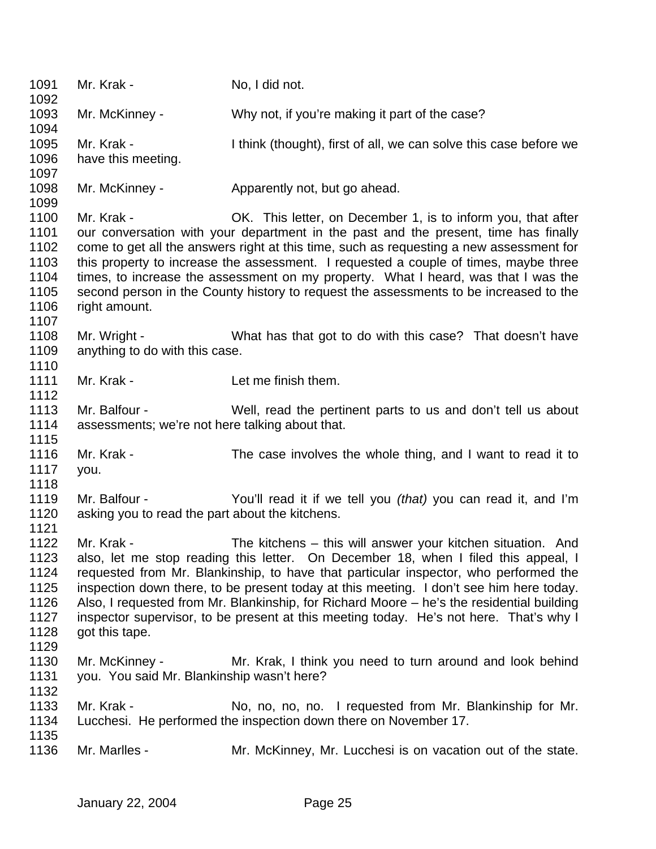| 1091<br>1092                                                 | Mr. Krak -                                                                                                                                                                                                                                                                                                                                                                                                                                                                                                                                                  | No, I did not.                                                                                                                                                                                                                                                                                                                                                                                                                                                                                                        |  |
|--------------------------------------------------------------|-------------------------------------------------------------------------------------------------------------------------------------------------------------------------------------------------------------------------------------------------------------------------------------------------------------------------------------------------------------------------------------------------------------------------------------------------------------------------------------------------------------------------------------------------------------|-----------------------------------------------------------------------------------------------------------------------------------------------------------------------------------------------------------------------------------------------------------------------------------------------------------------------------------------------------------------------------------------------------------------------------------------------------------------------------------------------------------------------|--|
| 1093<br>1094                                                 | Mr. McKinney -                                                                                                                                                                                                                                                                                                                                                                                                                                                                                                                                              | Why not, if you're making it part of the case?                                                                                                                                                                                                                                                                                                                                                                                                                                                                        |  |
| 1095<br>1096<br>1097                                         | Mr. Krak -<br>have this meeting.                                                                                                                                                                                                                                                                                                                                                                                                                                                                                                                            | I think (thought), first of all, we can solve this case before we                                                                                                                                                                                                                                                                                                                                                                                                                                                     |  |
| 1098<br>1099                                                 | Mr. McKinney -                                                                                                                                                                                                                                                                                                                                                                                                                                                                                                                                              | Apparently not, but go ahead.                                                                                                                                                                                                                                                                                                                                                                                                                                                                                         |  |
| 1100<br>1101<br>1102<br>1103<br>1104<br>1105<br>1106<br>1107 | Mr. Krak -<br>right amount.                                                                                                                                                                                                                                                                                                                                                                                                                                                                                                                                 | OK. This letter, on December 1, is to inform you, that after<br>our conversation with your department in the past and the present, time has finally<br>come to get all the answers right at this time, such as requesting a new assessment for<br>this property to increase the assessment. I requested a couple of times, maybe three<br>times, to increase the assessment on my property. What I heard, was that I was the<br>second person in the County history to request the assessments to be increased to the |  |
| 1108<br>1109<br>1110                                         | Mr. Wright -<br>anything to do with this case.                                                                                                                                                                                                                                                                                                                                                                                                                                                                                                              | What has that got to do with this case? That doesn't have                                                                                                                                                                                                                                                                                                                                                                                                                                                             |  |
| 1111<br>1112                                                 | Mr. Krak -                                                                                                                                                                                                                                                                                                                                                                                                                                                                                                                                                  | Let me finish them.                                                                                                                                                                                                                                                                                                                                                                                                                                                                                                   |  |
| 1113<br>1114<br>1115                                         | Mr. Balfour -<br>assessments; we're not here talking about that.                                                                                                                                                                                                                                                                                                                                                                                                                                                                                            | Well, read the pertinent parts to us and don't tell us about                                                                                                                                                                                                                                                                                                                                                                                                                                                          |  |
| 1116<br>1117<br>1118                                         | Mr. Krak -<br>you.                                                                                                                                                                                                                                                                                                                                                                                                                                                                                                                                          | The case involves the whole thing, and I want to read it to                                                                                                                                                                                                                                                                                                                                                                                                                                                           |  |
| 1119<br>1120<br>1121                                         | Mr. Balfour -<br>asking you to read the part about the kitchens.                                                                                                                                                                                                                                                                                                                                                                                                                                                                                            | You'll read it if we tell you (that) you can read it, and I'm                                                                                                                                                                                                                                                                                                                                                                                                                                                         |  |
| 1122<br>1123<br>1124<br>1125<br>1126<br>1127<br>1128<br>1129 | Mr. Krak -<br>The kitchens – this will answer your kitchen situation. And<br>also, let me stop reading this letter. On December 18, when I filed this appeal, I<br>requested from Mr. Blankinship, to have that particular inspector, who performed the<br>inspection down there, to be present today at this meeting. I don't see him here today.<br>Also, I requested from Mr. Blankinship, for Richard Moore - he's the residential building<br>inspector supervisor, to be present at this meeting today. He's not here. That's why I<br>got this tape. |                                                                                                                                                                                                                                                                                                                                                                                                                                                                                                                       |  |
| 1130<br>1131<br>1132                                         | Mr. McKinney -<br>you. You said Mr. Blankinship wasn't here?                                                                                                                                                                                                                                                                                                                                                                                                                                                                                                | Mr. Krak, I think you need to turn around and look behind                                                                                                                                                                                                                                                                                                                                                                                                                                                             |  |
| 1133<br>1134                                                 | Mr. Krak -                                                                                                                                                                                                                                                                                                                                                                                                                                                                                                                                                  | No, no, no, no. I requested from Mr. Blankinship for Mr.<br>Lucchesi. He performed the inspection down there on November 17.                                                                                                                                                                                                                                                                                                                                                                                          |  |
| 1135<br>1136                                                 | Mr. Marlles -                                                                                                                                                                                                                                                                                                                                                                                                                                                                                                                                               | Mr. McKinney, Mr. Lucchesi is on vacation out of the state.                                                                                                                                                                                                                                                                                                                                                                                                                                                           |  |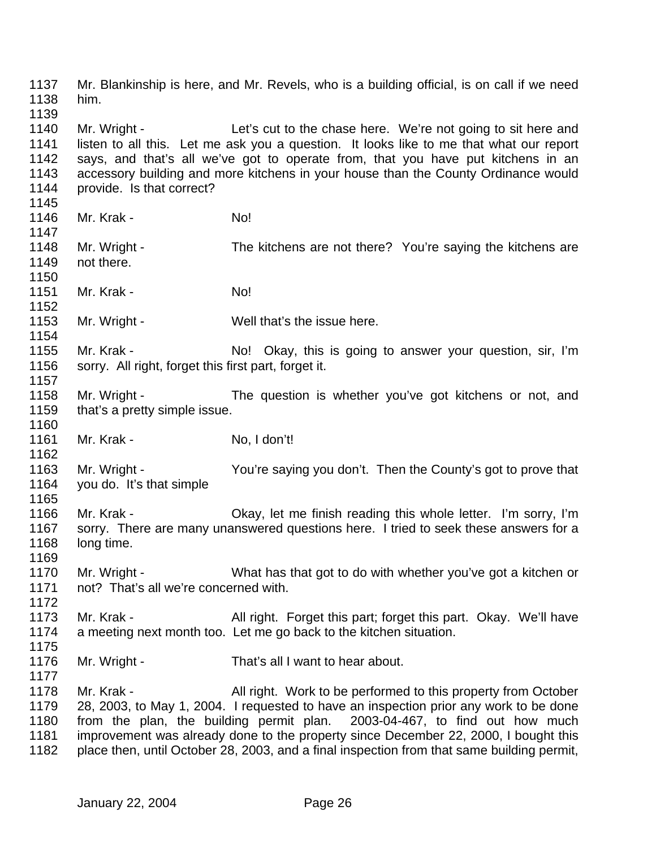Mr. Blankinship is here, and Mr. Revels, who is a building official, is on call if we need him. 1140 Mr. Wright - Let's cut to the chase here. We're not going to sit here and listen to all this. Let me ask you a question. It looks like to me that what our report says, and that's all we've got to operate from, that you have put kitchens in an accessory building and more kitchens in your house than the County Ordinance would provide. Is that correct? 1146 Mr. Krak - No! 1148 Mr. Wright - The kitchens are not there? You're saying the kitchens are not there. 1151 Mr. Krak - No! 1153 Mr. Wright - Well that's the issue here. 1155 Mr. Krak - No! Okay, this is going to answer your question, sir, I'm sorry. All right, forget this first part, forget it. Mr. Wright - The question is whether you've got kitchens or not, and 1159 that's a pretty simple issue. 1161 Mr. Krak - No. I don't! Mr. Wright - You're saying you don't. Then the County's got to prove that you do. It's that simple Mr. Krak - Okay, let me finish reading this whole letter. I'm sorry, I'm sorry. There are many unanswered questions here. I tried to seek these answers for a long time. Mr. Wright - What has that got to do with whether you've got a kitchen or not? That's all we're concerned with. 1173 Mr. Krak - All right. Forget this part; forget this part. Okay. We'll have a meeting next month too. Let me go back to the kitchen situation. Mr. Wright - That's all I want to hear about. 1178 Mr. Krak - All right. Work to be performed to this property from October 28, 2003, to May 1, 2004. I requested to have an inspection prior any work to be done from the plan, the building permit plan. 2003-04-467, to find out how much improvement was already done to the property since December 22, 2000, I bought this place then, until October 28, 2003, and a final inspection from that same building permit,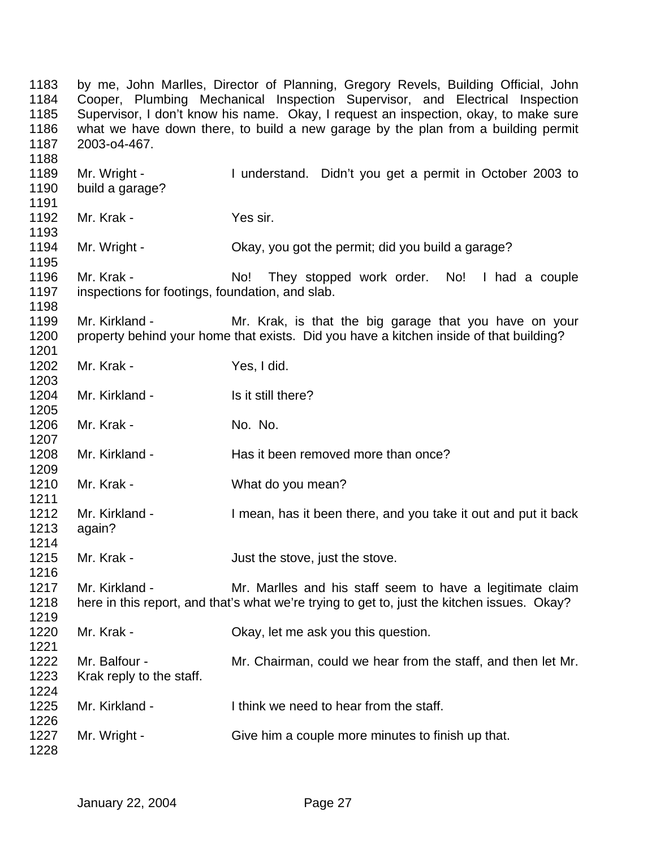by me, John Marlles, Director of Planning, Gregory Revels, Building Official, John Cooper, Plumbing Mechanical Inspection Supervisor, and Electrical Inspection Supervisor, I don't know his name. Okay, I request an inspection, okay, to make sure what we have down there, to build a new garage by the plan from a building permit 2003-o4-467. Mr. Wright - I understand. Didn't you get a permit in October 2003 to build a garage? 1192 Mr. Krak - Yes sir. Mr. Wright - Okay, you got the permit; did you build a garage? Mr. Krak - No! They stopped work order. No! I had a couple inspections for footings, foundation, and slab. 1199 Mr. Kirkland - Mr. Krak, is that the big garage that you have on your property behind your home that exists. Did you have a kitchen inside of that building? 1202 Mr. Krak - Yes, I did. 1204 Mr. Kirkland - Is it still there? 1206 Mr. Krak - No. No. No. Mr. Kirkland - Has it been removed more than once? Mr. Krak - What do you mean? 1212 Mr. Kirkland - I mean, has it been there, and you take it out and put it back again? 1215 Mr. Krak - Just the stove, just the stove. Mr. Kirkland - Mr. Marlles and his staff seem to have a legitimate claim here in this report, and that's what we're trying to get to, just the kitchen issues. Okay? 1220 Mr. Krak - Chay, let me ask you this question. Mr. Balfour - Mr. Chairman, could we hear from the staff, and then let Mr. Krak reply to the staff. Mr. Kirkland - I think we need to hear from the staff. 1227 Mr. Wright - Give him a couple more minutes to finish up that.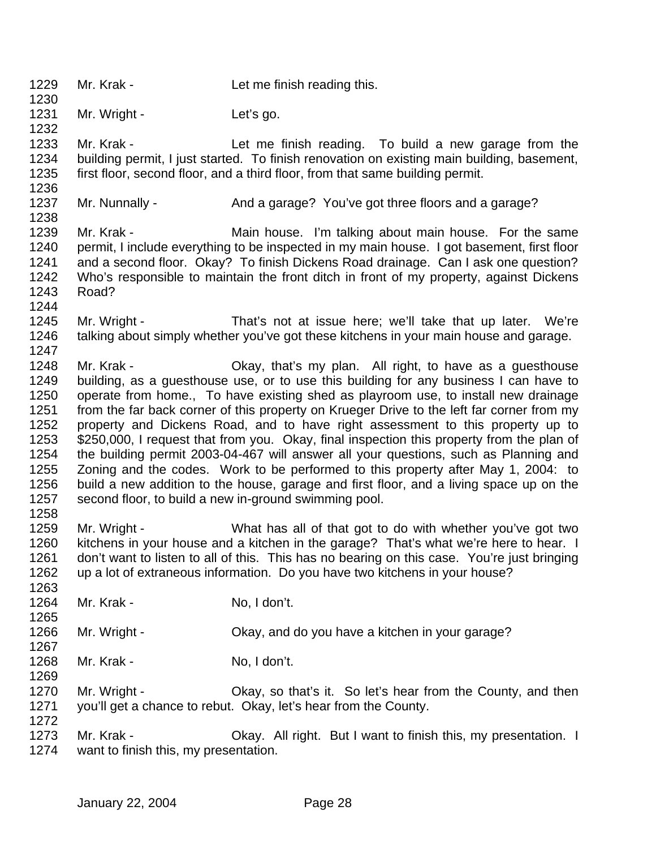- 1229 Mr. Krak Let me finish reading this.
- 1231 Mr. Wright Let's go.

 Mr. Krak - Let me finish reading. To build a new garage from the building permit, I just started. To finish renovation on existing main building, basement, first floor, second floor, and a third floor, from that same building permit.

1237 Mr. Nunnally - And a garage? You've got three floors and a garage? 

1239 Mr. Krak - Main house. I'm talking about main house. For the same permit, I include everything to be inspected in my main house. I got basement, first floor and a second floor. Okay? To finish Dickens Road drainage. Can I ask one question? Who's responsible to maintain the front ditch in front of my property, against Dickens Road?

- Mr. Wright That's not at issue here; we'll take that up later. We're talking about simply whether you've got these kitchens in your main house and garage.
- Mr. Krak Okay, that's my plan. All right, to have as a guesthouse building, as a guesthouse use, or to use this building for any business I can have to operate from home., To have existing shed as playroom use, to install new drainage 1251 from the far back corner of this property on Krueger Drive to the left far corner from my property and Dickens Road, and to have right assessment to this property up to 1253 \$250,000, I request that from you. Okay, final inspection this property from the plan of the building permit 2003-04-467 will answer all your questions, such as Planning and Zoning and the codes. Work to be performed to this property after May 1, 2004: to build a new addition to the house, garage and first floor, and a living space up on the second floor, to build a new in-ground swimming pool.
- Mr. Wright What has all of that got to do with whether you've got two kitchens in your house and a kitchen in the garage? That's what we're here to hear. I don't want to listen to all of this. This has no bearing on this case. You're just bringing up a lot of extraneous information. Do you have two kitchens in your house?
- 1264 Mr. Krak No, I don't.
- Mr. Wright Okay, and do you have a kitchen in your garage?
- 

- 1268 Mr. Krak No. I don't.
- Mr. Wright Okay, so that's it. So let's hear from the County, and then you'll get a chance to rebut. Okay, let's hear from the County.
- 1273 Mr. Krak Ckay. All right. But I want to finish this, my presentation. I want to finish this, my presentation.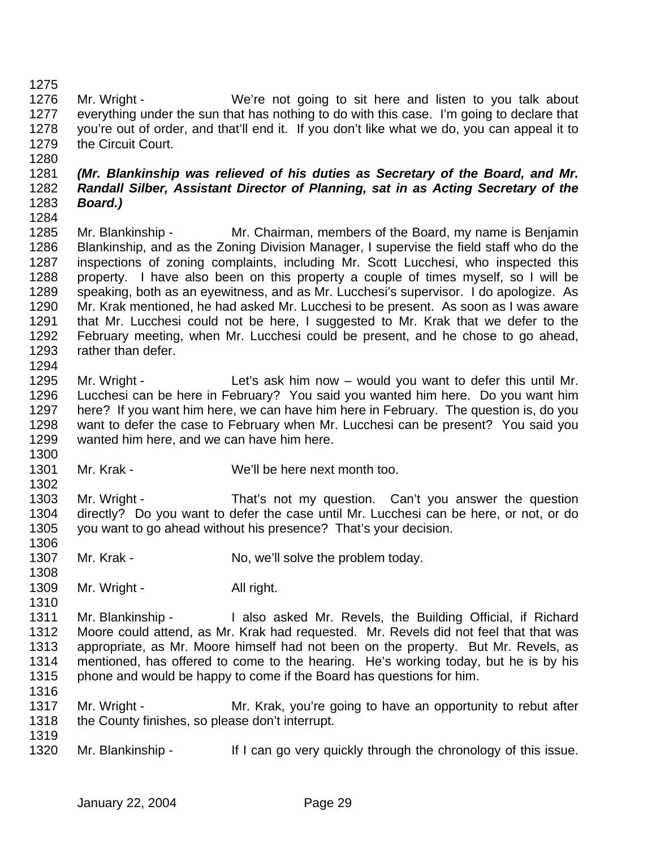Mr. Wright - We're not going to sit here and listen to you talk about everything under the sun that has nothing to do with this case. I'm going to declare that you're out of order, and that'll end it. If you don't like what we do, you can appeal it to the Circuit Court.

## *(Mr. Blankinship was relieved of his duties as Secretary of the Board, and Mr. Randall Silber, Assistant Director of Planning, sat in as Acting Secretary of the Board.)*

 Mr. Blankinship - Mr. Chairman, members of the Board, my name is Benjamin Blankinship, and as the Zoning Division Manager, I supervise the field staff who do the inspections of zoning complaints, including Mr. Scott Lucchesi, who inspected this property. I have also been on this property a couple of times myself, so I will be speaking, both as an eyewitness, and as Mr. Lucchesi's supervisor. I do apologize. As Mr. Krak mentioned, he had asked Mr. Lucchesi to be present. As soon as I was aware that Mr. Lucchesi could not be here, I suggested to Mr. Krak that we defer to the February meeting, when Mr. Lucchesi could be present, and he chose to go ahead, rather than defer. 

 Mr. Wright - Let's ask him now – would you want to defer this until Mr. Lucchesi can be here in February? You said you wanted him here. Do you want him here? If you want him here, we can have him here in February. The question is, do you want to defer the case to February when Mr. Lucchesi can be present? You said you wanted him here, and we can have him here.

Mr. Krak - We'll be here next month too.

 1303 Mr. Wright - That's not my question. Can't you answer the question directly? Do you want to defer the case until Mr. Lucchesi can be here, or not, or do you want to go ahead without his presence? That's your decision. 

- 1307 Mr. Krak No, we'll solve the problem today.
- 1309 Mr. Wright All right.

1311 Mr. Blankinship - I also asked Mr. Revels, the Building Official, if Richard Moore could attend, as Mr. Krak had requested. Mr. Revels did not feel that that was appropriate, as Mr. Moore himself had not been on the property. But Mr. Revels, as mentioned, has offered to come to the hearing. He's working today, but he is by his phone and would be happy to come if the Board has questions for him. 

- 1317 Mr. Wright Mr. Krak, you're going to have an opportunity to rebut after 1318 the County finishes, so please don't interrupt.
- 1320 Mr. Blankinship If I can go very quickly through the chronology of this issue.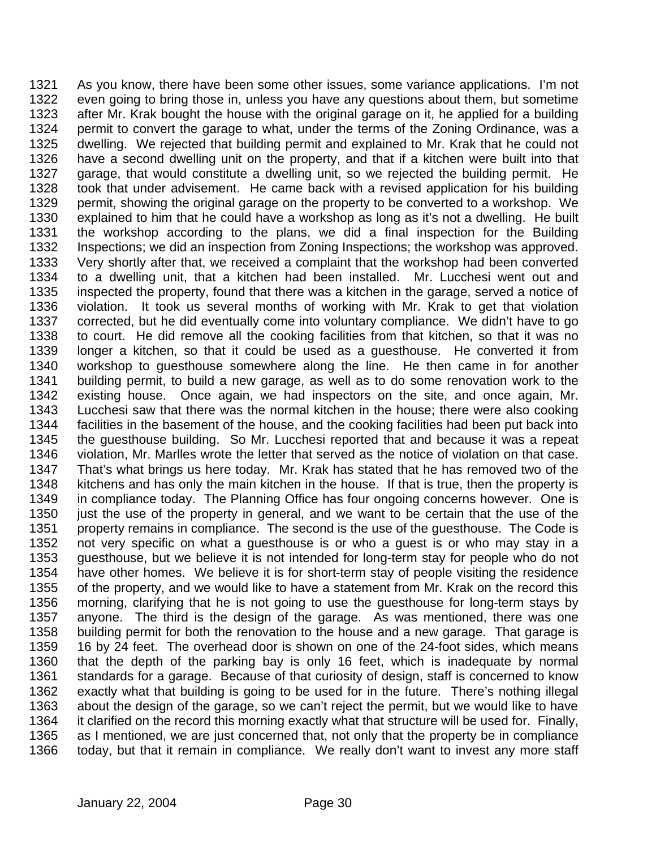As you know, there have been some other issues, some variance applications. I'm not even going to bring those in, unless you have any questions about them, but sometime after Mr. Krak bought the house with the original garage on it, he applied for a building permit to convert the garage to what, under the terms of the Zoning Ordinance, was a dwelling. We rejected that building permit and explained to Mr. Krak that he could not have a second dwelling unit on the property, and that if a kitchen were built into that garage, that would constitute a dwelling unit, so we rejected the building permit. He took that under advisement. He came back with a revised application for his building permit, showing the original garage on the property to be converted to a workshop. We explained to him that he could have a workshop as long as it's not a dwelling. He built the workshop according to the plans, we did a final inspection for the Building Inspections; we did an inspection from Zoning Inspections; the workshop was approved. Very shortly after that, we received a complaint that the workshop had been converted to a dwelling unit, that a kitchen had been installed. Mr. Lucchesi went out and inspected the property, found that there was a kitchen in the garage, served a notice of violation. It took us several months of working with Mr. Krak to get that violation corrected, but he did eventually come into voluntary compliance. We didn't have to go to court. He did remove all the cooking facilities from that kitchen, so that it was no longer a kitchen, so that it could be used as a guesthouse. He converted it from workshop to guesthouse somewhere along the line. He then came in for another building permit, to build a new garage, as well as to do some renovation work to the existing house. Once again, we had inspectors on the site, and once again, Mr. Lucchesi saw that there was the normal kitchen in the house; there were also cooking facilities in the basement of the house, and the cooking facilities had been put back into the guesthouse building. So Mr. Lucchesi reported that and because it was a repeat violation, Mr. Marlles wrote the letter that served as the notice of violation on that case. That's what brings us here today. Mr. Krak has stated that he has removed two of the kitchens and has only the main kitchen in the house. If that is true, then the property is 1349 in compliance today. The Planning Office has four ongoing concerns however. One is 1350 just the use of the property in general, and we want to be certain that the use of the property remains in compliance. The second is the use of the guesthouse. The Code is not very specific on what a guesthouse is or who a guest is or who may stay in a guesthouse, but we believe it is not intended for long-term stay for people who do not have other homes. We believe it is for short-term stay of people visiting the residence of the property, and we would like to have a statement from Mr. Krak on the record this morning, clarifying that he is not going to use the guesthouse for long-term stays by anyone. The third is the design of the garage. As was mentioned, there was one building permit for both the renovation to the house and a new garage. That garage is 16 by 24 feet. The overhead door is shown on one of the 24-foot sides, which means that the depth of the parking bay is only 16 feet, which is inadequate by normal standards for a garage. Because of that curiosity of design, staff is concerned to know exactly what that building is going to be used for in the future. There's nothing illegal about the design of the garage, so we can't reject the permit, but we would like to have it clarified on the record this morning exactly what that structure will be used for. Finally, as I mentioned, we are just concerned that, not only that the property be in compliance today, but that it remain in compliance. We really don't want to invest any more staff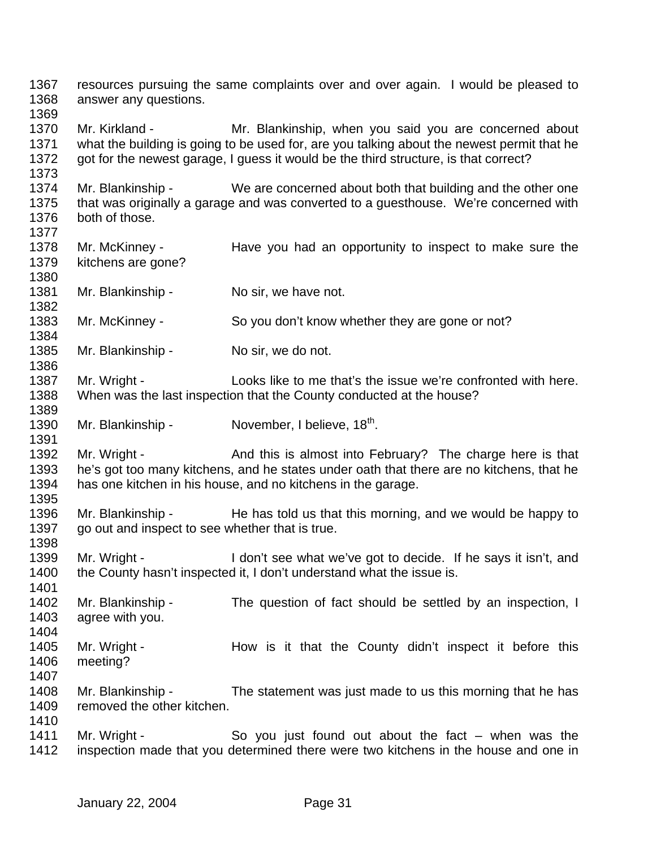resources pursuing the same complaints over and over again. I would be pleased to answer any questions. 1370 Mr. Kirkland - Mr. Blankinship, when you said you are concerned about what the building is going to be used for, are you talking about the newest permit that he got for the newest garage, I guess it would be the third structure, is that correct? Mr. Blankinship - We are concerned about both that building and the other one that was originally a garage and was converted to a guesthouse. We're concerned with both of those. 1378 Mr. McKinney - Have you had an opportunity to inspect to make sure the kitchens are gone? 1381 Mr. Blankinship - No sir, we have not. 1383 Mr. McKinney - So you don't know whether they are gone or not? 1385 Mr. Blankinship - No sir, we do not. Mr. Wright - Looks like to me that's the issue we're confronted with here. When was the last inspection that the County conducted at the house? 1390 Mr. Blankinship - November, I believe, 18<sup>th</sup>. 1392 Mr. Wright - And this is almost into February? The charge here is that 1393 he's got too many kitchens, and he states under oath that there are no kitchens, that he 1394 has one kitchen in his house, and no kitchens in the garage. 1396 Mr. Blankinship - He has told us that this morning, and we would be happy to go out and inspect to see whether that is true. 1399 Mr. Wright - I don't see what we've got to decide. If he says it isn't, and 1400 the County hasn't inspected it, I don't understand what the issue is. Mr. Blankinship - The question of fact should be settled by an inspection, I agree with you. 1405 Mr. Wright - How is it that the County didn't inspect it before this meeting? Mr. Blankinship - The statement was just made to us this morning that he has 1409 removed the other kitchen. 1411 Mr. Wright - So you just found out about the fact – when was the inspection made that you determined there were two kitchens in the house and one in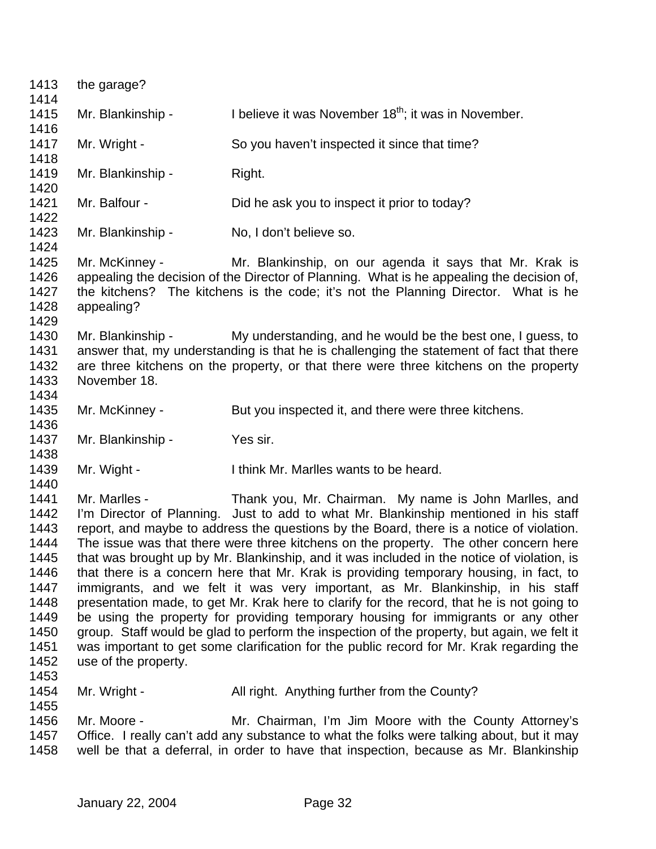the garage? 1415 Mr. Blankinship - I believe it was November  $18<sup>th</sup>$ ; it was in November. 1417 Mr. Wright - So you haven't inspected it since that time? 1419 Mr. Blankinship - Right. Mr. Balfour - Did he ask you to inspect it prior to today? 1423 Mr. Blankinship - No, I don't believe so. Mr. McKinney - Mr. Blankinship, on our agenda it says that Mr. Krak is 1426 appealing the decision of the Director of Planning. What is he appealing the decision of,<br>1427 the kitchens? The kitchens is the code: it's not the Planning Director. What is he the kitchens? The kitchens is the code; it's not the Planning Director. What is he appealing? Mr. Blankinship - My understanding, and he would be the best one, I guess, to answer that, my understanding is that he is challenging the statement of fact that there are three kitchens on the property, or that there were three kitchens on the property November 18. 1435 Mr. McKinney - But you inspected it, and there were three kitchens. 1437 Mr. Blankinship - Yes sir. Mr. Wight - I think Mr. Marlles wants to be heard. Mr. Marlles - Thank you, Mr. Chairman. My name is John Marlles, and I'm Director of Planning. Just to add to what Mr. Blankinship mentioned in his staff report, and maybe to address the questions by the Board, there is a notice of violation. The issue was that there were three kitchens on the property. The other concern here that was brought up by Mr. Blankinship, and it was included in the notice of violation, is that there is a concern here that Mr. Krak is providing temporary housing, in fact, to immigrants, and we felt it was very important, as Mr. Blankinship, in his staff 1448 presentation made, to get Mr. Krak here to clarify for the record, that he is not going to be using the property for providing temporary housing for immigrants or any other group. Staff would be glad to perform the inspection of the property, but again, we felt it was important to get some clarification for the public record for Mr. Krak regarding the use of the property. 1454 Mr. Wright - All right. Anything further from the County? Mr. Moore - Mr. Chairman, I'm Jim Moore with the County Attorney's Office. I really can't add any substance to what the folks were talking about, but it may well be that a deferral, in order to have that inspection, because as Mr. Blankinship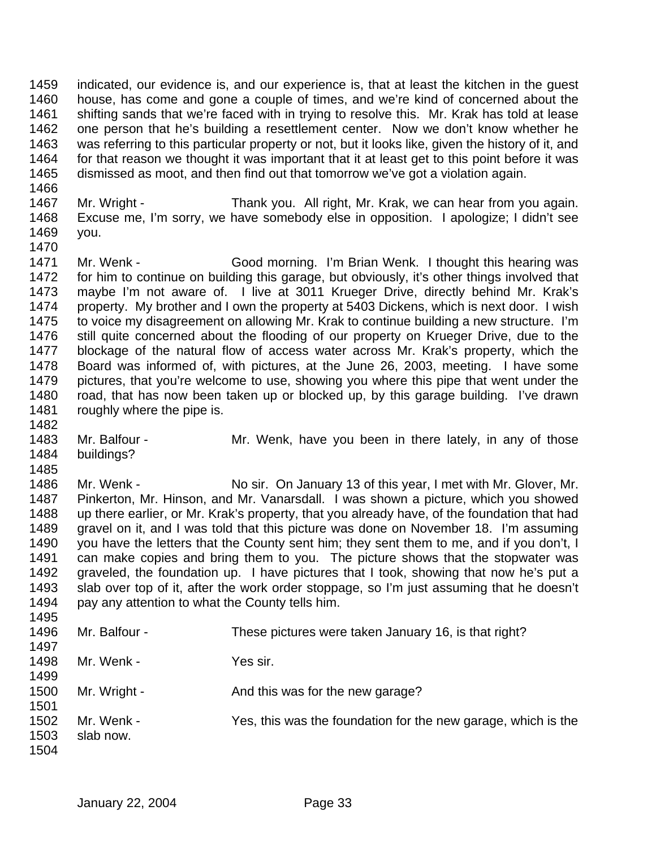indicated, our evidence is, and our experience is, that at least the kitchen in the guest house, has come and gone a couple of times, and we're kind of concerned about the shifting sands that we're faced with in trying to resolve this. Mr. Krak has told at lease one person that he's building a resettlement center. Now we don't know whether he was referring to this particular property or not, but it looks like, given the history of it, and for that reason we thought it was important that it at least get to this point before it was dismissed as moot, and then find out that tomorrow we've got a violation again.

- 
- Mr. Wright Thank you. All right, Mr. Krak, we can hear from you again. Excuse me, I'm sorry, we have somebody else in opposition. I apologize; I didn't see you.
- 

 Mr. Wenk - Good morning. I'm Brian Wenk. I thought this hearing was for him to continue on building this garage, but obviously, it's other things involved that maybe I'm not aware of. I live at 3011 Krueger Drive, directly behind Mr. Krak's property. My brother and I own the property at 5403 Dickens, which is next door. I wish to voice my disagreement on allowing Mr. Krak to continue building a new structure. I'm still quite concerned about the flooding of our property on Krueger Drive, due to the blockage of the natural flow of access water across Mr. Krak's property, which the Board was informed of, with pictures, at the June 26, 2003, meeting. I have some pictures, that you're welcome to use, showing you where this pipe that went under the road, that has now been taken up or blocked up, by this garage building. I've drawn 1481 roughly where the pipe is. 

- 1483 Mr. Balfour Mr. Wenk, have you been in there lately, in any of those buildings?
- 

 Mr. Wenk - No sir. On January 13 of this year, I met with Mr. Glover, Mr. Pinkerton, Mr. Hinson, and Mr. Vanarsdall. I was shown a picture, which you showed up there earlier, or Mr. Krak's property, that you already have, of the foundation that had gravel on it, and I was told that this picture was done on November 18. I'm assuming 1490 you have the letters that the County sent him; they sent them to me, and if you don't, I can make copies and bring them to you. The picture shows that the stopwater was graveled, the foundation up. I have pictures that I took, showing that now he's put a slab over top of it, after the work order stoppage, so I'm just assuming that he doesn't pay any attention to what the County tells him. 

| 1496 | Mr. Balfour - | These pictures were taken January 16, is that right?          |
|------|---------------|---------------------------------------------------------------|
| 1497 |               |                                                               |
| 1498 | Mr. Wenk -    | Yes sir.                                                      |
| 1499 |               |                                                               |
| 1500 | Mr. Wright -  | And this was for the new garage?                              |
| 1501 |               |                                                               |
| 1502 | Mr. Wenk -    | Yes, this was the foundation for the new garage, which is the |
| 1503 | slab now.     |                                                               |
| 1504 |               |                                                               |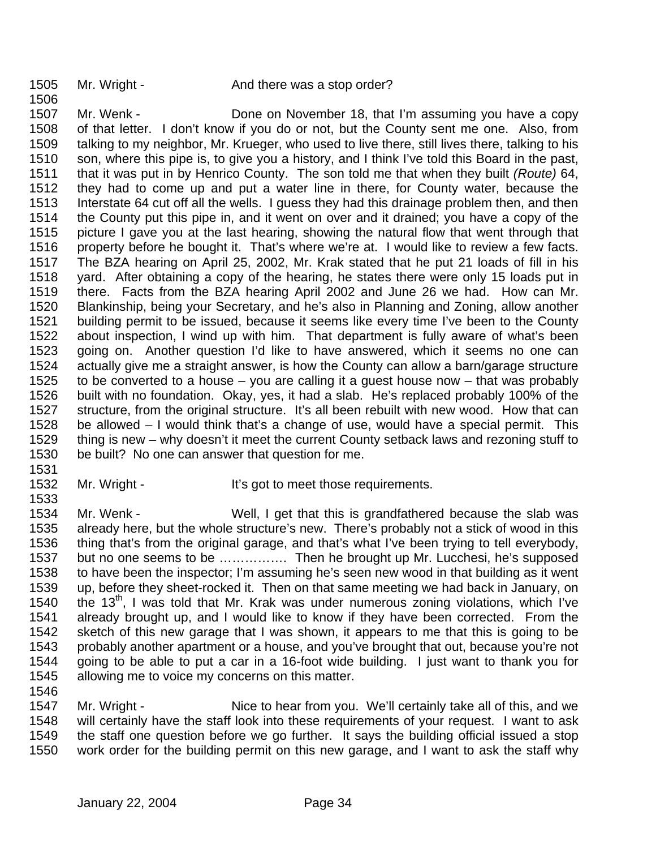1507 Mr. Wenk - Done on November 18, that I'm assuming you have a copy of that letter. I don't know if you do or not, but the County sent me one. Also, from talking to my neighbor, Mr. Krueger, who used to live there, still lives there, talking to his son, where this pipe is, to give you a history, and I think I've told this Board in the past, that it was put in by Henrico County. The son told me that when they built *(Route)* 64, they had to come up and put a water line in there, for County water, because the Interstate 64 cut off all the wells. I guess they had this drainage problem then, and then the County put this pipe in, and it went on over and it drained; you have a copy of the picture I gave you at the last hearing, showing the natural flow that went through that property before he bought it. That's where we're at. I would like to review a few facts. The BZA hearing on April 25, 2002, Mr. Krak stated that he put 21 loads of fill in his yard. After obtaining a copy of the hearing, he states there were only 15 loads put in there. Facts from the BZA hearing April 2002 and June 26 we had. How can Mr. Blankinship, being your Secretary, and he's also in Planning and Zoning, allow another building permit to be issued, because it seems like every time I've been to the County about inspection, I wind up with him. That department is fully aware of what's been going on. Another question I'd like to have answered, which it seems no one can actually give me a straight answer, is how the County can allow a barn/garage structure to be converted to a house – you are calling it a guest house now – that was probably built with no foundation. Okay, yes, it had a slab. He's replaced probably 100% of the structure, from the original structure. It's all been rebuilt with new wood. How that can be allowed – I would think that's a change of use, would have a special permit. This thing is new – why doesn't it meet the current County setback laws and rezoning stuff to be built? No one can answer that question for me.

- 
- 

1532 Mr. Wright - It's got to meet those requirements.

 Mr. Wenk - Well, I get that this is grandfathered because the slab was already here, but the whole structure's new. There's probably not a stick of wood in this thing that's from the original garage, and that's what I've been trying to tell everybody, but no one seems to be ……………. Then he brought up Mr. Lucchesi, he's supposed to have been the inspector; I'm assuming he's seen new wood in that building as it went up, before they sheet-rocked it. Then on that same meeting we had back in January, on 1540 , the 13<sup>th</sup>, I was told that Mr. Krak was under numerous zoning violations, which I've already brought up, and I would like to know if they have been corrected. From the sketch of this new garage that I was shown, it appears to me that this is going to be probably another apartment or a house, and you've brought that out, because you're not going to be able to put a car in a 16-foot wide building. I just want to thank you for allowing me to voice my concerns on this matter. 

1547 Mr. Wright - Nice to hear from you. We'll certainly take all of this, and we will certainly have the staff look into these requirements of your request. I want to ask the staff one question before we go further. It says the building official issued a stop work order for the building permit on this new garage, and I want to ask the staff why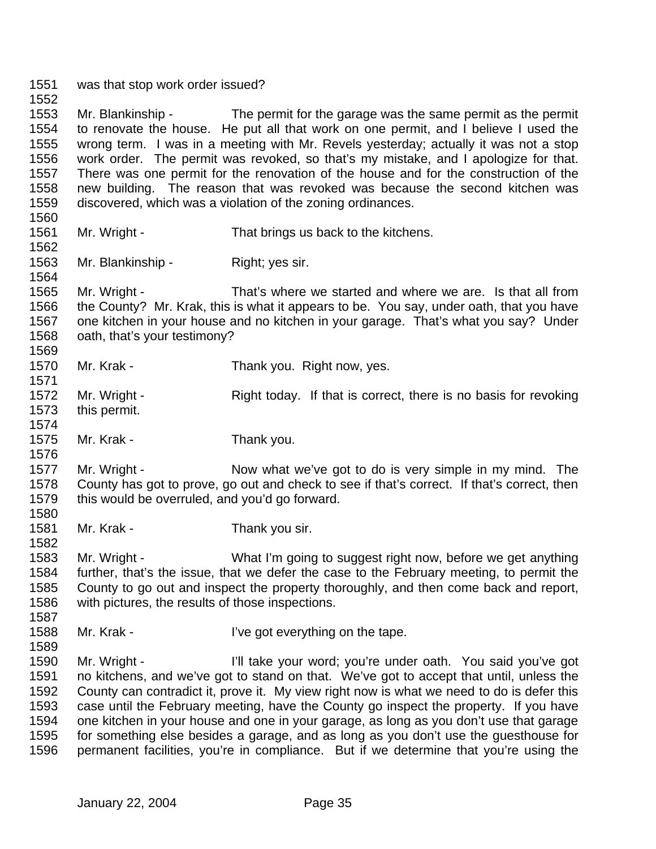was that stop work order issued?

 Mr. Blankinship - The permit for the garage was the same permit as the permit to renovate the house. He put all that work on one permit, and I believe I used the wrong term. I was in a meeting with Mr. Revels yesterday; actually it was not a stop work order. The permit was revoked, so that's my mistake, and I apologize for that. There was one permit for the renovation of the house and for the construction of the new building. The reason that was revoked was because the second kitchen was discovered, which was a violation of the zoning ordinances.

Mr. Wright - That brings us back to the kitchens.

Mr. Blankinship - Right; yes sir.

 Mr. Wright - That's where we started and where we are. Is that all from the County? Mr. Krak, this is what it appears to be. You say, under oath, that you have one kitchen in your house and no kitchen in your garage. That's what you say? Under oath, that's your testimony?

1570 Mr. Krak - Thank you. Right now, yes.

- Mr. Wright Right today. If that is correct, there is no basis for revoking this permit.
- Mr. Krak Thank you.

1577 Mr. Wright - Now what we've got to do is very simple in my mind. The County has got to prove, go out and check to see if that's correct. If that's correct, then this would be overruled, and you'd go forward. 

1581 Mr. Krak - Thank you sir.

 Mr. Wright - What I'm going to suggest right now, before we get anything further, that's the issue, that we defer the case to the February meeting, to permit the County to go out and inspect the property thoroughly, and then come back and report, with pictures, the results of those inspections.

1588 Mr. Krak - I've got everything on the tape.

 Mr. Wright - I'll take your word; you're under oath. You said you've got no kitchens, and we've got to stand on that. We've got to accept that until, unless the County can contradict it, prove it. My view right now is what we need to do is defer this case until the February meeting, have the County go inspect the property. If you have one kitchen in your house and one in your garage, as long as you don't use that garage for something else besides a garage, and as long as you don't use the guesthouse for permanent facilities, you're in compliance. But if we determine that you're using the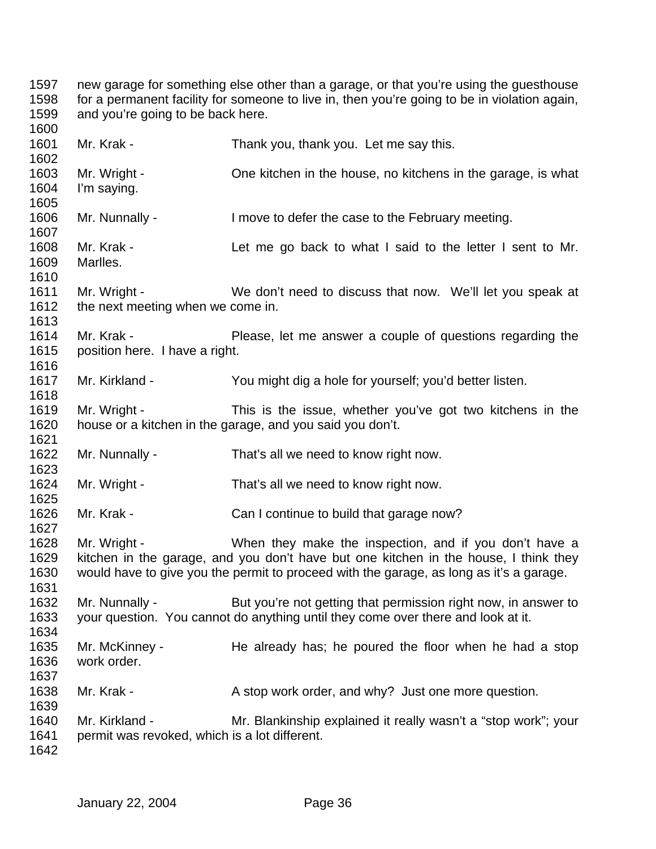new garage for something else other than a garage, or that you're using the guesthouse for a permanent facility for someone to live in, then you're going to be in violation again, and you're going to be back here. Mr. Krak - Thank you, thank you. Let me say this. Mr. Wright - One kitchen in the house, no kitchens in the garage, is what I'm saying. Mr. Nunnally - I move to defer the case to the February meeting. Mr. Krak - Let me go back to what I said to the letter I sent to Mr. Marlles. Mr. Wright - We don't need to discuss that now. We'll let you speak at 1612 the next meeting when we come in. Mr. Krak - Please, let me answer a couple of questions regarding the position here. I have a right. Mr. Kirkland - You might dig a hole for yourself; you'd better listen. Mr. Wright - This is the issue, whether you've got two kitchens in the house or a kitchen in the garage, and you said you don't. Mr. Nunnally - That's all we need to know right now. Mr. Wright - That's all we need to know right now. 1626 Mr. Krak - Can I continue to build that garage now? Mr. Wright - When they make the inspection, and if you don't have a kitchen in the garage, and you don't have but one kitchen in the house, I think they would have to give you the permit to proceed with the garage, as long as it's a garage. 1632 Mr. Nunnally - But you're not getting that permission right now, in answer to your question. You cannot do anything until they come over there and look at it. Mr. McKinney - He already has; he poured the floor when he had a stop work order. 1638 Mr. Krak - A stop work order, and why? Just one more question. Mr. Kirkland - Mr. Blankinship explained it really wasn't a "stop work"; your permit was revoked, which is a lot different.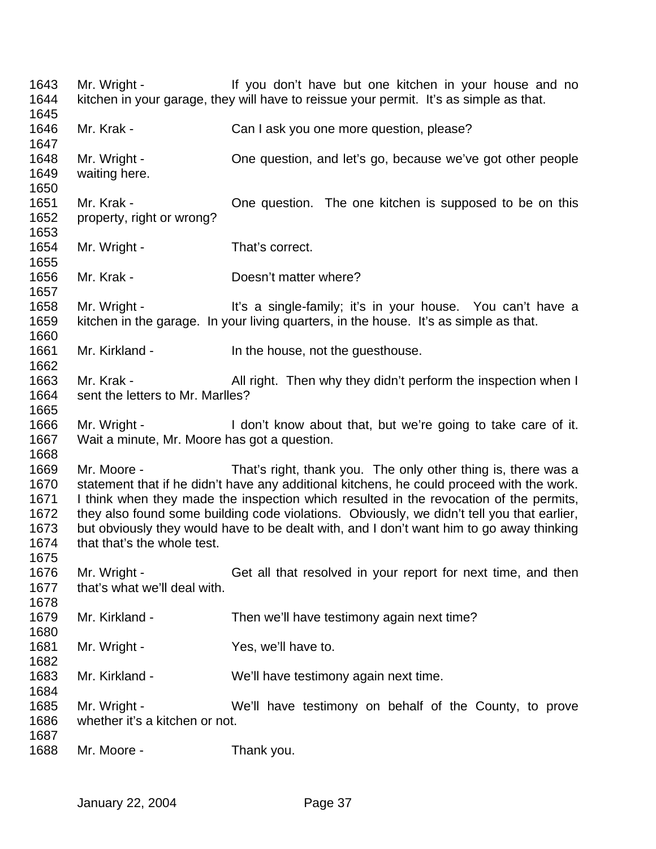Mr. Wright - If you don't have but one kitchen in your house and no kitchen in your garage, they will have to reissue your permit. It's as simple as that. 1646 Mr. Krak - Can I ask you one more question, please? Mr. Wright - One question, and let's go, because we've got other people waiting here. Mr. Krak - One question. The one kitchen is supposed to be on this property, right or wrong? 1654 Mr. Wright - That's correct. Mr. Krak - Doesn't matter where? 1658 Mr. Wright - It's a single-family; it's in your house. You can't have a kitchen in the garage. In your living quarters, in the house. It's as simple as that. 1661 Mr. Kirkland - In the house, not the questhouse. 1663 Mr. Krak - All right. Then why they didn't perform the inspection when I sent the letters to Mr. Marlles? Mr. Wright - I don't know about that, but we're going to take care of it. Wait a minute, Mr. Moore has got a question. Mr. Moore - That's right, thank you. The only other thing is, there was a statement that if he didn't have any additional kitchens, he could proceed with the work. I think when they made the inspection which resulted in the revocation of the permits, they also found some building code violations. Obviously, we didn't tell you that earlier, but obviously they would have to be dealt with, and I don't want him to go away thinking that that's the whole test. Mr. Wright - Get all that resolved in your report for next time, and then that's what we'll deal with. Mr. Kirkland - Then we'll have testimony again next time? 1681 Mr. Wright - Yes, we'll have to. Mr. Kirkland - We'll have testimony again next time. Mr. Wright - We'll have testimony on behalf of the County, to prove whether it's a kitchen or not. Mr. Moore - Thank you.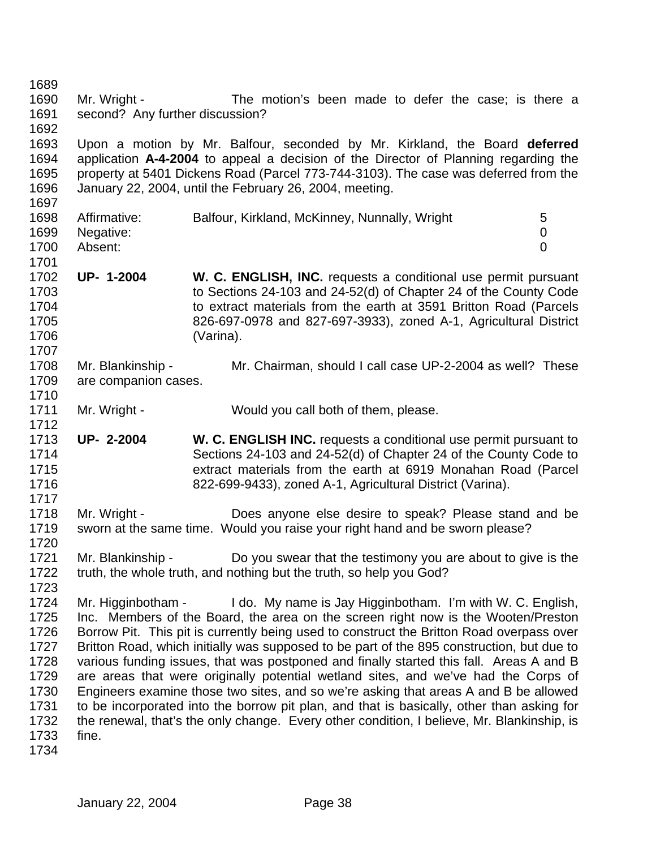Mr. Wright - The motion's been made to defer the case; is there a second? Any further discussion? Upon a motion by Mr. Balfour, seconded by Mr. Kirkland, the Board **deferred** application **A-4-2004** to appeal a decision of the Director of Planning regarding the property at 5401 Dickens Road (Parcel 773-744-3103). The case was deferred from the January 22, 2004, until the February 26, 2004, meeting. 1698 Affirmative: Balfour, Kirkland, McKinney, Nunnally, Wright 5 Negative: 0 Absent: 0 **UP- 1-2004 W. C. ENGLISH, INC.** requests a conditional use permit pursuant to Sections 24-103 and 24-52(d) of Chapter 24 of the County Code to extract materials from the earth at 3591 Britton Road (Parcels 826-697-0978 and 827-697-3933), zoned A-1, Agricultural District (Varina). Mr. Blankinship - Mr. Chairman, should I call case UP-2-2004 as well? These are companion cases. 1711 Mr. Wright - Would you call both of them, please. **UP- 2-2004 W. C. ENGLISH INC.** requests a conditional use permit pursuant to Sections 24-103 and 24-52(d) of Chapter 24 of the County Code to extract materials from the earth at 6919 Monahan Road (Parcel 822-699-9433), zoned A-1, Agricultural District (Varina). Mr. Wright - Does anyone else desire to speak? Please stand and be sworn at the same time. Would you raise your right hand and be sworn please? Mr. Blankinship - Do you swear that the testimony you are about to give is the truth, the whole truth, and nothing but the truth, so help you God? Mr. Higginbotham - I do. My name is Jay Higginbotham. I'm with W. C. English, Inc. Members of the Board, the area on the screen right now is the Wooten/Preston Borrow Pit. This pit is currently being used to construct the Britton Road overpass over Britton Road, which initially was supposed to be part of the 895 construction, but due to various funding issues, that was postponed and finally started this fall. Areas A and B are areas that were originally potential wetland sites, and we've had the Corps of Engineers examine those two sites, and so we're asking that areas A and B be allowed to be incorporated into the borrow pit plan, and that is basically, other than asking for the renewal, that's the only change. Every other condition, I believe, Mr. Blankinship, is fine.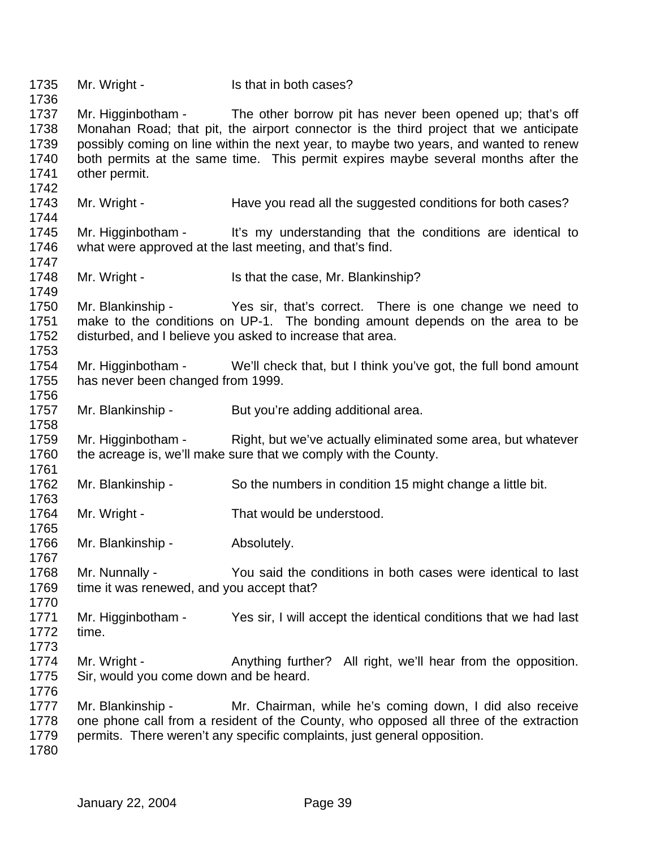1735 Mr. Wright - Is that in both cases? Mr. Higginbotham - The other borrow pit has never been opened up; that's off Monahan Road; that pit, the airport connector is the third project that we anticipate possibly coming on line within the next year, to maybe two years, and wanted to renew both permits at the same time. This permit expires maybe several months after the other permit. 1743 Mr. Wright - Have you read all the suggested conditions for both cases? Mr. Higginbotham - It's my understanding that the conditions are identical to what were approved at the last meeting, and that's find. 1748 Mr. Wright - Is that the case, Mr. Blankinship? Mr. Blankinship - Yes sir, that's correct. There is one change we need to make to the conditions on UP-1. The bonding amount depends on the area to be disturbed, and I believe you asked to increase that area. Mr. Higginbotham - We'll check that, but I think you've got, the full bond amount has never been changed from 1999. 1757 Mr. Blankinship - But you're adding additional area. Mr. Higginbotham - Right, but we've actually eliminated some area, but whatever the acreage is, we'll make sure that we comply with the County. Mr. Blankinship - So the numbers in condition 15 might change a little bit. 1764 Mr. Wright - That would be understood. 1766 Mr. Blankinship - Absolutely. Mr. Nunnally - You said the conditions in both cases were identical to last 1769 time it was renewed, and you accept that? Mr. Higginbotham - Yes sir, I will accept the identical conditions that we had last time. 1774 Mr. Wright - Anything further? All right, we'll hear from the opposition. Sir, would you come down and be heard. Mr. Blankinship - Mr. Chairman, while he's coming down, I did also receive one phone call from a resident of the County, who opposed all three of the extraction permits. There weren't any specific complaints, just general opposition.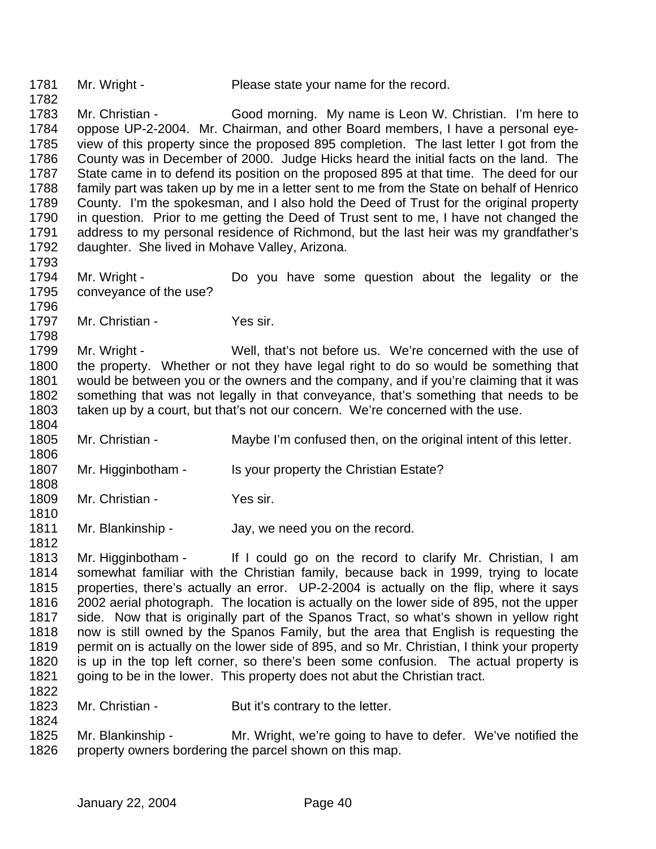1781 Mr. Wright - Please state your name for the record.

1783 Mr. Christian - Good morning. My name is Leon W. Christian. I'm here to oppose UP-2-2004. Mr. Chairman, and other Board members, I have a personal eye- view of this property since the proposed 895 completion. The last letter I got from the County was in December of 2000. Judge Hicks heard the initial facts on the land. The State came in to defend its position on the proposed 895 at that time. The deed for our family part was taken up by me in a letter sent to me from the State on behalf of Henrico County. I'm the spokesman, and I also hold the Deed of Trust for the original property in question. Prior to me getting the Deed of Trust sent to me, I have not changed the address to my personal residence of Richmond, but the last heir was my grandfather's daughter. She lived in Mohave Valley, Arizona.

 Mr. Wright - Do you have some question about the legality or the conveyance of the use?

1797 Mr. Christian - Yes sir.

 Mr. Wright - Well, that's not before us. We're concerned with the use of the property. Whether or not they have legal right to do so would be something that would be between you or the owners and the company, and if you're claiming that it was something that was not legally in that conveyance, that's something that needs to be taken up by a court, but that's not our concern. We're concerned with the use.

- Mr. Christian Maybe I'm confused then, on the original intent of this letter.
- 1807 Mr. Higginbotham Is your property the Christian Estate?
- 1809 Mr. Christian Yes sir.

1811 Mr. Blankinship - Jay, we need you on the record. 

 Mr. Higginbotham - If I could go on the record to clarify Mr. Christian, I am somewhat familiar with the Christian family, because back in 1999, trying to locate properties, there's actually an error. UP-2-2004 is actually on the flip, where it says 2002 aerial photograph. The location is actually on the lower side of 895, not the upper side. Now that is originally part of the Spanos Tract, so what's shown in yellow right now is still owned by the Spanos Family, but the area that English is requesting the permit on is actually on the lower side of 895, and so Mr. Christian, I think your property is up in the top left corner, so there's been some confusion. The actual property is going to be in the lower. This property does not abut the Christian tract. 

- 1823 Mr. Christian But it's contrary to the letter.
- Mr. Blankinship Mr. Wright, we're going to have to defer. We've notified the property owners bordering the parcel shown on this map.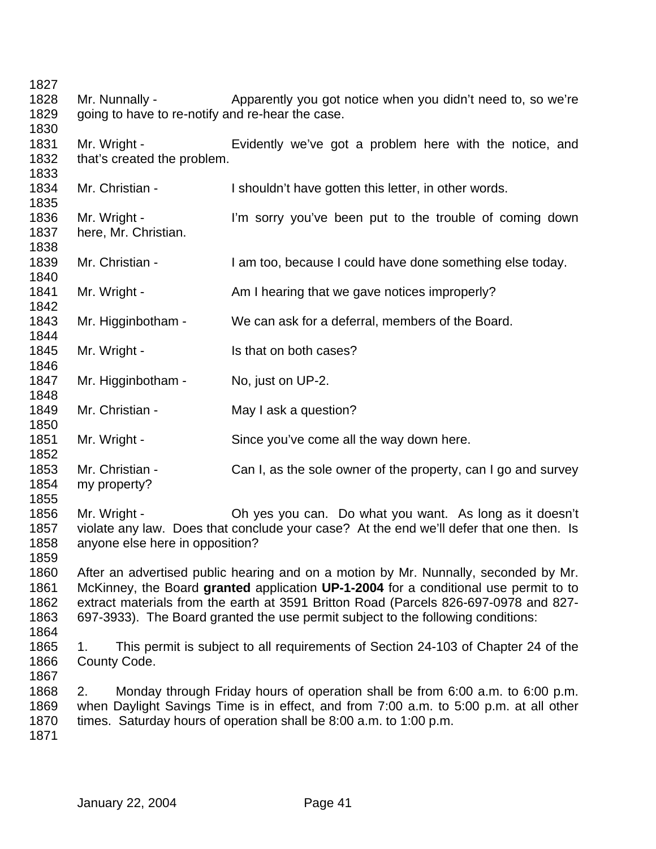1828 Mr. Nunnally - Apparently you got notice when you didn't need to, so we're going to have to re-notify and re-hear the case. Mr. Wright - Evidently we've got a problem here with the notice, and that's created the problem. 1834 Mr. Christian - I shouldn't have gotten this letter, in other words. Mr. Wright - I'm sorry you've been put to the trouble of coming down here, Mr. Christian. Mr. Christian - I am too, because I could have done something else today. 1841 Mr. Wright - Am I hearing that we gave notices improperly? Mr. Higginbotham - We can ask for a deferral, members of the Board. 1845 Mr. Wright - Is that on both cases? 1847 Mr. Higginbotham - No, just on UP-2. 1849 Mr. Christian - May I ask a question? Mr. Wright - Since you've come all the way down here. 1853 Mr. Christian - Can I, as the sole owner of the property, can I go and survey my property? Mr. Wright - Oh yes you can. Do what you want. As long as it doesn't violate any law. Does that conclude your case? At the end we'll defer that one then. Is anyone else here in opposition? After an advertised public hearing and on a motion by Mr. Nunnally, seconded by Mr. McKinney, the Board **granted** application **UP-1-2004** for a conditional use permit to to extract materials from the earth at 3591 Britton Road (Parcels 826-697-0978 and 827- 697-3933). The Board granted the use permit subject to the following conditions: 1. This permit is subject to all requirements of Section 24-103 of Chapter 24 of the County Code. 2. Monday through Friday hours of operation shall be from 6:00 a.m. to 6:00 p.m. when Daylight Savings Time is in effect, and from 7:00 a.m. to 5:00 p.m. at all other times. Saturday hours of operation shall be 8:00 a.m. to 1:00 p.m.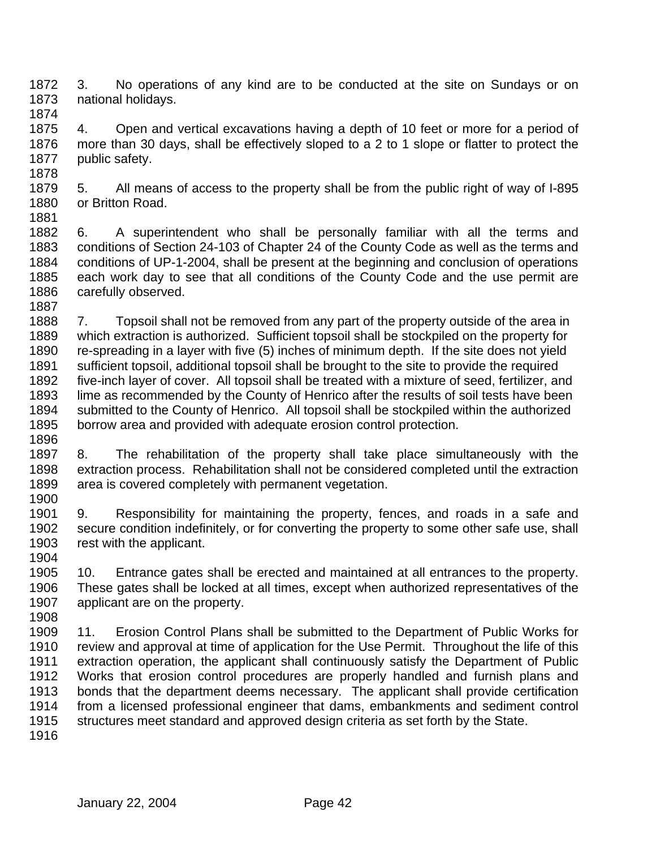3. No operations of any kind are to be conducted at the site on Sundays or on national holidays. 

 4. Open and vertical excavations having a depth of 10 feet or more for a period of more than 30 days, shall be effectively sloped to a 2 to 1 slope or flatter to protect the 1877 public safety. 

 5. All means of access to the property shall be from the public right of way of I-895 or Britton Road. 

 6. A superintendent who shall be personally familiar with all the terms and conditions of Section 24-103 of Chapter 24 of the County Code as well as the terms and conditions of UP-1-2004, shall be present at the beginning and conclusion of operations each work day to see that all conditions of the County Code and the use permit are carefully observed. 

 7. Topsoil shall not be removed from any part of the property outside of the area in which extraction is authorized. Sufficient topsoil shall be stockpiled on the property for re-spreading in a layer with five (5) inches of minimum depth. If the site does not yield sufficient topsoil, additional topsoil shall be brought to the site to provide the required five-inch layer of cover. All topsoil shall be treated with a mixture of seed, fertilizer, and lime as recommended by the County of Henrico after the results of soil tests have been submitted to the County of Henrico. All topsoil shall be stockpiled within the authorized borrow area and provided with adequate erosion control protection. 

 8. The rehabilitation of the property shall take place simultaneously with the extraction process. Rehabilitation shall not be considered completed until the extraction area is covered completely with permanent vegetation. 

 9. Responsibility for maintaining the property, fences, and roads in a safe and secure condition indefinitely, or for converting the property to some other safe use, shall rest with the applicant. 

 10. Entrance gates shall be erected and maintained at all entrances to the property. These gates shall be locked at all times, except when authorized representatives of the 1907 applicant are on the property.

 11. Erosion Control Plans shall be submitted to the Department of Public Works for review and approval at time of application for the Use Permit. Throughout the life of this extraction operation, the applicant shall continuously satisfy the Department of Public Works that erosion control procedures are properly handled and furnish plans and bonds that the department deems necessary. The applicant shall provide certification from a licensed professional engineer that dams, embankments and sediment control structures meet standard and approved design criteria as set forth by the State.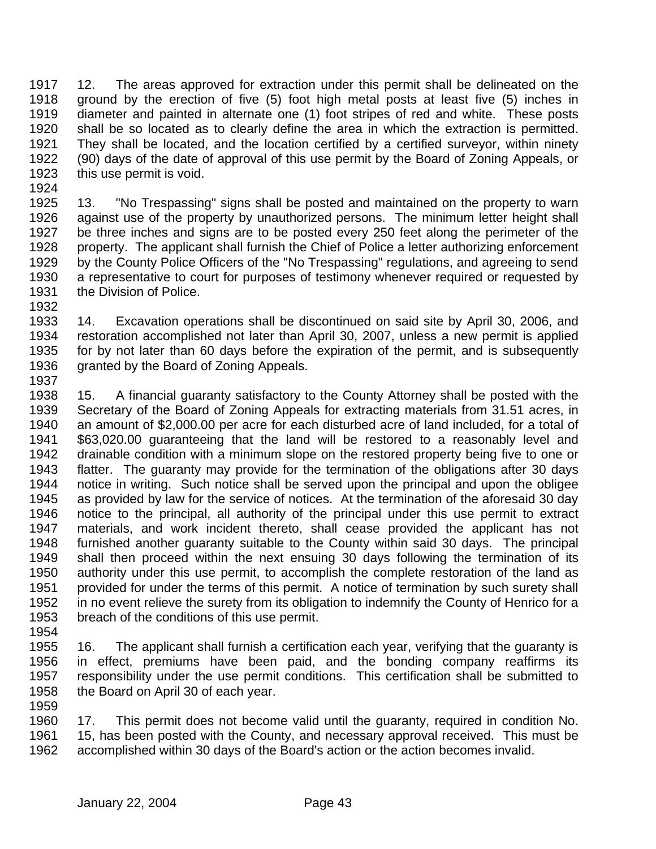12. The areas approved for extraction under this permit shall be delineated on the ground by the erection of five (5) foot high metal posts at least five (5) inches in diameter and painted in alternate one (1) foot stripes of red and white. These posts shall be so located as to clearly define the area in which the extraction is permitted. They shall be located, and the location certified by a certified surveyor, within ninety (90) days of the date of approval of this use permit by the Board of Zoning Appeals, or this use permit is void.

 13. "No Trespassing" signs shall be posted and maintained on the property to warn against use of the property by unauthorized persons. The minimum letter height shall be three inches and signs are to be posted every 250 feet along the perimeter of the property. The applicant shall furnish the Chief of Police a letter authorizing enforcement by the County Police Officers of the "No Trespassing" regulations, and agreeing to send a representative to court for purposes of testimony whenever required or requested by the Division of Police.

 14. Excavation operations shall be discontinued on said site by April 30, 2006, and restoration accomplished not later than April 30, 2007, unless a new permit is applied for by not later than 60 days before the expiration of the permit, and is subsequently granted by the Board of Zoning Appeals. 

 15. A financial guaranty satisfactory to the County Attorney shall be posted with the Secretary of the Board of Zoning Appeals for extracting materials from 31.51 acres, in an amount of \$2,000.00 per acre for each disturbed acre of land included, for a total of \$63,020.00 guaranteeing that the land will be restored to a reasonably level and drainable condition with a minimum slope on the restored property being five to one or flatter. The guaranty may provide for the termination of the obligations after 30 days notice in writing. Such notice shall be served upon the principal and upon the obligee as provided by law for the service of notices. At the termination of the aforesaid 30 day notice to the principal, all authority of the principal under this use permit to extract materials, and work incident thereto, shall cease provided the applicant has not furnished another guaranty suitable to the County within said 30 days. The principal shall then proceed within the next ensuing 30 days following the termination of its authority under this use permit, to accomplish the complete restoration of the land as provided for under the terms of this permit. A notice of termination by such surety shall in no event relieve the surety from its obligation to indemnify the County of Henrico for a breach of the conditions of this use permit.

 16. The applicant shall furnish a certification each year, verifying that the guaranty is in effect, premiums have been paid, and the bonding company reaffirms its responsibility under the use permit conditions. This certification shall be submitted to the Board on April 30 of each year.

 17. This permit does not become valid until the guaranty, required in condition No. 15, has been posted with the County, and necessary approval received. This must be accomplished within 30 days of the Board's action or the action becomes invalid.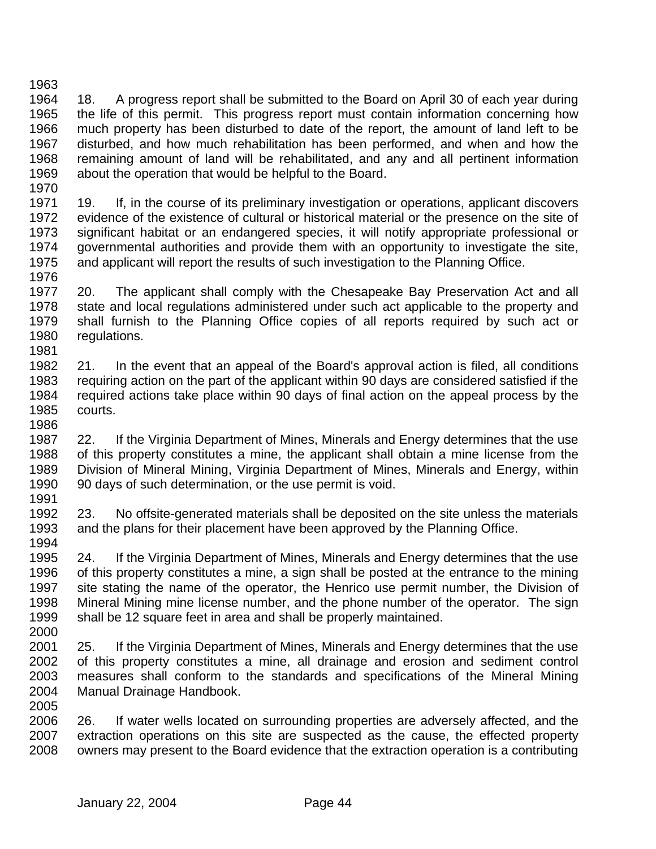18. A progress report shall be submitted to the Board on April 30 of each year during the life of this permit. This progress report must contain information concerning how much property has been disturbed to date of the report, the amount of land left to be disturbed, and how much rehabilitation has been performed, and when and how the remaining amount of land will be rehabilitated, and any and all pertinent information about the operation that would be helpful to the Board.

1971 19. If, in the course of its preliminary investigation or operations, applicant discovers evidence of the existence of cultural or historical material or the presence on the site of significant habitat or an endangered species, it will notify appropriate professional or governmental authorities and provide them with an opportunity to investigate the site, and applicant will report the results of such investigation to the Planning Office. 

 20. The applicant shall comply with the Chesapeake Bay Preservation Act and all state and local regulations administered under such act applicable to the property and shall furnish to the Planning Office copies of all reports required by such act or regulations. 

 21. In the event that an appeal of the Board's approval action is filed, all conditions requiring action on the part of the applicant within 90 days are considered satisfied if the required actions take place within 90 days of final action on the appeal process by the courts. 

 22. If the Virginia Department of Mines, Minerals and Energy determines that the use of this property constitutes a mine, the applicant shall obtain a mine license from the Division of Mineral Mining, Virginia Department of Mines, Minerals and Energy, within 90 days of such determination, or the use permit is void. 

 23. No offsite-generated materials shall be deposited on the site unless the materials and the plans for their placement have been approved by the Planning Office. 

 24. If the Virginia Department of Mines, Minerals and Energy determines that the use of this property constitutes a mine, a sign shall be posted at the entrance to the mining site stating the name of the operator, the Henrico use permit number, the Division of Mineral Mining mine license number, and the phone number of the operator. The sign shall be 12 square feet in area and shall be properly maintained.

 25. If the Virginia Department of Mines, Minerals and Energy determines that the use of this property constitutes a mine, all drainage and erosion and sediment control measures shall conform to the standards and specifications of the Mineral Mining Manual Drainage Handbook. 

 26. If water wells located on surrounding properties are adversely affected, and the extraction operations on this site are suspected as the cause, the effected property owners may present to the Board evidence that the extraction operation is a contributing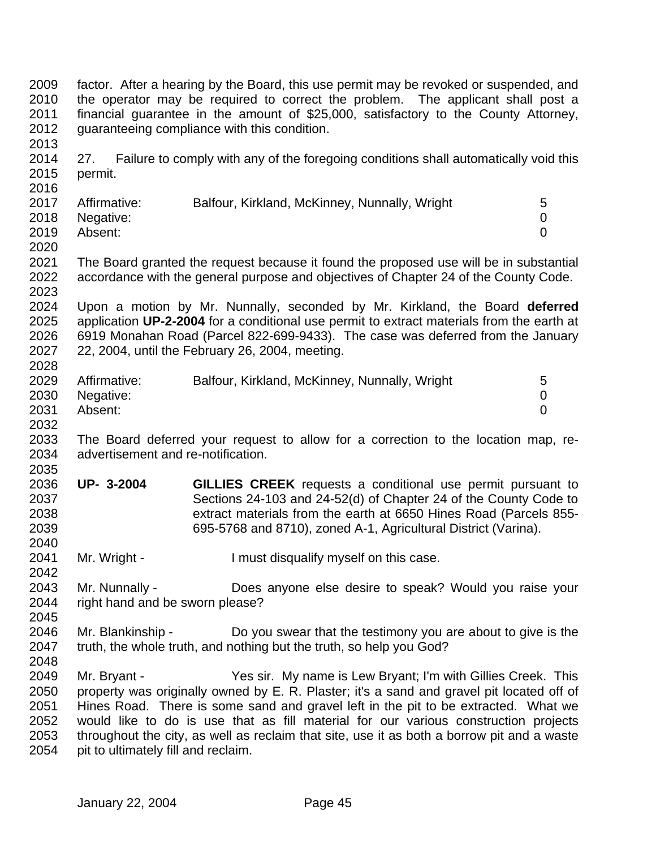factor. After a hearing by the Board, this use permit may be revoked or suspended, and the operator may be required to correct the problem. The applicant shall post a financial guarantee in the amount of \$25,000, satisfactory to the County Attorney, guaranteeing compliance with this condition. 2014 27. Failure to comply with any of the foregoing conditions shall automatically void this permit. 2017 Affirmative: Balfour, Kirkland, McKinney, Nunnally, Wright 5 Negative: 0 Absent: 0 The Board granted the request because it found the proposed use will be in substantial accordance with the general purpose and objectives of Chapter 24 of the County Code. Upon a motion by Mr. Nunnally, seconded by Mr. Kirkland, the Board **deferred** application **UP-2-2004** for a conditional use permit to extract materials from the earth at 6919 Monahan Road (Parcel 822-699-9433). The case was deferred from the January 22, 2004, until the February 26, 2004, meeting. 2029 Affirmative: Balfour, Kirkland, McKinney, Nunnally, Wright 5 Negative: 0 Absent: 0 2032<br>2033 The Board deferred your request to allow for a correction to the location map, re- advertisement and re-notification. **UP- 3-2004 GILLIES CREEK** requests a conditional use permit pursuant to Sections 24-103 and 24-52(d) of Chapter 24 of the County Code to extract materials from the earth at 6650 Hines Road (Parcels 855- 695-5768 and 8710), zoned A-1, Agricultural District (Varina). 2041 Mr. Wright - I must disqualify myself on this case. Mr. Nunnally - Does anyone else desire to speak? Would you raise your right hand and be sworn please? Mr. Blankinship - Do you swear that the testimony you are about to give is the truth, the whole truth, and nothing but the truth, so help you God? Mr. Bryant - Yes sir. My name is Lew Bryant; I'm with Gillies Creek. This property was originally owned by E. R. Plaster; it's a sand and gravel pit located off of Hines Road. There is some sand and gravel left in the pit to be extracted. What we would like to do is use that as fill material for our various construction projects throughout the city, as well as reclaim that site, use it as both a borrow pit and a waste pit to ultimately fill and reclaim.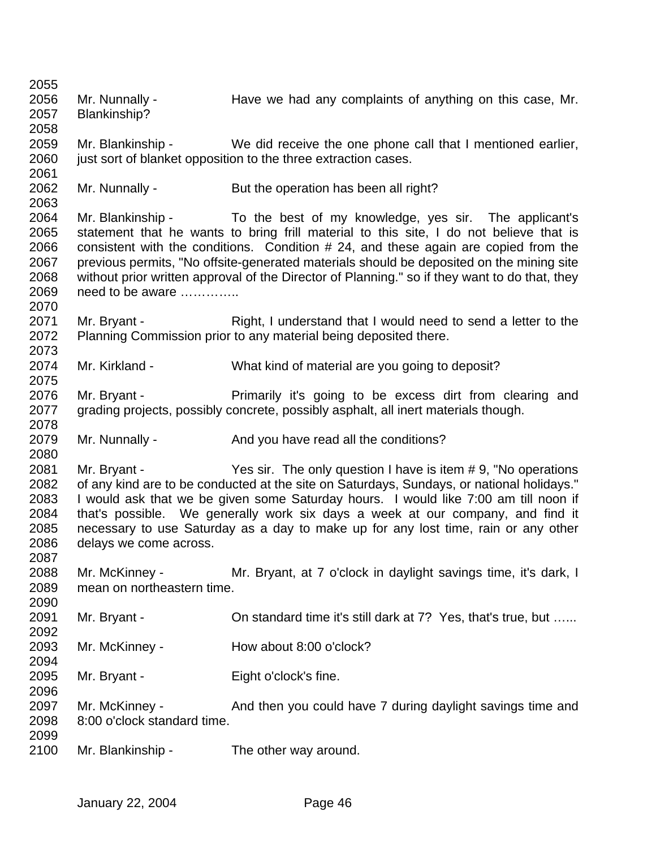| 2056         | Mr. Nunnally -              | Have we had any complaints of anything on this case, Mr.                                      |
|--------------|-----------------------------|-----------------------------------------------------------------------------------------------|
| 2057         | Blankinship?                |                                                                                               |
| 2058         |                             |                                                                                               |
| 2059         | Mr. Blankinship -           | We did receive the one phone call that I mentioned earlier,                                   |
| 2060         |                             | just sort of blanket opposition to the three extraction cases.                                |
| 2061         |                             |                                                                                               |
| 2062         | Mr. Nunnally -              | But the operation has been all right?                                                         |
| 2063         |                             |                                                                                               |
| 2064         | Mr. Blankinship -           | To the best of my knowledge, yes sir. The applicant's                                         |
| 2065         |                             | statement that he wants to bring frill material to this site, I do not believe that is        |
| 2066         |                             | consistent with the conditions. Condition # 24, and these again are copied from the           |
| 2067         |                             | previous permits, "No offsite-generated materials should be deposited on the mining site      |
| 2068         |                             | without prior written approval of the Director of Planning." so if they want to do that, they |
| 2069         | need to be aware            |                                                                                               |
| 2070         |                             |                                                                                               |
| 2071         | Mr. Bryant -                | Right, I understand that I would need to send a letter to the                                 |
| 2072         |                             | Planning Commission prior to any material being deposited there.                              |
| 2073         |                             |                                                                                               |
| 2074         | Mr. Kirkland -              | What kind of material are you going to deposit?                                               |
| 2075         |                             |                                                                                               |
| 2076         | Mr. Bryant -                | Primarily it's going to be excess dirt from clearing and                                      |
| 2077         |                             | grading projects, possibly concrete, possibly asphalt, all inert materials though.            |
| 2078         |                             |                                                                                               |
| 2079         | Mr. Nunnally -              | And you have read all the conditions?                                                         |
| 2080         |                             |                                                                                               |
| 2081         | Mr. Bryant -                |                                                                                               |
|              |                             | Yes sir. The only question I have is item #9, "No operations"                                 |
| 2082         |                             | of any kind are to be conducted at the site on Saturdays, Sundays, or national holidays."     |
| 2083         |                             | I would ask that we be given some Saturday hours. I would like 7:00 am till noon if           |
| 2084         |                             | that's possible. We generally work six days a week at our company, and find it                |
| 2085         |                             | necessary to use Saturday as a day to make up for any lost time, rain or any other            |
| 2086         | delays we come across.      |                                                                                               |
| 2087         |                             |                                                                                               |
| 2088         | Mr. McKinney -              | Mr. Bryant, at 7 o'clock in daylight savings time, it's dark, I                               |
| 2089         | mean on northeastern time.  |                                                                                               |
| 2090         |                             |                                                                                               |
| 2091         | Mr. Bryant -                | On standard time it's still dark at 7? Yes, that's true, but                                  |
| 2092         |                             |                                                                                               |
| 2093         | Mr. McKinney -              | How about 8:00 o'clock?                                                                       |
| 2094         |                             |                                                                                               |
| 2095         | Mr. Bryant -                | Eight o'clock's fine.                                                                         |
| 2096         |                             |                                                                                               |
| 2097         | Mr. McKinney -              | And then you could have 7 during daylight savings time and                                    |
| 2098         | 8:00 o'clock standard time. |                                                                                               |
| 2099<br>2100 | Mr. Blankinship -           | The other way around.                                                                         |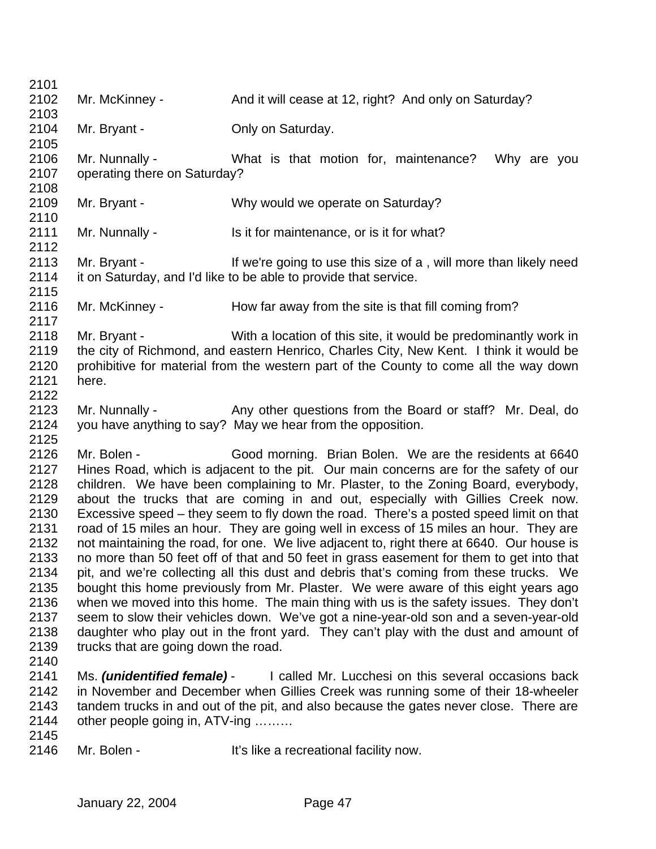2102 Mr. McKinney - And it will cease at 12, right? And only on Saturday? Mr. Bryant - Only on Saturday. Mr. Nunnally - What is that motion for, maintenance? Why are you operating there on Saturday? Mr. Bryant - Why would we operate on Saturday? 2111 Mr. Nunnally - Is it for maintenance, or is it for what? Mr. Bryant - If we're going to use this size of a , will more than likely need it on Saturday, and I'd like to be able to provide that service. 2116 Mr. McKinney - How far away from the site is that fill coming from? Mr. Bryant - With a location of this site, it would be predominantly work in the city of Richmond, and eastern Henrico, Charles City, New Kent. I think it would be prohibitive for material from the western part of the County to come all the way down here. 2123 Mr. Nunnally - Any other questions from the Board or staff? Mr. Deal, do you have anything to say? May we hear from the opposition. Mr. Bolen - Good morning. Brian Bolen. We are the residents at 6640 Hines Road, which is adjacent to the pit. Our main concerns are for the safety of our children. We have been complaining to Mr. Plaster, to the Zoning Board, everybody, about the trucks that are coming in and out, especially with Gillies Creek now. Excessive speed – they seem to fly down the road. There's a posted speed limit on that road of 15 miles an hour. They are going well in excess of 15 miles an hour. They are not maintaining the road, for one. We live adjacent to, right there at 6640. Our house is no more than 50 feet off of that and 50 feet in grass easement for them to get into that pit, and we're collecting all this dust and debris that's coming from these trucks. We bought this home previously from Mr. Plaster. We were aware of this eight years ago when we moved into this home. The main thing with us is the safety issues. They don't seem to slow their vehicles down. We've got a nine-year-old son and a seven-year-old daughter who play out in the front yard. They can't play with the dust and amount of trucks that are going down the road. Ms. *(unidentified female)* - I called Mr. Lucchesi on this several occasions back in November and December when Gillies Creek was running some of their 18-wheeler tandem trucks in and out of the pit, and also because the gates never close. There are other people going in, ATV-ing ……… 2146 Mr. Bolen - It's like a recreational facility now.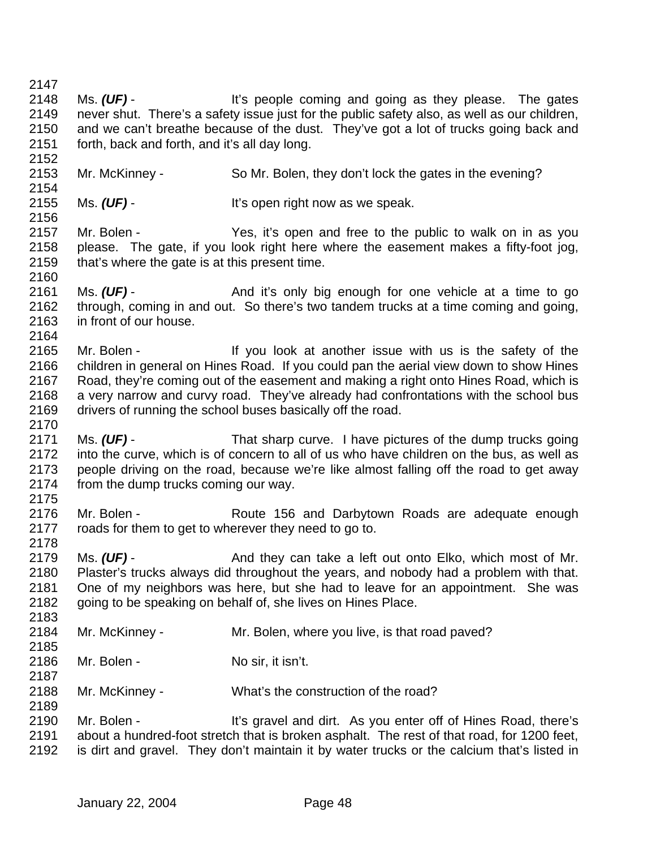- 2148 Ms. (UF) - It's people coming and going as they please. The gates never shut. There's a safety issue just for the public safety also, as well as our children, and we can't breathe because of the dust. They've got a lot of trucks going back and forth, back and forth, and it's all day long. Mr. McKinney - So Mr. Bolen, they don't lock the gates in the evening? Ms. *(UF)* - It's open right now as we speak. Mr. Bolen - Yes, it's open and free to the public to walk on in as you please. The gate, if you look right here where the easement makes a fifty-foot jog, that's where the gate is at this present time. 2161 Ms. (UF) - And it's only big enough for one vehicle at a time to go through, coming in and out. So there's two tandem trucks at a time coming and going, in front of our house. Mr. Bolen - If you look at another issue with us is the safety of the children in general on Hines Road. If you could pan the aerial view down to show Hines Road, they're coming out of the easement and making a right onto Hines Road, which is a very narrow and curvy road. They've already had confrontations with the school bus drivers of running the school buses basically off the road. Ms. *(UF)* - That sharp curve. I have pictures of the dump trucks going into the curve, which is of concern to all of us who have children on the bus, as well as people driving on the road, because we're like almost falling off the road to get away from the dump trucks coming our way. 2176 Mr. Bolen - Route 156 and Darbytown Roads are adequate enough roads for them to get to wherever they need to go to. 2179 Ms. (UF) - And they can take a left out onto Elko, which most of Mr. Plaster's trucks always did throughout the years, and nobody had a problem with that. One of my neighbors was here, but she had to leave for an appointment. She was going to be speaking on behalf of, she lives on Hines Place. Mr. McKinney - Mr. Bolen, where you live, is that road paved? 2186 Mr. Bolen - No sir, it isn't. Mr. McKinney - What's the construction of the road? Mr. Bolen - It's gravel and dirt. As you enter off of Hines Road, there's about a hundred-foot stretch that is broken asphalt. The rest of that road, for 1200 feet,
- is dirt and gravel. They don't maintain it by water trucks or the calcium that's listed in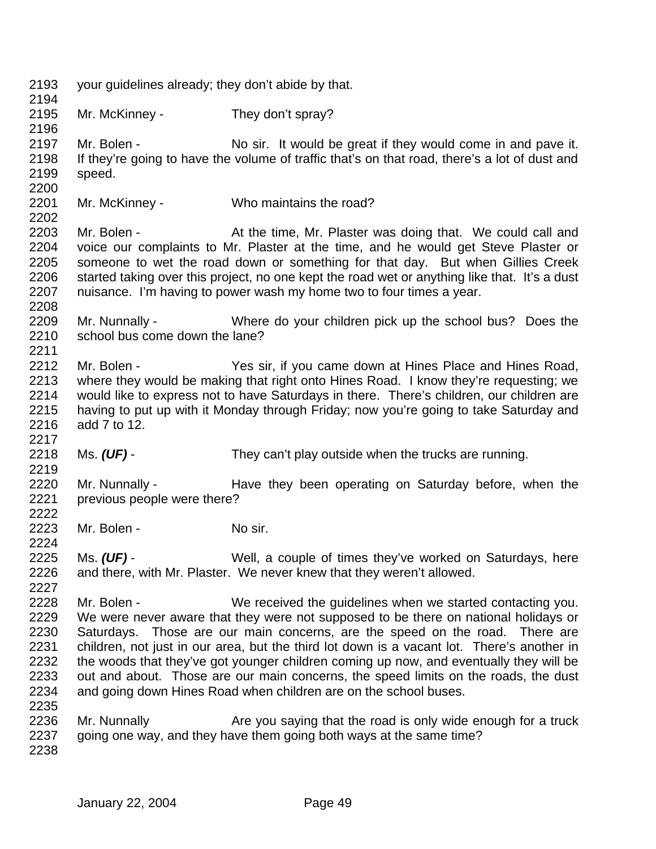| 2193<br>2194                                                                         | your guidelines already; they don't abide by that. |                                                                                                                                                                                                                                                                                                                                                                                                                                                                                                                                                                                                                                                                                                                             |
|--------------------------------------------------------------------------------------|----------------------------------------------------|-----------------------------------------------------------------------------------------------------------------------------------------------------------------------------------------------------------------------------------------------------------------------------------------------------------------------------------------------------------------------------------------------------------------------------------------------------------------------------------------------------------------------------------------------------------------------------------------------------------------------------------------------------------------------------------------------------------------------------|
| 2195<br>2196                                                                         | Mr. McKinney -                                     | They don't spray?                                                                                                                                                                                                                                                                                                                                                                                                                                                                                                                                                                                                                                                                                                           |
| 2197<br>2198<br>2199<br>2200                                                         | Mr. Bolen -<br>speed.                              | No sir. It would be great if they would come in and pave it.<br>If they're going to have the volume of traffic that's on that road, there's a lot of dust and                                                                                                                                                                                                                                                                                                                                                                                                                                                                                                                                                               |
| 2201<br>2202                                                                         | Mr. McKinney -                                     | Who maintains the road?                                                                                                                                                                                                                                                                                                                                                                                                                                                                                                                                                                                                                                                                                                     |
| 2203<br>2204<br>2205<br>2206<br>2207<br>2208                                         | Mr. Bolen -                                        | At the time, Mr. Plaster was doing that. We could call and<br>voice our complaints to Mr. Plaster at the time, and he would get Steve Plaster or<br>someone to wet the road down or something for that day. But when Gillies Creek<br>started taking over this project, no one kept the road wet or anything like that. It's a dust<br>nuisance. I'm having to power wash my home two to four times a year.                                                                                                                                                                                                                                                                                                                 |
| 2209<br>2210<br>2211                                                                 | Mr. Nunnally -<br>school bus come down the lane?   | Where do your children pick up the school bus? Does the                                                                                                                                                                                                                                                                                                                                                                                                                                                                                                                                                                                                                                                                     |
| 2212<br>2213<br>2214<br>2215<br>2216<br>2217                                         | Mr. Bolen -<br>add 7 to 12.                        | Yes sir, if you came down at Hines Place and Hines Road,<br>where they would be making that right onto Hines Road. I know they're requesting; we<br>would like to express not to have Saturdays in there. There's children, our children are<br>having to put up with it Monday through Friday; now you're going to take Saturday and                                                                                                                                                                                                                                                                                                                                                                                       |
| 2218<br>2219                                                                         | Ms. $(UF)$ -                                       | They can't play outside when the trucks are running.                                                                                                                                                                                                                                                                                                                                                                                                                                                                                                                                                                                                                                                                        |
| 2220<br>2221<br>2222                                                                 | Mr. Nunnally -<br>previous people were there?      | Have they been operating on Saturday before, when the                                                                                                                                                                                                                                                                                                                                                                                                                                                                                                                                                                                                                                                                       |
| 2223<br>2224                                                                         | Mr. Bolen -                                        | No sir.                                                                                                                                                                                                                                                                                                                                                                                                                                                                                                                                                                                                                                                                                                                     |
| 2225<br>2226<br>2227                                                                 | Ms. $(UF)$ -                                       | Well, a couple of times they've worked on Saturdays, here<br>and there, with Mr. Plaster. We never knew that they weren't allowed.                                                                                                                                                                                                                                                                                                                                                                                                                                                                                                                                                                                          |
| 2228<br>2229<br>2230<br>2231<br>2232<br>2233<br>2234<br>2235<br>2236<br>2237<br>2238 | Mr. Bolen -<br>Mr. Nunnally                        | We received the guidelines when we started contacting you.<br>We were never aware that they were not supposed to be there on national holidays or<br>Saturdays. Those are our main concerns, are the speed on the road. There are<br>children, not just in our area, but the third lot down is a vacant lot. There's another in<br>the woods that they've got younger children coming up now, and eventually they will be<br>out and about. Those are our main concerns, the speed limits on the roads, the dust<br>and going down Hines Road when children are on the school buses.<br>Are you saying that the road is only wide enough for a truck<br>going one way, and they have them going both ways at the same time? |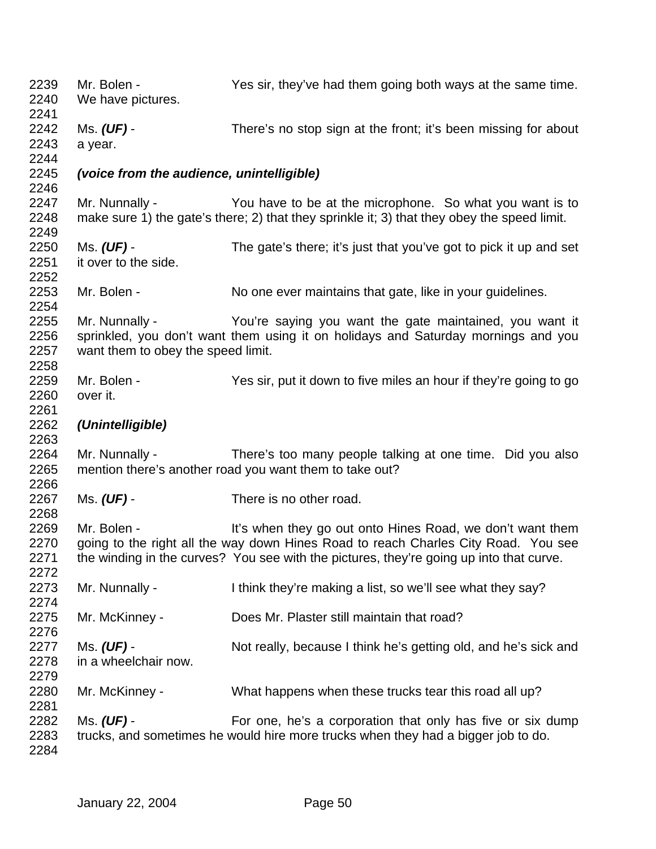| 2239<br>2240<br>2241         | Mr. Bolen -<br>We have pictures.                                                                                                                                                                     | Yes sir, they've had them going both ways at the same time.                                                                                                                                                                                |  |  |  |
|------------------------------|------------------------------------------------------------------------------------------------------------------------------------------------------------------------------------------------------|--------------------------------------------------------------------------------------------------------------------------------------------------------------------------------------------------------------------------------------------|--|--|--|
| 2242<br>2243<br>2244         | Ms. (UF) -<br>a year.                                                                                                                                                                                | There's no stop sign at the front; it's been missing for about                                                                                                                                                                             |  |  |  |
| 2245<br>2246                 | (voice from the audience, unintelligible)                                                                                                                                                            |                                                                                                                                                                                                                                            |  |  |  |
| 2247<br>2248<br>2249         | Mr. Nunnally -                                                                                                                                                                                       | You have to be at the microphone. So what you want is to<br>make sure 1) the gate's there; 2) that they sprinkle it; 3) that they obey the speed limit.                                                                                    |  |  |  |
| 2250<br>2251<br>2252         | Ms. $(UF)$ -<br>it over to the side.                                                                                                                                                                 | The gate's there; it's just that you've got to pick it up and set                                                                                                                                                                          |  |  |  |
| 2253<br>2254                 | Mr. Bolen -                                                                                                                                                                                          | No one ever maintains that gate, like in your guidelines.                                                                                                                                                                                  |  |  |  |
| 2255<br>2256<br>2257<br>2258 | Mr. Nunnally -<br>You're saying you want the gate maintained, you want it<br>sprinkled, you don't want them using it on holidays and Saturday mornings and you<br>want them to obey the speed limit. |                                                                                                                                                                                                                                            |  |  |  |
| 2259<br>2260<br>2261         | Mr. Bolen -<br>over it.                                                                                                                                                                              | Yes sir, put it down to five miles an hour if they're going to go                                                                                                                                                                          |  |  |  |
| 2262<br>2263                 | (Unintelligible)                                                                                                                                                                                     |                                                                                                                                                                                                                                            |  |  |  |
| 2264<br>2265<br>2266         | Mr. Nunnally -                                                                                                                                                                                       | There's too many people talking at one time. Did you also<br>mention there's another road you want them to take out?                                                                                                                       |  |  |  |
| 2267<br>2268                 | Ms. (UF) -                                                                                                                                                                                           | There is no other road.                                                                                                                                                                                                                    |  |  |  |
| 2269<br>2270<br>2271<br>2272 | Mr. Bolen -                                                                                                                                                                                          | It's when they go out onto Hines Road, we don't want them<br>going to the right all the way down Hines Road to reach Charles City Road. You see<br>the winding in the curves? You see with the pictures, they're going up into that curve. |  |  |  |
| 2273<br>2274                 | Mr. Nunnally -                                                                                                                                                                                       | I think they're making a list, so we'll see what they say?                                                                                                                                                                                 |  |  |  |
| 2275<br>2276                 | Mr. McKinney -                                                                                                                                                                                       | Does Mr. Plaster still maintain that road?                                                                                                                                                                                                 |  |  |  |
| 2277<br>2278<br>2279         | Ms. (UF) -<br>in a wheelchair now.                                                                                                                                                                   | Not really, because I think he's getting old, and he's sick and                                                                                                                                                                            |  |  |  |
| 2280<br>2281                 | Mr. McKinney -                                                                                                                                                                                       | What happens when these trucks tear this road all up?                                                                                                                                                                                      |  |  |  |
| 2282<br>2283<br>2284         | Ms. (UF) -                                                                                                                                                                                           | For one, he's a corporation that only has five or six dump<br>trucks, and sometimes he would hire more trucks when they had a bigger job to do.                                                                                            |  |  |  |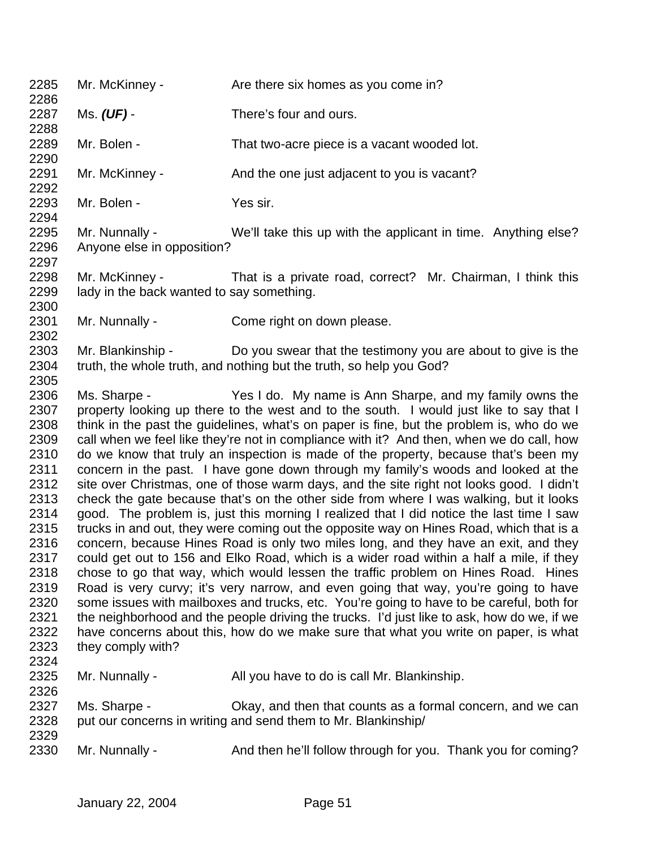2285 Mr. McKinney - Are there six homes as you come in? Ms. *(UF)* - There's four and ours. Mr. Bolen - That two-acre piece is a vacant wooded lot. 2291 Mr. McKinney - And the one just adjacent to you is vacant? 2293 Mr. Bolen - Yes sir. Mr. Nunnally - We'll take this up with the applicant in time. Anything else? Anyone else in opposition? Mr. McKinney - That is a private road, correct? Mr. Chairman, I think this 2299 lady in the back wanted to say something. Mr. Nunnally - Come right on down please. Mr. Blankinship - Do you swear that the testimony you are about to give is the truth, the whole truth, and nothing but the truth, so help you God? Ms. Sharpe - Yes I do. My name is Ann Sharpe, and my family owns the property looking up there to the west and to the south. I would just like to say that I think in the past the guidelines, what's on paper is fine, but the problem is, who do we call when we feel like they're not in compliance with it? And then, when we do call, how do we know that truly an inspection is made of the property, because that's been my concern in the past. I have gone down through my family's woods and looked at the site over Christmas, one of those warm days, and the site right not looks good. I didn't check the gate because that's on the other side from where I was walking, but it looks good. The problem is, just this morning I realized that I did notice the last time I saw trucks in and out, they were coming out the opposite way on Hines Road, which that is a concern, because Hines Road is only two miles long, and they have an exit, and they could get out to 156 and Elko Road, which is a wider road within a half a mile, if they chose to go that way, which would lessen the traffic problem on Hines Road. Hines Road is very curvy; it's very narrow, and even going that way, you're going to have some issues with mailboxes and trucks, etc. You're going to have to be careful, both for 2321 the neighborhood and the people driving the trucks. I'd just like to ask, how do we, if we have concerns about this, how do we make sure that what you write on paper, is what they comply with? 2325 Mr. Nunnally - All you have to do is call Mr. Blankinship. Ms. Sharpe - Okay, and then that counts as a formal concern, and we can put our concerns in writing and send them to Mr. Blankinship/ 2330 Mr. Nunnally - And then he'll follow through for you. Thank you for coming?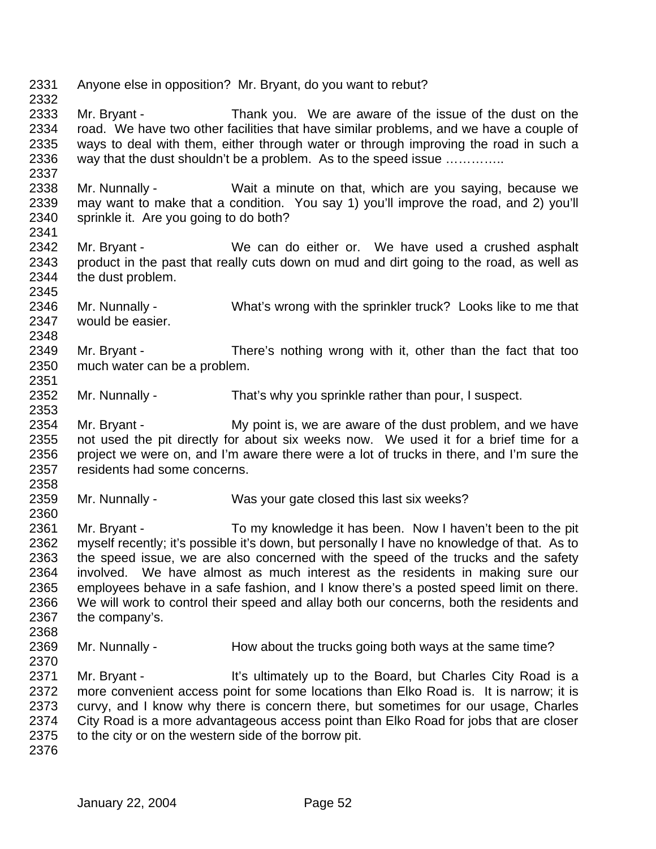Anyone else in opposition? Mr. Bryant, do you want to rebut? Mr. Bryant - Thank you. We are aware of the issue of the dust on the road. We have two other facilities that have similar problems, and we have a couple of ways to deal with them, either through water or through improving the road in such a way that the dust shouldn't be a problem. As to the speed issue ………….. Mr. Nunnally - Wait a minute on that, which are you saying, because we may want to make that a condition. You say 1) you'll improve the road, and 2) you'll sprinkle it. Are you going to do both? Mr. Bryant - We can do either or. We have used a crushed asphalt product in the past that really cuts down on mud and dirt going to the road, as well as the dust problem. Mr. Nunnally - What's wrong with the sprinkler truck? Looks like to me that would be easier. Mr. Bryant - There's nothing wrong with it, other than the fact that too much water can be a problem. Mr. Nunnally - That's why you sprinkle rather than pour, I suspect. 2354 Mr. Bryant - My point is, we are aware of the dust problem, and we have not used the pit directly for about six weeks now. We used it for a brief time for a 2356 project we were on, and I'm aware there were a lot of trucks in there, and I'm sure the residents had some concerns. Mr. Nunnally - Was your gate closed this last six weeks? Mr. Bryant - To my knowledge it has been. Now I haven't been to the pit myself recently; it's possible it's down, but personally I have no knowledge of that. As to the speed issue, we are also concerned with the speed of the trucks and the safety involved. We have almost as much interest as the residents in making sure our employees behave in a safe fashion, and I know there's a posted speed limit on there. We will work to control their speed and allay both our concerns, both the residents and the company's. 2369 Mr. Nunnally - How about the trucks going both ways at the same time? 2371 Mr. Bryant - It's ultimately up to the Board, but Charles City Road is a more convenient access point for some locations than Elko Road is. It is narrow; it is curvy, and I know why there is concern there, but sometimes for our usage, Charles City Road is a more advantageous access point than Elko Road for jobs that are closer 2375 to the city or on the western side of the borrow pit.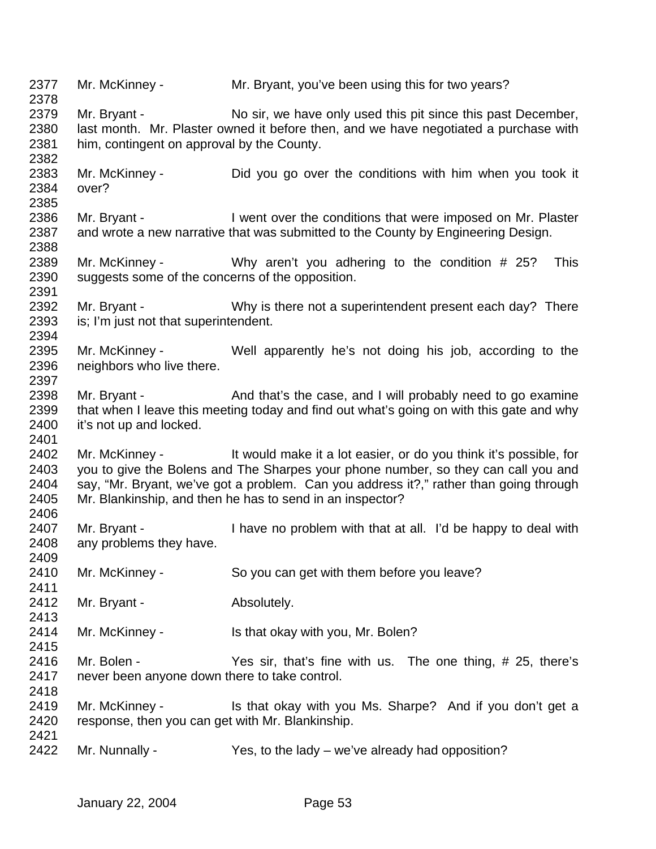2377 Mr. McKinney - Mr. Bryant, you've been using this for two years? 2379 Mr. Bryant - No sir, we have only used this pit since this past December, last month. Mr. Plaster owned it before then, and we have negotiated a purchase with him, contingent on approval by the County. Mr. McKinney - Did you go over the conditions with him when you took it over? 2386 Mr. Bryant - I went over the conditions that were imposed on Mr. Plaster and wrote a new narrative that was submitted to the County by Engineering Design. Mr. McKinney - Why aren't you adhering to the condition # 25? This suggests some of the concerns of the opposition. 2392 Mr. Bryant - Why is there not a superintendent present each day? There is; I'm just not that superintendent. Mr. McKinney - Well apparently he's not doing his job, according to the neighbors who live there. 2398 Mr. Bryant - And that's the case, and I will probably need to go examine that when I leave this meeting today and find out what's going on with this gate and why it's not up and locked. Mr. McKinney - It would make it a lot easier, or do you think it's possible, for you to give the Bolens and The Sharpes your phone number, so they can call you and say, "Mr. Bryant, we've got a problem. Can you address it?," rather than going through Mr. Blankinship, and then he has to send in an inspector? 2407 Mr. Bryant - I have no problem with that at all. I'd be happy to deal with any problems they have. Mr. McKinney - So you can get with them before you leave? 2412 Mr. Bryant - Absolutely. Mr. McKinney - Is that okay with you, Mr. Bolen? Mr. Bolen - Yes sir, that's fine with us. The one thing, # 25, there's never been anyone down there to take control. 2419 Mr. McKinney - Is that okay with you Ms. Sharpe? And if you don't get a response, then you can get with Mr. Blankinship. Mr. Nunnally - Yes, to the lady – we've already had opposition?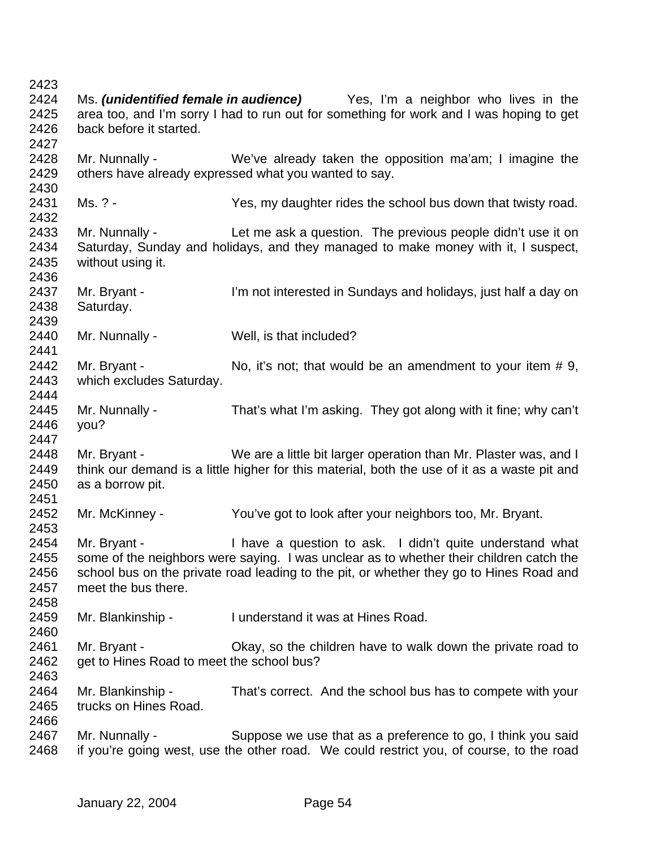Ms. *(unidentified female in audience)* Yes, I'm a neighbor who lives in the area too, and I'm sorry I had to run out for something for work and I was hoping to get back before it started. Mr. Nunnally - We've already taken the opposition ma'am; I imagine the others have already expressed what you wanted to say. Ms. ? - Yes, my daughter rides the school bus down that twisty road. Mr. Nunnally - Let me ask a question. The previous people didn't use it on Saturday, Sunday and holidays, and they managed to make money with it, I suspect, without using it. Mr. Bryant - I'm not interested in Sundays and holidays, just half a day on Saturday. Mr. Nunnally - Well, is that included? 2442 Mr. Bryant - No, it's not; that would be an amendment to your item # 9, which excludes Saturday. Mr. Nunnally - That's what I'm asking. They got along with it fine; why can't you? Mr. Bryant - We are a little bit larger operation than Mr. Plaster was, and I think our demand is a little higher for this material, both the use of it as a waste pit and as a borrow pit. Mr. McKinney - You've got to look after your neighbors too, Mr. Bryant. 2454 Mr. Bryant - I have a question to ask. I didn't quite understand what some of the neighbors were saying. I was unclear as to whether their children catch the school bus on the private road leading to the pit, or whether they go to Hines Road and meet the bus there. Mr. Blankinship - I understand it was at Hines Road. Mr. Bryant - Okay, so the children have to walk down the private road to 2462 get to Hines Road to meet the school bus? Mr. Blankinship - That's correct. And the school bus has to compete with your trucks on Hines Road. Mr. Nunnally - Suppose we use that as a preference to go, I think you said if you're going west, use the other road. We could restrict you, of course, to the road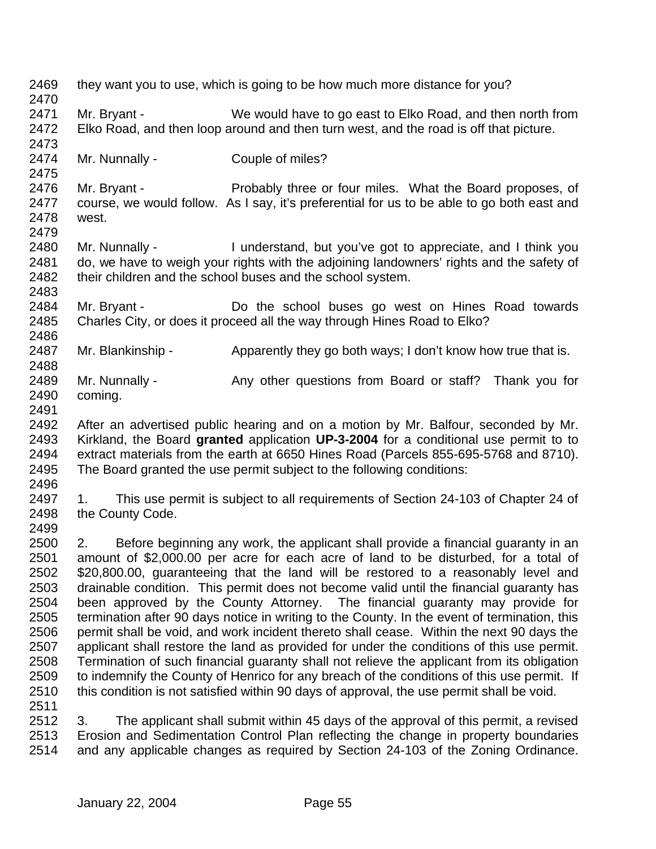| 2469<br>2470 | they want you to use, which is going to be how much more distance for you?                                                                                                    |                                                                                            |  |  |
|--------------|-------------------------------------------------------------------------------------------------------------------------------------------------------------------------------|--------------------------------------------------------------------------------------------|--|--|
| 2471         | Mr. Bryant -                                                                                                                                                                  | We would have to go east to Elko Road, and then north from                                 |  |  |
| 2472         |                                                                                                                                                                               |                                                                                            |  |  |
|              |                                                                                                                                                                               | Elko Road, and then loop around and then turn west, and the road is off that picture.      |  |  |
| 2473         |                                                                                                                                                                               |                                                                                            |  |  |
| 2474         | Mr. Nunnally -                                                                                                                                                                | Couple of miles?                                                                           |  |  |
| 2475         |                                                                                                                                                                               |                                                                                            |  |  |
| 2476         | Mr. Bryant -                                                                                                                                                                  | Probably three or four miles. What the Board proposes, of                                  |  |  |
| 2477         |                                                                                                                                                                               | course, we would follow. As I say, it's preferential for us to be able to go both east and |  |  |
| 2478         | west.                                                                                                                                                                         |                                                                                            |  |  |
| 2479         |                                                                                                                                                                               |                                                                                            |  |  |
| 2480         | Mr. Nunnally -                                                                                                                                                                | I understand, but you've got to appreciate, and I think you                                |  |  |
| 2481         |                                                                                                                                                                               | do, we have to weigh your rights with the adjoining landowners' rights and the safety of   |  |  |
| 2482         |                                                                                                                                                                               | their children and the school buses and the school system.                                 |  |  |
| 2483         |                                                                                                                                                                               |                                                                                            |  |  |
| 2484         | Mr. Bryant -                                                                                                                                                                  | Do the school buses go west on Hines Road towards                                          |  |  |
| 2485         |                                                                                                                                                                               | Charles City, or does it proceed all the way through Hines Road to Elko?                   |  |  |
| 2486         |                                                                                                                                                                               |                                                                                            |  |  |
| 2487         | Mr. Blankinship -                                                                                                                                                             | Apparently they go both ways; I don't know how true that is.                               |  |  |
| 2488         |                                                                                                                                                                               |                                                                                            |  |  |
| 2489         | Mr. Nunnally -                                                                                                                                                                | Any other questions from Board or staff? Thank you for                                     |  |  |
| 2490         | coming.                                                                                                                                                                       |                                                                                            |  |  |
| 2491         |                                                                                                                                                                               |                                                                                            |  |  |
| 2492         |                                                                                                                                                                               | After an advertised public hearing and on a motion by Mr. Balfour, seconded by Mr.         |  |  |
| 2493         |                                                                                                                                                                               | Kirkland, the Board granted application UP-3-2004 for a conditional use permit to to       |  |  |
| 2494         |                                                                                                                                                                               | extract materials from the earth at 6650 Hines Road (Parcels 855-695-5768 and 8710).       |  |  |
| 2495         |                                                                                                                                                                               | The Board granted the use permit subject to the following conditions:                      |  |  |
| 2496         |                                                                                                                                                                               |                                                                                            |  |  |
| 2497         | 1.                                                                                                                                                                            | This use permit is subject to all requirements of Section 24-103 of Chapter 24 of          |  |  |
| 2498         | the County Code.                                                                                                                                                              |                                                                                            |  |  |
| 2499         |                                                                                                                                                                               |                                                                                            |  |  |
| 2500         | 2.                                                                                                                                                                            | Before beginning any work, the applicant shall provide a financial guaranty in an          |  |  |
| 2501         |                                                                                                                                                                               | amount of \$2,000.00 per acre for each acre of land to be disturbed, for a total of        |  |  |
| 2502         |                                                                                                                                                                               |                                                                                            |  |  |
| 2503         | \$20,800.00, guaranteeing that the land will be restored to a reasonably level and<br>drainable condition. This permit does not become valid until the financial guaranty has |                                                                                            |  |  |
| 2504         |                                                                                                                                                                               | been approved by the County Attorney. The financial guaranty may provide for               |  |  |
| 2505         |                                                                                                                                                                               |                                                                                            |  |  |
| 2506         | termination after 90 days notice in writing to the County. In the event of termination, this                                                                                  |                                                                                            |  |  |
| 2507         | permit shall be void, and work incident thereto shall cease. Within the next 90 days the                                                                                      |                                                                                            |  |  |
| 2508         | applicant shall restore the land as provided for under the conditions of this use permit.                                                                                     |                                                                                            |  |  |
|              | Termination of such financial guaranty shall not relieve the applicant from its obligation                                                                                    |                                                                                            |  |  |
| 2509         | to indemnify the County of Henrico for any breach of the conditions of this use permit. If                                                                                    |                                                                                            |  |  |
| 2510         |                                                                                                                                                                               | this condition is not satisfied within 90 days of approval, the use permit shall be void.  |  |  |
| 2511         |                                                                                                                                                                               |                                                                                            |  |  |
| 2512         | 3.                                                                                                                                                                            | The applicant shall submit within 45 days of the approval of this permit, a revised        |  |  |
| 2513         |                                                                                                                                                                               | Erosion and Sedimentation Control Plan reflecting the change in property boundaries        |  |  |
| 2514         |                                                                                                                                                                               | and any applicable changes as required by Section 24-103 of the Zoning Ordinance.          |  |  |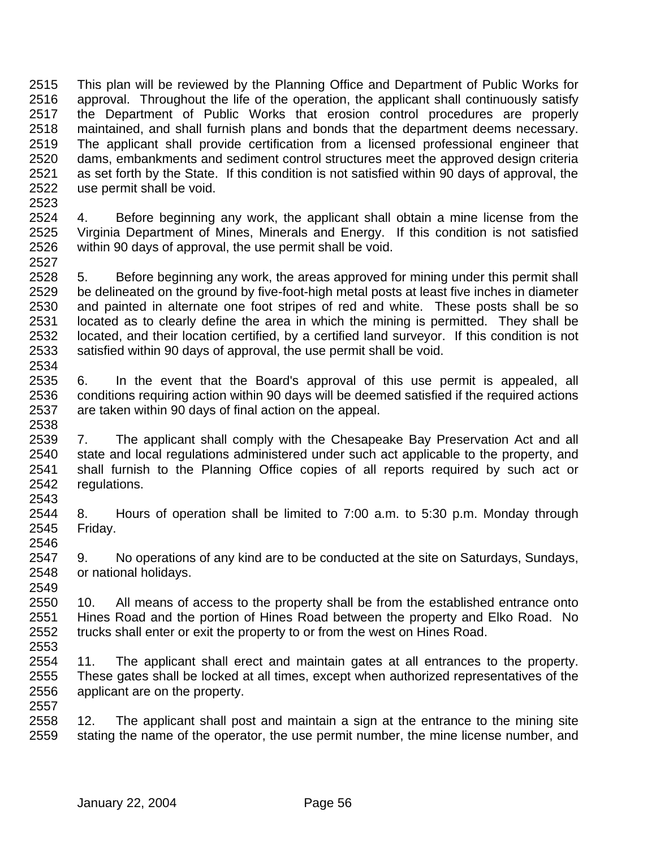This plan will be reviewed by the Planning Office and Department of Public Works for approval. Throughout the life of the operation, the applicant shall continuously satisfy the Department of Public Works that erosion control procedures are properly maintained, and shall furnish plans and bonds that the department deems necessary. The applicant shall provide certification from a licensed professional engineer that dams, embankments and sediment control structures meet the approved design criteria as set forth by the State. If this condition is not satisfied within 90 days of approval, the use permit shall be void.

2524 4. Before beginning any work, the applicant shall obtain a mine license from the 2525 Virginia Department of Mines. Minerals and Energy, If this condition is not satisfied Virginia Department of Mines, Minerals and Energy. If this condition is not satisfied within 90 days of approval, the use permit shall be void.

 5. Before beginning any work, the areas approved for mining under this permit shall be delineated on the ground by five-foot-high metal posts at least five inches in diameter and painted in alternate one foot stripes of red and white. These posts shall be so located as to clearly define the area in which the mining is permitted. They shall be 2532 located, and their location certified, by a certified land surveyor. If this condition is not 2533 satisfied within 90 days of approval, the use permit shall be void. satisfied within 90 days of approval, the use permit shall be void. 

 6. In the event that the Board's approval of this use permit is appealed, all conditions requiring action within 90 days will be deemed satisfied if the required actions are taken within 90 days of final action on the appeal.

2538<br>2539 7. The applicant shall comply with the Chesapeake Bay Preservation Act and all state and local regulations administered under such act applicable to the property, and shall furnish to the Planning Office copies of all reports required by such act or regulations. 

 8. Hours of operation shall be limited to 7:00 a.m. to 5:30 p.m. Monday through Friday. 

 9. No operations of any kind are to be conducted at the site on Saturdays, Sundays, or national holidays. 

 10. All means of access to the property shall be from the established entrance onto Hines Road and the portion of Hines Road between the property and Elko Road. No trucks shall enter or exit the property to or from the west on Hines Road.

 11. The applicant shall erect and maintain gates at all entrances to the property. These gates shall be locked at all times, except when authorized representatives of the applicant are on the property.

 12. The applicant shall post and maintain a sign at the entrance to the mining site stating the name of the operator, the use permit number, the mine license number, and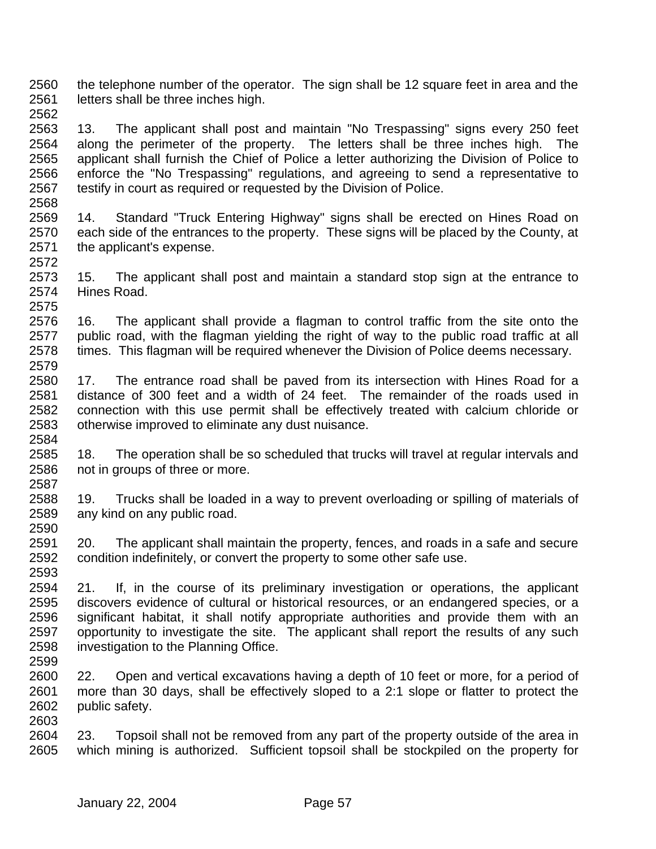the telephone number of the operator. The sign shall be 12 square feet in area and the letters shall be three inches high. 

 13. The applicant shall post and maintain "No Trespassing" signs every 250 feet along the perimeter of the property. The letters shall be three inches high. The applicant shall furnish the Chief of Police a letter authorizing the Division of Police to enforce the "No Trespassing" regulations, and agreeing to send a representative to testify in court as required or requested by the Division of Police. 

 14. Standard "Truck Entering Highway" signs shall be erected on Hines Road on each side of the entrances to the property. These signs will be placed by the County, at the applicant's expense. 

 15. The applicant shall post and maintain a standard stop sign at the entrance to Hines Road. 

 16. The applicant shall provide a flagman to control traffic from the site onto the public road, with the flagman yielding the right of way to the public road traffic at all times. This flagman will be required whenever the Division of Police deems necessary. 

 17. The entrance road shall be paved from its intersection with Hines Road for a distance of 300 feet and a width of 24 feet. The remainder of the roads used in connection with this use permit shall be effectively treated with calcium chloride or otherwise improved to eliminate any dust nuisance. 

 18. The operation shall be so scheduled that trucks will travel at regular intervals and not in groups of three or more. 

 19. Trucks shall be loaded in a way to prevent overloading or spilling of materials of any kind on any public road. 

 20. The applicant shall maintain the property, fences, and roads in a safe and secure condition indefinitely, or convert the property to some other safe use. 

 21. If, in the course of its preliminary investigation or operations, the applicant discovers evidence of cultural or historical resources, or an endangered species, or a significant habitat, it shall notify appropriate authorities and provide them with an opportunity to investigate the site. The applicant shall report the results of any such investigation to the Planning Office. 

 22. Open and vertical excavations having a depth of 10 feet or more, for a period of more than 30 days, shall be effectively sloped to a 2:1 slope or flatter to protect the public safety. 

 23. Topsoil shall not be removed from any part of the property outside of the area in which mining is authorized. Sufficient topsoil shall be stockpiled on the property for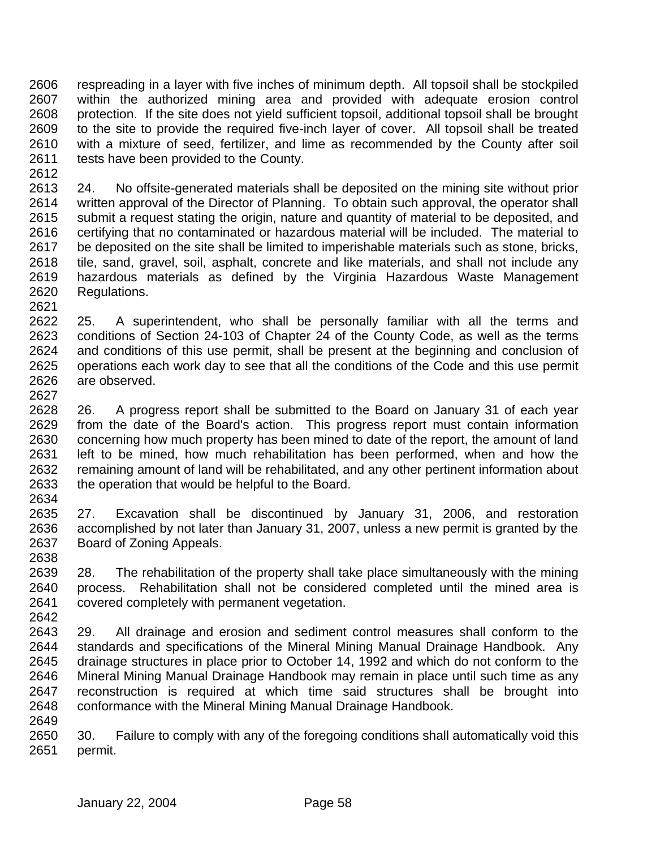respreading in a layer with five inches of minimum depth. All topsoil shall be stockpiled within the authorized mining area and provided with adequate erosion control protection. If the site does not yield sufficient topsoil, additional topsoil shall be brought to the site to provide the required five-inch layer of cover. All topsoil shall be treated with a mixture of seed, fertilizer, and lime as recommended by the County after soil 2611 tests have been provided to the County. 

 24. No offsite-generated materials shall be deposited on the mining site without prior written approval of the Director of Planning. To obtain such approval, the operator shall submit a request stating the origin, nature and quantity of material to be deposited, and certifying that no contaminated or hazardous material will be included. The material to be deposited on the site shall be limited to imperishable materials such as stone, bricks, tile, sand, gravel, soil, asphalt, concrete and like materials, and shall not include any hazardous materials as defined by the Virginia Hazardous Waste Management Regulations. 

 25. A superintendent, who shall be personally familiar with all the terms and conditions of Section 24-103 of Chapter 24 of the County Code, as well as the terms and conditions of this use permit, shall be present at the beginning and conclusion of operations each work day to see that all the conditions of the Code and this use permit are observed. 

 26. A progress report shall be submitted to the Board on January 31 of each year from the date of the Board's action. This progress report must contain information concerning how much property has been mined to date of the report, the amount of land left to be mined, how much rehabilitation has been performed, when and how the remaining amount of land will be rehabilitated, and any other pertinent information about the operation that would be helpful to the Board.

 27. Excavation shall be discontinued by January 31, 2006, and restoration accomplished by not later than January 31, 2007, unless a new permit is granted by the Board of Zoning Appeals. 

 28. The rehabilitation of the property shall take place simultaneously with the mining process. Rehabilitation shall not be considered completed until the mined area is covered completely with permanent vegetation. 

 29. All drainage and erosion and sediment control measures shall conform to the standards and specifications of the Mineral Mining Manual Drainage Handbook. Any drainage structures in place prior to October 14, 1992 and which do not conform to the Mineral Mining Manual Drainage Handbook may remain in place until such time as any reconstruction is required at which time said structures shall be brought into conformance with the Mineral Mining Manual Drainage Handbook. 

 30. Failure to comply with any of the foregoing conditions shall automatically void this permit.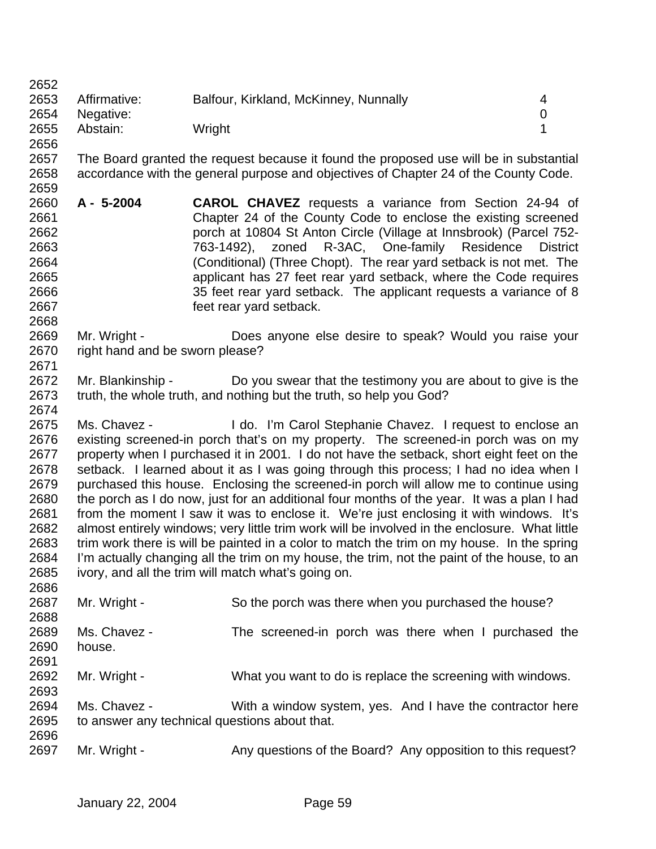Affirmative: Balfour, Kirkland, McKinney, Nunnally 4 Negative: 0 Abstain: Wright 1 

 The Board granted the request because it found the proposed use will be in substantial accordance with the general purpose and objectives of Chapter 24 of the County Code. 

- **A 5-2004 CAROL CHAVEZ** requests a variance from Section 24-94 of Chapter 24 of the County Code to enclose the existing screened porch at 10804 St Anton Circle (Village at Innsbrook) (Parcel 752- 763-1492), zoned R-3AC, One-family Residence District (Conditional) (Three Chopt). The rear yard setback is not met. The applicant has 27 feet rear yard setback, where the Code requires 35 feet rear yard setback. The applicant requests a variance of 8 feet rear yard setback.
- Mr. Wright Does anyone else desire to speak? Would you raise your right hand and be sworn please?
- Mr. Blankinship Do you swear that the testimony you are about to give is the truth, the whole truth, and nothing but the truth, so help you God?
- Ms. Chavez I do. I'm Carol Stephanie Chavez. I request to enclose an existing screened-in porch that's on my property. The screened-in porch was on my property when I purchased it in 2001. I do not have the setback, short eight feet on the setback. I learned about it as I was going through this process; I had no idea when I purchased this house. Enclosing the screened-in porch will allow me to continue using the porch as I do now, just for an additional four months of the year. It was a plan I had from the moment I saw it was to enclose it. We're just enclosing it with windows. It's almost entirely windows; very little trim work will be involved in the enclosure. What little trim work there is will be painted in a color to match the trim on my house. In the spring I'm actually changing all the trim on my house, the trim, not the paint of the house, to an ivory, and all the trim will match what's going on.

| ∼∽∽  |                                               |                                                      |                                                             |
|------|-----------------------------------------------|------------------------------------------------------|-------------------------------------------------------------|
| 2687 | Mr. Wright -                                  | So the porch was there when you purchased the house? |                                                             |
| 2688 |                                               |                                                      |                                                             |
| 2689 | Ms. Chavez -                                  |                                                      | The screened-in porch was there when I purchased the        |
| 2690 | house.                                        |                                                      |                                                             |
| 2691 |                                               |                                                      |                                                             |
| 2692 | Mr. Wright -                                  |                                                      | What you want to do is replace the screening with windows.  |
| 2693 |                                               |                                                      |                                                             |
| 2694 | Ms. Chavez -                                  |                                                      | With a window system, yes. And I have the contractor here   |
| 2695 | to answer any technical questions about that. |                                                      |                                                             |
| 2696 |                                               |                                                      |                                                             |
| 2697 | Mr. Wright -                                  |                                                      | Any questions of the Board? Any opposition to this request? |